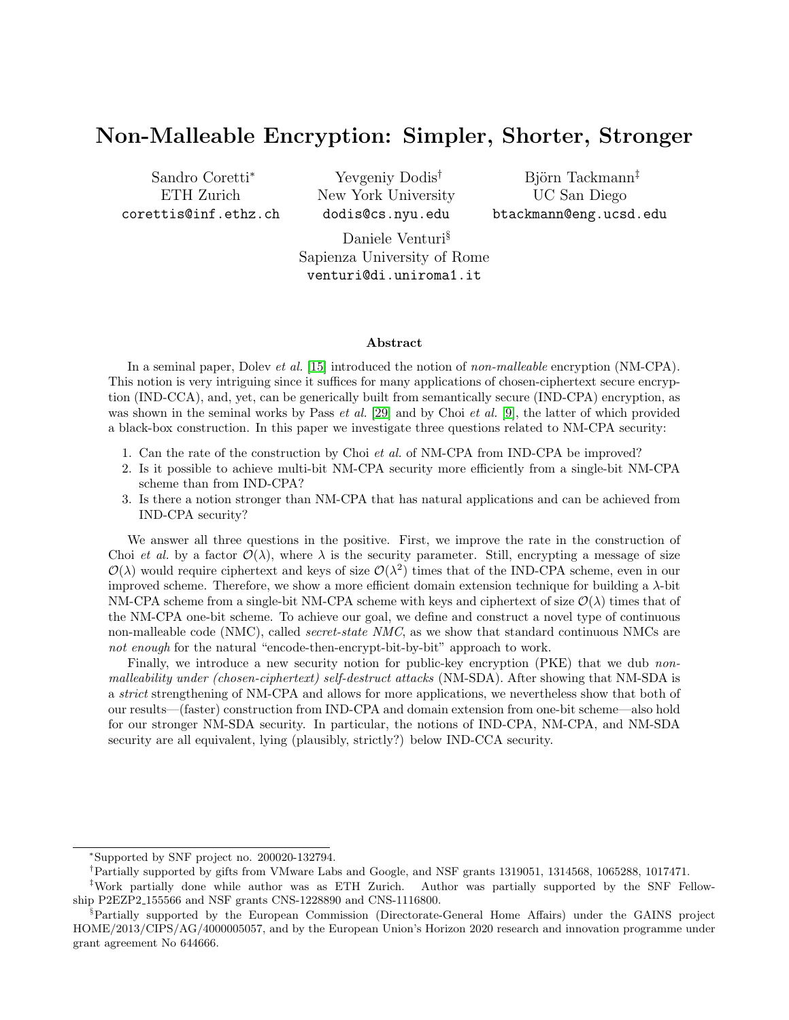# Non-Malleable Encryption: Simpler, Shorter, Stronger

Sandro Coretti<sup>∗</sup> ETH Zurich corettis@inf.ethz.ch

Yevgeniy Dodis† New York University dodis@cs.nyu.edu

Björn Tackmann<sup>‡</sup> UC San Diego btackmann@eng.ucsd.edu

Daniele Venturi§ Sapienza University of Rome venturi@di.uniroma1.it

#### Abstract

In a seminal paper, Dolev *et al.* [\[15\]](#page-23-0) introduced the notion of non-malleable encryption (NM-CPA). This notion is very intriguing since it suffices for many applications of chosen-ciphertext secure encryption (IND-CCA), and, yet, can be generically built from semantically secure (IND-CPA) encryption, as was shown in the seminal works by Pass *et al.* [\[29\]](#page-24-0) and by Choi *et al.* [\[9\]](#page-23-1), the latter of which provided a black-box construction. In this paper we investigate three questions related to NM-CPA security:

- 1. Can the rate of the construction by Choi et al. of NM-CPA from IND-CPA be improved?
- 2. Is it possible to achieve multi-bit NM-CPA security more efficiently from a single-bit NM-CPA scheme than from IND-CPA?
- 3. Is there a notion stronger than NM-CPA that has natural applications and can be achieved from IND-CPA security?

We answer all three questions in the positive. First, we improve the rate in the construction of Choi et al. by a factor  $\mathcal{O}(\lambda)$ , where  $\lambda$  is the security parameter. Still, encrypting a message of size  $\mathcal{O}(\lambda)$  would require ciphertext and keys of size  $\mathcal{O}(\lambda^2)$  times that of the IND-CPA scheme, even in our improved scheme. Therefore, we show a more efficient domain extension technique for building a λ-bit NM-CPA scheme from a single-bit NM-CPA scheme with keys and ciphertext of size  $\mathcal{O}(\lambda)$  times that of the NM-CPA one-bit scheme. To achieve our goal, we define and construct a novel type of continuous non-malleable code (NMC), called *secret-state NMC*, as we show that standard continuous NMCs are not enough for the natural "encode-then-encrypt-bit-by-bit" approach to work.

Finally, we introduce a new security notion for public-key encryption (PKE) that we dub nonmalleability under (chosen-ciphertext) self-destruct attacks (NM-SDA). After showing that NM-SDA is a strict strengthening of NM-CPA and allows for more applications, we nevertheless show that both of our results—(faster) construction from IND-CPA and domain extension from one-bit scheme—also hold for our stronger NM-SDA security. In particular, the notions of IND-CPA, NM-CPA, and NM-SDA security are all equivalent, lying (plausibly, strictly?) below IND-CCA security.

<sup>∗</sup>Supported by SNF project no. 200020-132794.

<sup>†</sup>Partially supported by gifts from VMware Labs and Google, and NSF grants 1319051, 1314568, 1065288, 1017471.

<sup>‡</sup>Work partially done while author was as ETH Zurich. Author was partially supported by the SNF Fellowship P2EZP2 155566 and NSF grants CNS-1228890 and CNS-1116800.

<sup>§</sup>Partially supported by the European Commission (Directorate-General Home Affairs) under the GAINS project HOME/2013/CIPS/AG/4000005057, and by the European Union's Horizon 2020 research and innovation programme under grant agreement No 644666.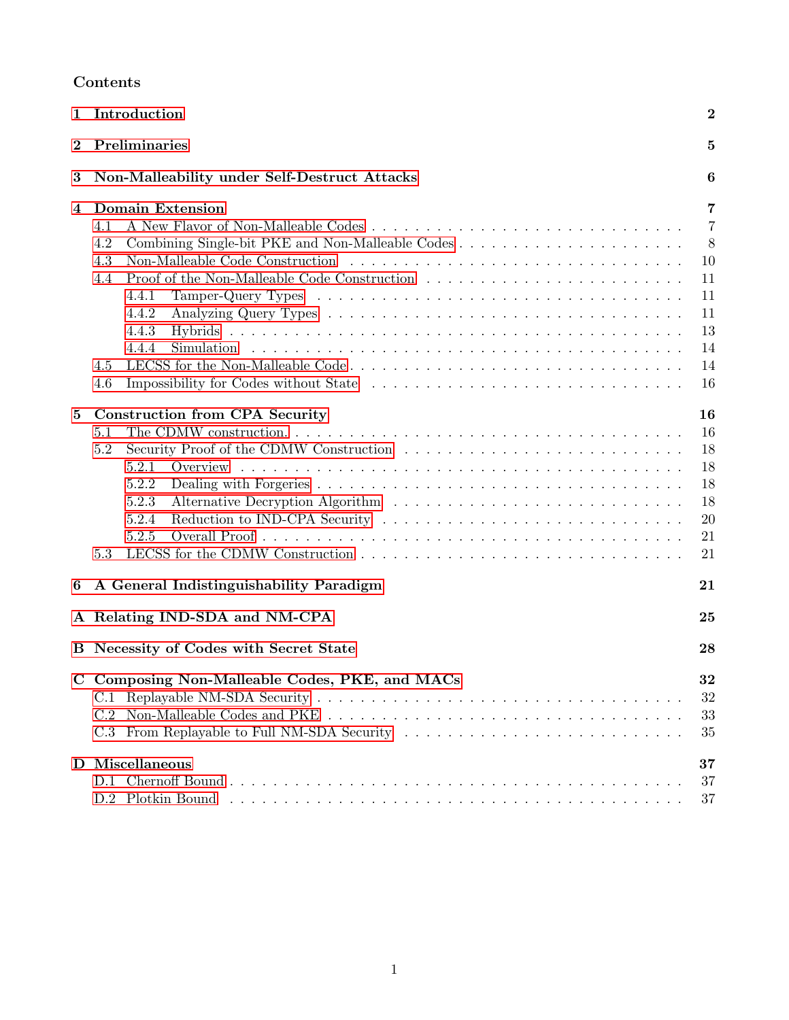# Contents

| 1        | Introduction                                                                                                                              | $\overline{2}$                                                                        |  |
|----------|-------------------------------------------------------------------------------------------------------------------------------------------|---------------------------------------------------------------------------------------|--|
| $\bf{2}$ | Preliminaries                                                                                                                             |                                                                                       |  |
| 3        | Non-Malleability under Self-Destruct Attacks                                                                                              |                                                                                       |  |
| 4        | <b>Domain Extension</b><br>4.1<br>4.2<br>4.3<br>4.4<br>4.4.1<br>4.4.2<br>4.4.3<br>4.4.4<br>LECSS for the Non-Malleable Code<br>4.5<br>4.6 | $\overline{7}$<br>$\overline{7}$<br>8<br>10<br>11<br>11<br>11<br>13<br>14<br>14<br>16 |  |
| $\bf{5}$ | <b>Construction from CPA Security</b><br>5.1<br>5.2<br>5.2.1<br>5.2.2<br>5.2.3<br>Reduction to IND-CPA Security<br>5.2.4<br>5.2.5<br>5.3  | 16<br>16<br>18<br>18<br>18<br>18<br>20<br>21<br>21                                    |  |
| 6        | A General Indistinguishability Paradigm                                                                                                   | 21                                                                                    |  |
|          | A Relating IND-SDA and NM-CPA                                                                                                             | 25                                                                                    |  |
|          | B Necessity of Codes with Secret State                                                                                                    | 28                                                                                    |  |
|          | C Composing Non-Malleable Codes, PKE, and MACs<br>C.1<br>C.2<br>C.3<br>D Miscellaneous                                                    | 32<br>32<br>33<br>35<br>37                                                            |  |
|          |                                                                                                                                           | 37<br>37                                                                              |  |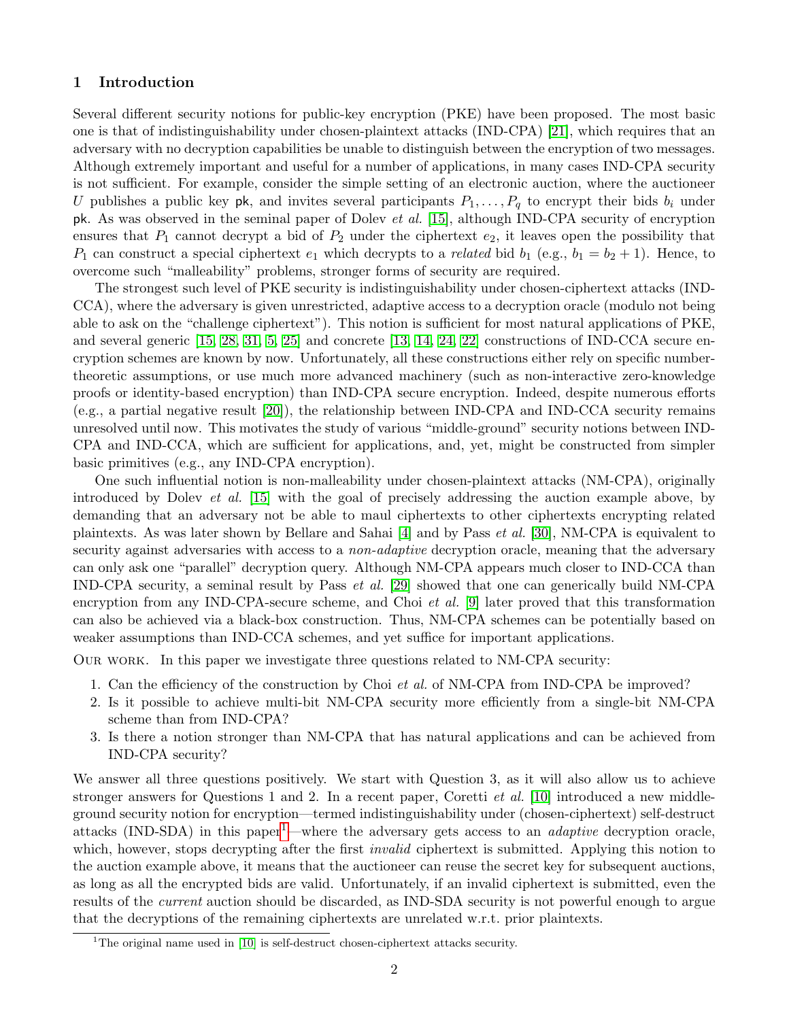# <span id="page-2-0"></span>1 Introduction

Several different security notions for public-key encryption (PKE) have been proposed. The most basic one is that of indistinguishability under chosen-plaintext attacks (IND-CPA) [\[21\]](#page-24-1), which requires that an adversary with no decryption capabilities be unable to distinguish between the encryption of two messages. Although extremely important and useful for a number of applications, in many cases IND-CPA security is not sufficient. For example, consider the simple setting of an electronic auction, where the auctioneer U publishes a public key pk, and invites several participants  $P_1, \ldots, P_q$  to encrypt their bids  $b_i$  under pk. As was observed in the seminal paper of Dolev et al. [\[15\]](#page-23-0), although IND-CPA security of encryption ensures that  $P_1$  cannot decrypt a bid of  $P_2$  under the ciphertext  $e_2$ , it leaves open the possibility that  $P_1$  can construct a special ciphertext  $e_1$  which decrypts to a *related* bid  $b_1$  (e.g.,  $b_1 = b_2 + 1$ ). Hence, to overcome such "malleability" problems, stronger forms of security are required.

The strongest such level of PKE security is indistinguishability under chosen-ciphertext attacks (IND-CCA), where the adversary is given unrestricted, adaptive access to a decryption oracle (modulo not being able to ask on the "challenge ciphertext"). This notion is sufficient for most natural applications of PKE, and several generic  $[15, 28, 31, 5, 25]$  $[15, 28, 31, 5, 25]$  $[15, 28, 31, 5, 25]$  $[15, 28, 31, 5, 25]$  $[15, 28, 31, 5, 25]$  and concrete  $[13, 14, 24, 22]$  $[13, 14, 24, 22]$  $[13, 14, 24, 22]$  $[13, 14, 24, 22]$  constructions of IND-CCA secure encryption schemes are known by now. Unfortunately, all these constructions either rely on specific numbertheoretic assumptions, or use much more advanced machinery (such as non-interactive zero-knowledge proofs or identity-based encryption) than IND-CPA secure encryption. Indeed, despite numerous efforts (e.g., a partial negative result [\[20\]](#page-24-7)), the relationship between IND-CPA and IND-CCA security remains unresolved until now. This motivates the study of various "middle-ground" security notions between IND-CPA and IND-CCA, which are sufficient for applications, and, yet, might be constructed from simpler basic primitives (e.g., any IND-CPA encryption).

One such influential notion is non-malleability under chosen-plaintext attacks (NM-CPA), originally introduced by Dolev et al. [\[15\]](#page-23-0) with the goal of precisely addressing the auction example above, by demanding that an adversary not be able to maul ciphertexts to other ciphertexts encrypting related plaintexts. As was later shown by Bellare and Sahai [\[4\]](#page-23-5) and by Pass et al. [\[30\]](#page-24-8), NM-CPA is equivalent to security against adversaries with access to a *non-adaptive* decryption oracle, meaning that the adversary can only ask one "parallel" decryption query. Although NM-CPA appears much closer to IND-CCA than IND-CPA security, a seminal result by Pass et al. [\[29\]](#page-24-0) showed that one can generically build NM-CPA encryption from any IND-CPA-secure scheme, and Choi *et al.* [\[9\]](#page-23-1) later proved that this transformation can also be achieved via a black-box construction. Thus, NM-CPA schemes can be potentially based on weaker assumptions than IND-CCA schemes, and yet suffice for important applications.

Our work. In this paper we investigate three questions related to NM-CPA security:

- 1. Can the efficiency of the construction by Choi et al. of NM-CPA from IND-CPA be improved?
- 2. Is it possible to achieve multi-bit NM-CPA security more efficiently from a single-bit NM-CPA scheme than from IND-CPA?
- 3. Is there a notion stronger than NM-CPA that has natural applications and can be achieved from IND-CPA security?

We answer all three questions positively. We start with Question 3, as it will also allow us to achieve stronger answers for Questions 1 and 2. In a recent paper, Coretti *et al.* [\[10\]](#page-23-6) introduced a new middleground security notion for encryption—termed indistinguishability under (chosen-ciphertext) self-destruct attacks (IND-SDA) in this paper<sup>[1](#page-2-1)</sup>—where the adversary gets access to an *adaptive* decryption oracle, which, however, stops decrypting after the first *invalid* ciphertext is submitted. Applying this notion to the auction example above, it means that the auctioneer can reuse the secret key for subsequent auctions, as long as all the encrypted bids are valid. Unfortunately, if an invalid ciphertext is submitted, even the results of the current auction should be discarded, as IND-SDA security is not powerful enough to argue that the decryptions of the remaining ciphertexts are unrelated w.r.t. prior plaintexts.

<span id="page-2-1"></span><sup>&</sup>lt;sup>1</sup>The original name used in  $[10]$  is self-destruct chosen-ciphertext attacks security.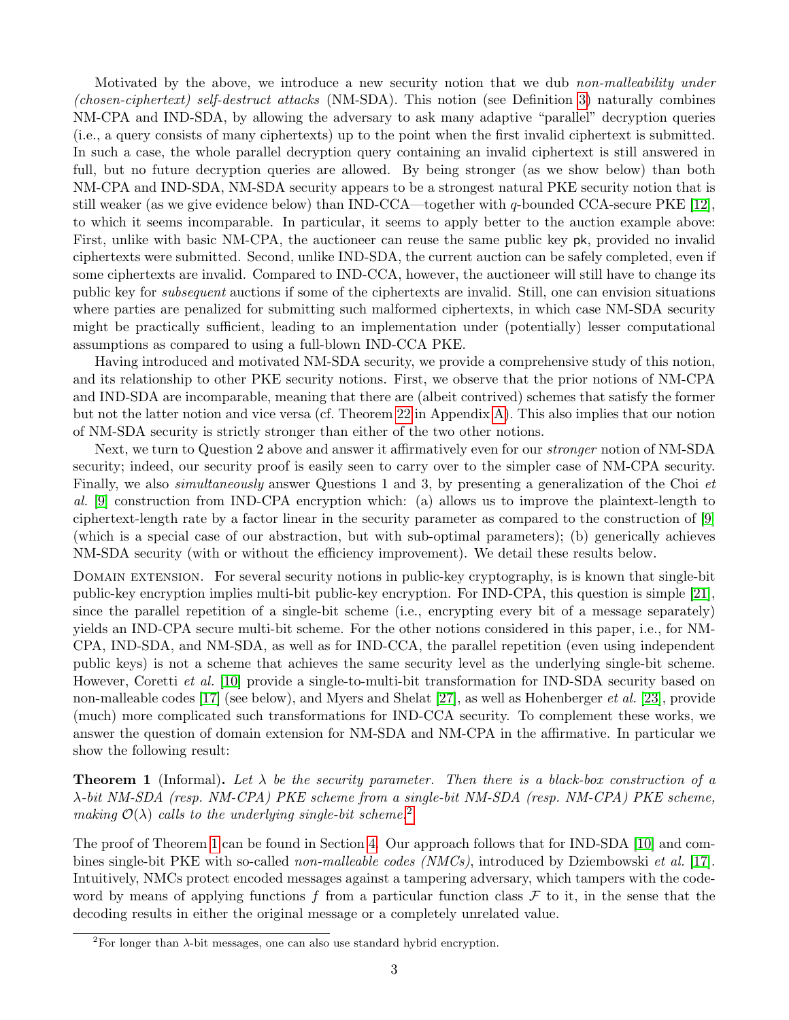Motivated by the above, we introduce a new security notion that we dub non-malleability under (chosen-ciphertext) self-destruct attacks (NM-SDA). This notion (see Definition [3\)](#page-6-1) naturally combines NM-CPA and IND-SDA, by allowing the adversary to ask many adaptive "parallel" decryption queries (i.e., a query consists of many ciphertexts) up to the point when the first invalid ciphertext is submitted. In such a case, the whole parallel decryption query containing an invalid ciphertext is still answered in full, but no future decryption queries are allowed. By being stronger (as we show below) than both NM-CPA and IND-SDA, NM-SDA security appears to be a strongest natural PKE security notion that is still weaker (as we give evidence below) than IND-CCA—together with q-bounded CCA-secure PKE [\[12\]](#page-23-7), to which it seems incomparable. In particular, it seems to apply better to the auction example above: First, unlike with basic NM-CPA, the auctioneer can reuse the same public key pk, provided no invalid ciphertexts were submitted. Second, unlike IND-SDA, the current auction can be safely completed, even if some ciphertexts are invalid. Compared to IND-CCA, however, the auctioneer will still have to change its public key for subsequent auctions if some of the ciphertexts are invalid. Still, one can envision situations where parties are penalized for submitting such malformed ciphertexts, in which case NM-SDA security might be practically sufficient, leading to an implementation under (potentially) lesser computational assumptions as compared to using a full-blown IND-CCA PKE.

Having introduced and motivated NM-SDA security, we provide a comprehensive study of this notion, and its relationship to other PKE security notions. First, we observe that the prior notions of NM-CPA and IND-SDA are incomparable, meaning that there are (albeit contrived) schemes that satisfy the former but not the latter notion and vice versa (cf. Theorem [22](#page-25-1) in Appendix [A\)](#page-25-0). This also implies that our notion of NM-SDA security is strictly stronger than either of the two other notions.

Next, we turn to Question 2 above and answer it affirmatively even for our *stronger* notion of NM-SDA security; indeed, our security proof is easily seen to carry over to the simpler case of NM-CPA security. Finally, we also *simultaneously* answer Questions 1 and 3, by presenting a generalization of the Choi *et* al. [\[9\]](#page-23-1) construction from IND-CPA encryption which: (a) allows us to improve the plaintext-length to ciphertext-length rate by a factor linear in the security parameter as compared to the construction of [\[9\]](#page-23-1) (which is a special case of our abstraction, but with sub-optimal parameters); (b) generically achieves NM-SDA security (with or without the efficiency improvement). We detail these results below.

Domain extension. For several security notions in public-key cryptography, is is known that single-bit public-key encryption implies multi-bit public-key encryption. For IND-CPA, this question is simple [\[21\]](#page-24-1), since the parallel repetition of a single-bit scheme (i.e., encrypting every bit of a message separately) yields an IND-CPA secure multi-bit scheme. For the other notions considered in this paper, i.e., for NM-CPA, IND-SDA, and NM-SDA, as well as for IND-CCA, the parallel repetition (even using independent public keys) is not a scheme that achieves the same security level as the underlying single-bit scheme. However, Coretti et al. [\[10\]](#page-23-6) provide a single-to-multi-bit transformation for IND-SDA security based on non-malleable codes [\[17\]](#page-23-8) (see below), and Myers and Shelat [\[27\]](#page-24-9), as well as Hohenberger et al. [\[23\]](#page-24-10), provide (much) more complicated such transformations for IND-CCA security. To complement these works, we answer the question of domain extension for NM-SDA and NM-CPA in the affirmative. In particular we show the following result:

<span id="page-3-1"></span>**Theorem 1** (Informal). Let  $\lambda$  be the security parameter. Then there is a black-box construction of a λ-bit NM-SDA (resp. NM-CPA) PKE scheme from a single-bit NM-SDA (resp. NM-CPA) PKE scheme, making  $\mathcal{O}(\lambda)$  calls to the underlying single-bit scheme.<sup>[2](#page-3-0)</sup>

The proof of Theorem [1](#page-3-1) can be found in Section [4.](#page-7-0) Our approach follows that for IND-SDA [\[10\]](#page-23-6) and com-bines single-bit PKE with so-called non-malleable codes (NMCs), introduced by Dziembowski et al. [\[17\]](#page-23-8). Intuitively, NMCs protect encoded messages against a tampering adversary, which tampers with the codeword by means of applying functions  $f$  from a particular function class  $\mathcal F$  to it, in the sense that the decoding results in either the original message or a completely unrelated value.

<span id="page-3-0"></span><sup>&</sup>lt;sup>2</sup>For longer than  $\lambda$ -bit messages, one can also use standard hybrid encryption.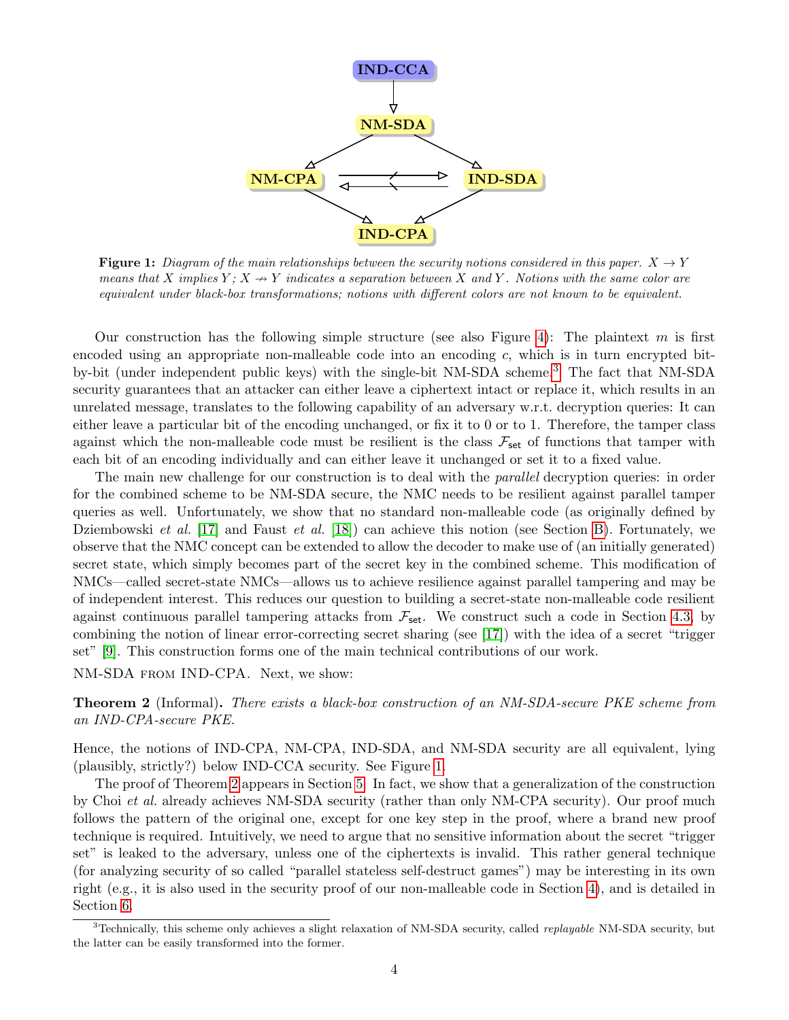<span id="page-4-1"></span>

**Figure 1:** Diagram of the main relationships between the security notions considered in this paper.  $X \to Y$ means that X implies  $Y: X \rightarrow Y$  indicates a separation between X and Y. Notions with the same color are equivalent under black-box transformations; notions with different colors are not known to be equivalent.

Our construction has the following simple structure (see also Figure [4\)](#page-9-0): The plaintext m is first encoded using an appropriate non-malleable code into an encoding  $c$ , which is in turn encrypted bitby-bit (under independent public keys) with the single-bit NM-SDA scheme.[3](#page-4-0) The fact that NM-SDA security guarantees that an attacker can either leave a ciphertext intact or replace it, which results in an unrelated message, translates to the following capability of an adversary w.r.t. decryption queries: It can either leave a particular bit of the encoding unchanged, or fix it to 0 or to 1. Therefore, the tamper class against which the non-malleable code must be resilient is the class  $\mathcal{F}_{\text{set}}$  of functions that tamper with each bit of an encoding individually and can either leave it unchanged or set it to a fixed value.

The main new challenge for our construction is to deal with the *parallel* decryption queries: in order for the combined scheme to be NM-SDA secure, the NMC needs to be resilient against parallel tamper queries as well. Unfortunately, we show that no standard non-malleable code (as originally defined by Dziembowski *et al.* [\[17\]](#page-23-8) and Faust *et al.* [\[18\]](#page-24-11)) can achieve this notion (see Section [B\)](#page-28-0). Fortunately, we observe that the NMC concept can be extended to allow the decoder to make use of (an initially generated) secret state, which simply becomes part of the secret key in the combined scheme. This modification of NMCs—called secret-state NMCs—allows us to achieve resilience against parallel tampering and may be of independent interest. This reduces our question to building a secret-state non-malleable code resilient against continuous parallel tampering attacks from  $\mathcal{F}_{set}$ . We construct such a code in Section [4.3,](#page-10-0) by combining the notion of linear error-correcting secret sharing (see [\[17\]](#page-23-8)) with the idea of a secret "trigger set" [\[9\]](#page-23-1). This construction forms one of the main technical contributions of our work.

NM-SDA from IND-CPA. Next, we show:

<span id="page-4-2"></span>**Theorem 2** (Informal). There exists a black-box construction of an NM-SDA-secure PKE scheme from an IND-CPA-secure PKE.

Hence, the notions of IND-CPA, NM-CPA, IND-SDA, and NM-SDA security are all equivalent, lying (plausibly, strictly?) below IND-CCA security. See Figure [1.](#page-4-1)

The proof of Theorem [2](#page-4-2) appears in Section [5.](#page-16-1) In fact, we show that a generalization of the construction by Choi et al. already achieves NM-SDA security (rather than only NM-CPA security). Our proof much follows the pattern of the original one, except for one key step in the proof, where a brand new proof technique is required. Intuitively, we need to argue that no sensitive information about the secret "trigger set" is leaked to the adversary, unless one of the ciphertexts is invalid. This rather general technique (for analyzing security of so called "parallel stateless self-destruct games") may be interesting in its own right (e.g., it is also used in the security proof of our non-malleable code in Section [4\)](#page-7-0), and is detailed in Section [6.](#page-21-2)

<span id="page-4-0"></span> $3$ Technically, this scheme only achieves a slight relaxation of NM-SDA security, called *replayable* NM-SDA security, but the latter can be easily transformed into the former.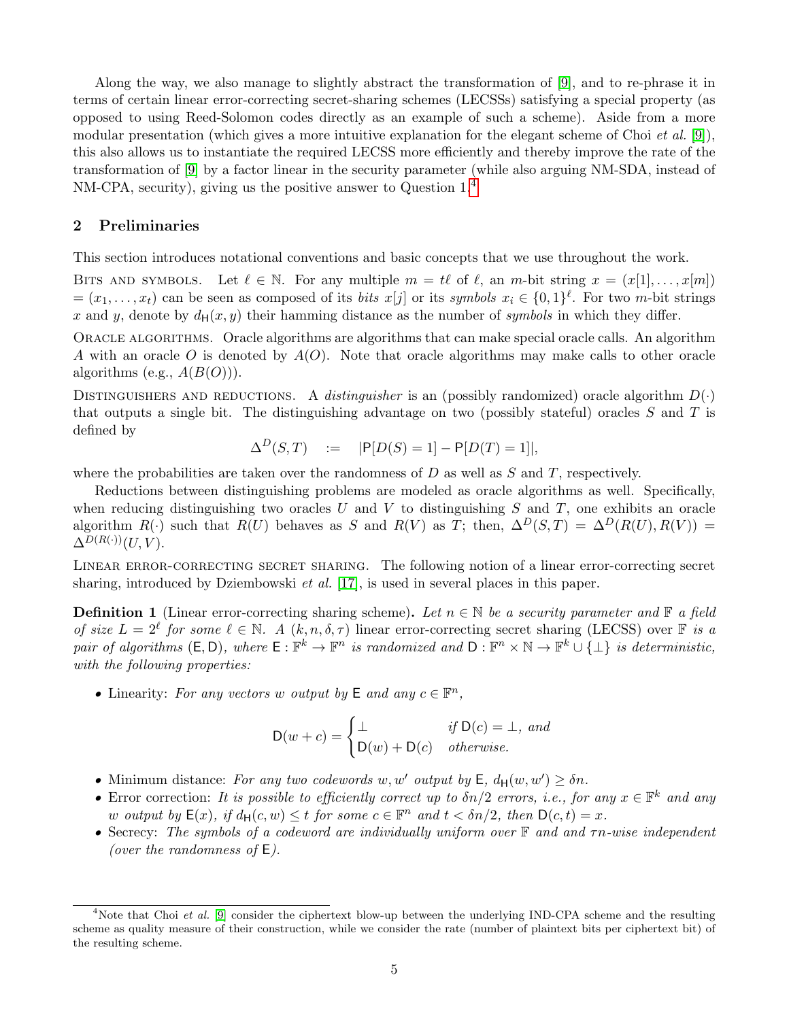Along the way, we also manage to slightly abstract the transformation of [\[9\]](#page-23-1), and to re-phrase it in terms of certain linear error-correcting secret-sharing schemes (LECSSs) satisfying a special property (as opposed to using Reed-Solomon codes directly as an example of such a scheme). Aside from a more modular presentation (which gives a more intuitive explanation for the elegant scheme of Choi *et al.* [\[9\]](#page-23-1)), this also allows us to instantiate the required LECSS more efficiently and thereby improve the rate of the transformation of [\[9\]](#page-23-1) by a factor linear in the security parameter (while also arguing NM-SDA, instead of NM-CPA, security), giving us the positive answer to Question 1.[4](#page-5-1)

## <span id="page-5-0"></span>2 Preliminaries

This section introduces notational conventions and basic concepts that we use throughout the work.

BITS AND SYMBOLS. Let  $\ell \in \mathbb{N}$ . For any multiple  $m = t\ell$  of  $\ell$ , an m-bit string  $x = (x[1], \ldots, x[m])$  $=(x_1,\ldots,x_t)$  can be seen as composed of its *bits*  $x[j]$  or its *symbols*  $x_i \in \{0,1\}^{\ell}$ . For two *m*-bit strings x and y, denote by  $d_H(x, y)$  their hamming distance as the number of symbols in which they differ.

Oracle algorithms. Oracle algorithms are algorithms that can make special oracle calls. An algorithm A with an oracle O is denoted by  $A(O)$ . Note that oracle algorithms may make calls to other oracle algorithms (e.g.,  $A(B(O))$ ).

DISTINGUISHERS AND REDUCTIONS. A distinguisher is an (possibly randomized) oracle algorithm  $D(\cdot)$ that outputs a single bit. The distinguishing advantage on two (possibly stateful) oracles  $S$  and  $T$  is defined by

$$
\Delta^D(S, T) \quad := \quad |P[D(S) = 1] - P[D(T) = 1]|,
$$

where the probabilities are taken over the randomness of  $D$  as well as  $S$  and  $T$ , respectively.

Reductions between distinguishing problems are modeled as oracle algorithms as well. Specifically, when reducing distinguishing two oracles  $U$  and  $V$  to distinguishing  $S$  and  $T$ , one exhibits an oracle algorithm  $R(.)$  such that  $R(U)$  behaves as S and  $R(V)$  as T; then,  $\Delta^D(S,T) = \Delta^D(R(U), R(V)) =$  $\Delta^{D(R(\cdot))}(U, V)$ .

Linear error-correcting secret sharing. The following notion of a linear error-correcting secret sharing, introduced by Dziembowski et al. [\[17\]](#page-23-8), is used in several places in this paper.

<span id="page-5-2"></span>**Definition 1** (Linear error-correcting sharing scheme). Let  $n \in \mathbb{N}$  be a security parameter and  $\mathbb{F}$  a field of size  $L = 2^{\ell}$  for some  $\ell \in \mathbb{N}$ . A  $(k, n, \delta, \tau)$  linear error-correcting secret sharing (LECSS) over  $\mathbb{F}$  is a pair of algorithms  $(E, D)$ , where  $E : \mathbb{F}^k \to \mathbb{F}^n$  is randomized and  $D : \mathbb{F}^n \times \mathbb{N} \to \mathbb{F}^k \cup \{\perp\}$  is deterministic, with the following properties:

• Linearity: For any vectors w output by  $\mathsf{E}$  and any  $c \in \mathbb{F}^n$ ,

$$
D(w + c) = \begin{cases} \bot & \text{if } D(c) = \bot, \text{ and} \\ D(w) + D(c) & \text{otherwise.} \end{cases}
$$

- Minimum distance: For any two codewords w, w' output by  $E$ ,  $d_H(w, w') \geq \delta n$ .
- Error correction: It is possible to efficiently correct up to  $\delta n/2$  errors, i.e., for any  $x \in \mathbb{F}^k$  and any w output by  $\mathsf{E}(x)$ , if  $d_{\mathsf{H}}(c, w) \leq t$  for some  $c \in \mathbb{F}^n$  and  $t < \delta n/2$ , then  $\mathsf{D}(c, t) = x$ .
- Secrecy: The symbols of a codeword are individually uniform over  $\mathbb F$  and and  $\tau n$ -wise independent (over the randomness of  $E$ ).

<span id="page-5-1"></span><sup>&</sup>lt;sup>4</sup>Note that Choi *et al.* [\[9\]](#page-23-1) consider the ciphertext blow-up between the underlying IND-CPA scheme and the resulting scheme as quality measure of their construction, while we consider the rate (number of plaintext bits per ciphertext bit) of the resulting scheme.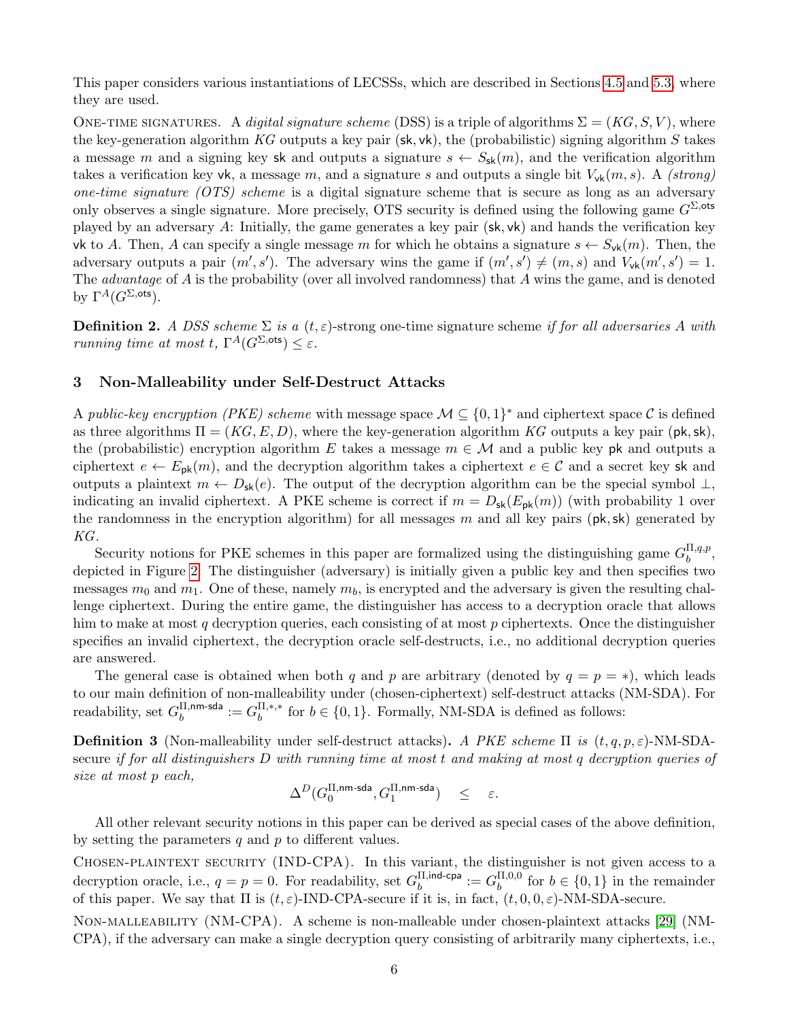This paper considers various instantiations of LECSSs, which are described in Sections [4.5](#page-14-1) and [5.3,](#page-21-1) where they are used.

ONE-TIME SIGNATURES. A digital signature scheme (DSS) is a triple of algorithms  $\Sigma = (KG, S, V)$ , where the key-generation algorithm KG outputs a key pair (sk, vk), the (probabilistic) signing algorithm S takes a message m and a signing key sk and outputs a signature  $s \leftarrow S_{\rm sk}(m)$ , and the verification algorithm takes a verification key vk, a message m, and a signature s and outputs a single bit  $V_{\nu k}(m, s)$ . A *(strong)* one-time signature (OTS) scheme is a digital signature scheme that is secure as long as an adversary only observes a single signature. More precisely, OTS security is defined using the following game  $G^{\Sigma, \text{ots}}$ played by an adversary A: Initially, the game generates a key pair  $(\mathsf{sk}, \mathsf{vk})$  and hands the verification key vk to A. Then, A can specify a single message m for which he obtains a signature  $s \leftarrow S_{\rm vk}(m)$ . Then, the adversary outputs a pair  $(m', s')$ . The adversary wins the game if  $(m', s') \neq (m, s)$  and  $V_{\mathsf{vk}}(m', s') = 1$ . The *advantage* of A is the probability (over all involved randomness) that A wins the game, and is denoted by  $\Gamma^A(G^{\Sigma, \text{ots}})$ .

**Definition 2.** A DSS scheme  $\Sigma$  is a  $(t, \varepsilon)$ -strong one-time signature scheme if for all adversaries A with running time at most t,  $\Gamma^A(G^{\Sigma, \text{ots}}) \leq \varepsilon$ .

# <span id="page-6-0"></span>3 Non-Malleability under Self-Destruct Attacks

A public-key encryption (PKE) scheme with message space  $\mathcal{M} \subseteq \{0,1\}^*$  and ciphertext space C is defined as three algorithms  $\Pi = (KG, E, D)$ , where the key-generation algorithm KG outputs a key pair (pk, sk), the (probabilistic) encryption algorithm E takes a message  $m \in \mathcal{M}$  and a public key pk and outputs a ciphertext  $e \leftarrow E_{\rm pk}(m)$ , and the decryption algorithm takes a ciphertext  $e \in \mathcal{C}$  and a secret key sk and outputs a plaintext  $m \leftarrow D_{\rm sk}(e)$ . The output of the decryption algorithm can be the special symbol  $\perp$ , indicating an invalid ciphertext. A PKE scheme is correct if  $m = D_{sk}(E_{pk}(m))$  (with probability 1 over the randomness in the encryption algorithm) for all messages m and all key pairs ( $pk, sk$ ) generated by KG.

Security notions for PKE schemes in this paper are formalized using the distinguishing game  $G_h^{\Pi,q,p}$  $\begin{array}{c}\n u,q,p \\
 b\n \end{array}$ depicted in Figure [2:](#page-7-2) The distinguisher (adversary) is initially given a public key and then specifies two messages  $m_0$  and  $m_1$ . One of these, namely  $m_b$ , is encrypted and the adversary is given the resulting challenge ciphertext. During the entire game, the distinguisher has access to a decryption oracle that allows him to make at most q decryption queries, each consisting of at most  $p$  ciphertexts. Once the distinguisher specifies an invalid ciphertext, the decryption oracle self-destructs, i.e., no additional decryption queries are answered.

The general case is obtained when both q and p are arbitrary (denoted by  $q = p = *$ ), which leads to our main definition of non-malleability under (chosen-ciphertext) self-destruct attacks (NM-SDA). For readability, set  $G_h^{\Pi, \text{nm-sda}}$  $_{b}^{\Pi, \mathsf{n}\mathsf{m}\mathsf{-}\mathsf{s}\mathsf{d}\mathsf{a}}:=G_{b}^{\Pi, \ast, \ast}$  $b_b^{H,*,*}$  for  $b \in \{0,1\}$ . Formally, NM-SDA is defined as follows:

<span id="page-6-1"></span>**Definition 3** (Non-malleability under self-destruct attacks). A PKE scheme  $\Pi$  is  $(t, q, p, \varepsilon)$ -NM-SDAsecure if for all distinguishers D with running time at most t and making at most q decryption queries of size at most p each,

$$
\Delta^D(G_0^{\Pi,\text{nm-sda}},G_1^{\Pi,\text{nm-sda}}) \quad \leq \quad \varepsilon.
$$

All other relevant security notions in this paper can be derived as special cases of the above definition, by setting the parameters  $q$  and  $p$  to different values.

Chosen-plaintext security (IND-CPA). In this variant, the distinguisher is not given access to a decryption oracle, i.e.,  $q = p = 0$ . For readability, set  $G_h^{\Pi, \text{ind-cpa}}$  $\frac{\Pi,$ ind-cpa  $\;:=G_b^{\Pi,0,0}$  $b_b^{11,0,0}$  for  $b \in \{0,1\}$  in the remainder of this paper. We say that  $\Pi$  is  $(t, \varepsilon)$ -IND-CPA-secure if it is, in fact,  $(t, 0, 0, \varepsilon)$ -NM-SDA-secure.

Non-malleability (NM-CPA). A scheme is non-malleable under chosen-plaintext attacks [\[29\]](#page-24-0) (NM-CPA), if the adversary can make a single decryption query consisting of arbitrarily many ciphertexts, i.e.,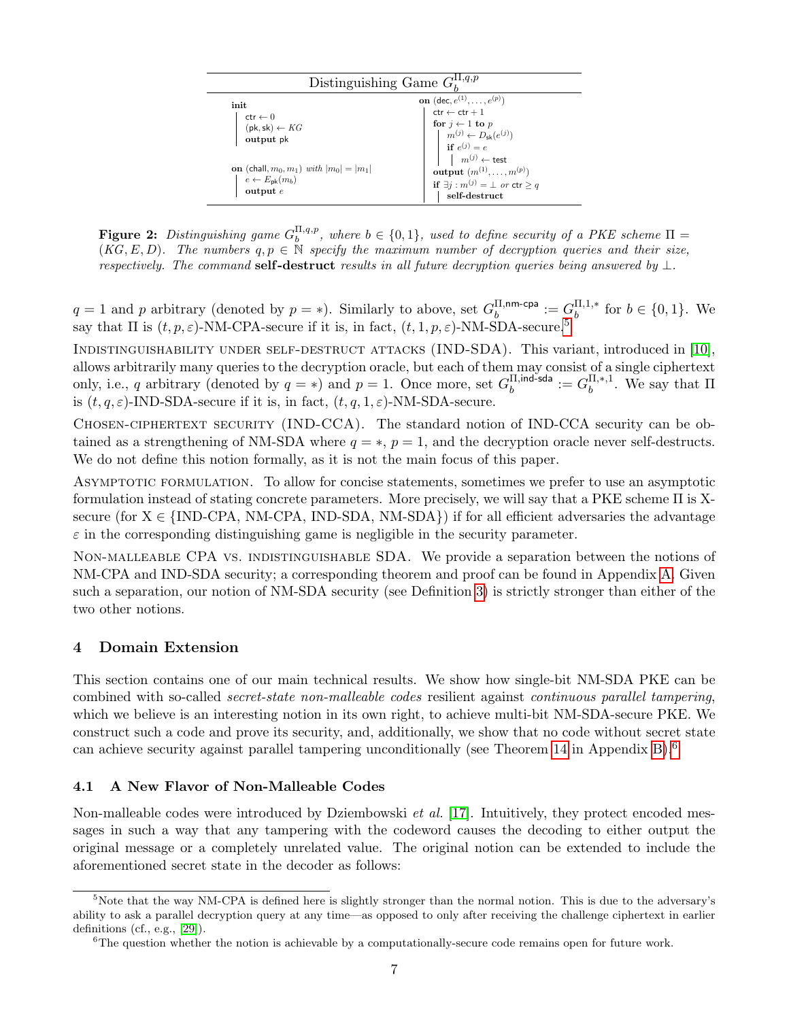<span id="page-7-2"></span>

| Distinguishing Game $G_k^{\Pi,q,p}$                                                                 |                                                                                                                                                                                  |  |  |
|-----------------------------------------------------------------------------------------------------|----------------------------------------------------------------------------------------------------------------------------------------------------------------------------------|--|--|
| init<br>$ctr \leftarrow 0$<br>$(\mathsf{pk},\mathsf{sk}) \leftarrow KG$<br>output pk                | <b>on</b> $(\text{dec}, e^{(1)}, \ldots, e^{(p)})$<br>$ctr \leftarrow ctr + 1$<br>for $j \leftarrow 1$ to p<br>$m^{(j)} \leftarrow D_{\mathsf{sk}}(e^{(j)})$<br>if $e^{(j)} = e$ |  |  |
| <b>on</b> (chall, $m_0, m_1$ ) with $ m_0  =  m_1 $<br>$e \leftarrow E_{\rm pk}(m_b)$<br>output $e$ | $m^{(j)} \leftarrow$ test<br>output $(m^{(1)}, \ldots, m^{(p)})$<br>if $\exists j : m^{(j)} = \bot \text{ or } \text{ctr } \geq q$<br>$\operatorname{self-destruct}$             |  |  |

**Figure 2:** Distinguishing game  $G_b^{\Pi,q,p}$ , where  $b \in \{0,1\}$ , used to define security of a PKE scheme  $\Pi =$  $(KG, E, D)$ . The numbers  $q, p \in \mathbb{N}$  specify the maximum number of decryption queries and their size, respectively. The command self-destruct results in all future decryption queries being answered by  $\perp$ .

 $q = 1$  and p arbitrary (denoted by  $p = *$ ). Similarly to above, set  $G_h^{\Pi, \text{nm-cpa}}$  $\mathbb{H},$ nm-cpa  $:= G_b^{\Pi,1,*}$  $b^{11,1,*}$  for  $b \in \{0,1\}$ . We say that  $\Pi$  is  $(t, p, \varepsilon)$ -NM-CPA-secure if it is, in fact,  $(t, 1, p, \varepsilon)$ -NM-SDA-secure.<sup>[5](#page-7-3)</sup>

Indistinguishability under self-destruct attacks (IND-SDA). This variant, introduced in [\[10\]](#page-23-6), allows arbitrarily many queries to the decryption oracle, but each of them may consist of a single ciphertext only, i.e., q arbitrary (denoted by  $q = *$ ) and  $p = 1$ . Once more, set  $G_h^{\Pi, \text{ind-sda}}$  $\frac{\Pi,$ ind-sda  $\;:=G_b^{\Pi,*,1}\;$  $b^{11,*,1}$ . We say that  $\Pi$ is  $(t, q, \varepsilon)$ -IND-SDA-secure if it is, in fact,  $(t, q, 1, \varepsilon)$ -NM-SDA-secure.

Chosen-ciphertext security (IND-CCA). The standard notion of IND-CCA security can be obtained as a strengthening of NM-SDA where  $q = *, p = 1$ , and the decryption oracle never self-destructs. We do not define this notion formally, as it is not the main focus of this paper.

Asymptotic formulation. To allow for concise statements, sometimes we prefer to use an asymptotic formulation instead of stating concrete parameters. More precisely, we will say that a PKE scheme Π is Xsecure (for  $X \in \{IND-CPA, NM-CPA, IND-SDA, NM-SDA\}$ ) if for all efficient adversaries the advantage  $\varepsilon$  in the corresponding distinguishing game is negligible in the security parameter.

Non-malleable CPA vs. indistinguishable SDA. We provide a separation between the notions of NM-CPA and IND-SDA security; a corresponding theorem and proof can be found in Appendix [A.](#page-25-0) Given such a separation, our notion of NM-SDA security (see Definition [3\)](#page-6-1) is strictly stronger than either of the two other notions.

# <span id="page-7-0"></span>4 Domain Extension

This section contains one of our main technical results. We show how single-bit NM-SDA PKE can be combined with so-called secret-state non-malleable codes resilient against continuous parallel tampering, which we believe is an interesting notion in its own right, to achieve multi-bit NM-SDA-secure PKE. We construct such a code and prove its security, and, additionally, we show that no code without secret state can achieve security against parallel tampering unconditionally (see Theorem [14](#page-16-3) in Appendix [B\)](#page-28-0).[6](#page-7-4)

# <span id="page-7-1"></span>4.1 A New Flavor of Non-Malleable Codes

Non-malleable codes were introduced by Dziembowski *et al.* [\[17\]](#page-23-8). Intuitively, they protect encoded messages in such a way that any tampering with the codeword causes the decoding to either output the original message or a completely unrelated value. The original notion can be extended to include the aforementioned secret state in the decoder as follows:

<span id="page-7-3"></span> $5$ Note that the way NM-CPA is defined here is slightly stronger than the normal notion. This is due to the adversary's ability to ask a parallel decryption query at any time—as opposed to only after receiving the challenge ciphertext in earlier definitions (cf., e.g., [\[29\]](#page-24-0)).

<span id="page-7-4"></span> ${}^{6}$ The question whether the notion is achievable by a computationally-secure code remains open for future work.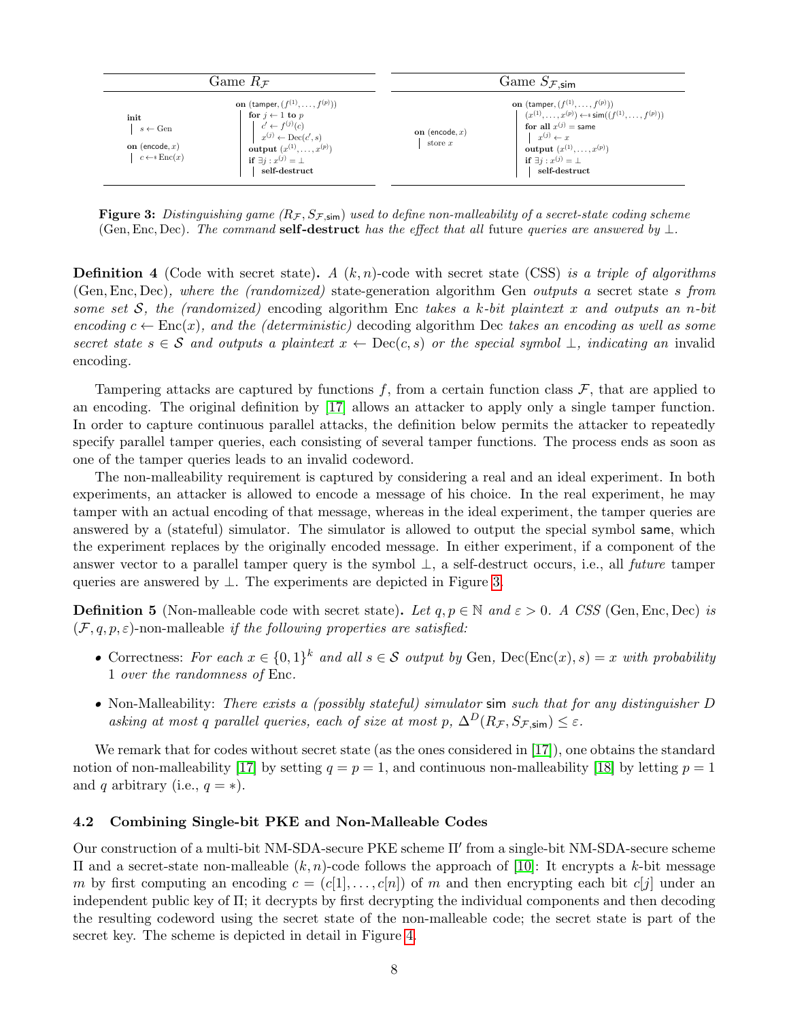<span id="page-8-1"></span>

| Game $R_{\mathcal{F}}$                                                                                                                                                                                                                                                                                                                | Game $S_{\mathcal{F},\text{sim}}$                                                                                                                                                                                                                                                                        |  |
|---------------------------------------------------------------------------------------------------------------------------------------------------------------------------------------------------------------------------------------------------------------------------------------------------------------------------------------|----------------------------------------------------------------------------------------------------------------------------------------------------------------------------------------------------------------------------------------------------------------------------------------------------------|--|
| <b>on</b> (tamper, $(f^{(1)},,f^{(p)}))$ )<br>for $j \leftarrow 1$ to p<br>init<br>$c' \leftarrow f^{(j)}(c)$<br>$s \leftarrow \text{Gen}$<br>$x^{(j)} \leftarrow \text{Dec}(c', s)$<br>on (encode, $x$ )<br><b>output</b> $(x^{(1)},,x^{(p)})$<br>$c \leftarrow s \text{Enc}(x)$<br>if $\exists j : x^{(j)} = \bot$<br>self-destruct | <b>on</b> (tamper, $(f^{(1)},,f^{(p)}))$ )<br>$(x^{(1)},,x^{(p)}) \leftarrow s \operatorname{sim}((f^{(1)},,f^{(p)}))$<br>for all $x^{(j)}$ = same<br>on (encode, $x$ )<br>$x^{(j)} \leftarrow x$<br>store $x$<br><b>output</b> $(x^{(1)},,x^{(p)})$<br>if $\exists j : x^{(j)} = \bot$<br>self-destruct |  |

Figure 3: Distinguishing game  $(R_{\mathcal{F}}, S_{\mathcal{F},sim})$  used to define non-malleability of a secret-state coding scheme (Gen, Enc, Dec). The command self-destruct has the effect that all future queries are answered by  $\perp$ .

**Definition 4** (Code with secret state). A  $(k, n)$ -code with secret state (CSS) is a triple of algorithms (Gen,Enc, Dec), where the (randomized) state-generation algorithm Gen outputs a secret state s from some set S, the (randomized) encoding algorithm Enc takes a k-bit plaintext x and outputs an n-bit encoding  $c \leftarrow \text{Enc}(x)$ , and the (deterministic) decoding algorithm Dec takes an encoding as well as some secret state  $s \in \mathcal{S}$  and outputs a plaintext  $x \leftarrow \text{Dec}(c, s)$  or the special symbol  $\perp$ , indicating an invalid encoding.

Tampering attacks are captured by functions f, from a certain function class  $\mathcal{F}$ , that are applied to an encoding. The original definition by [\[17\]](#page-23-8) allows an attacker to apply only a single tamper function. In order to capture continuous parallel attacks, the definition below permits the attacker to repeatedly specify parallel tamper queries, each consisting of several tamper functions. The process ends as soon as one of the tamper queries leads to an invalid codeword.

The non-malleability requirement is captured by considering a real and an ideal experiment. In both experiments, an attacker is allowed to encode a message of his choice. In the real experiment, he may tamper with an actual encoding of that message, whereas in the ideal experiment, the tamper queries are answered by a (stateful) simulator. The simulator is allowed to output the special symbol same, which the experiment replaces by the originally encoded message. In either experiment, if a component of the answer vector to a parallel tamper query is the symbol ⊥, a self-destruct occurs, i.e., all future tamper queries are answered by ⊥. The experiments are depicted in Figure [3.](#page-8-1)

**Definition 5** (Non-malleable code with secret state). Let  $q, p \in \mathbb{N}$  and  $\varepsilon > 0$ . A CSS (Gen, Enc, Dec) is  $(\mathcal{F}, q, p, \varepsilon)$ -non-malleable if the following properties are satisfied:

- Correctness: For each  $x \in \{0,1\}^k$  and all  $s \in \mathcal{S}$  output by Gen, Dec(Enc(x), s) = x with probability 1 over the randomness of Enc.
- Non-Malleability: There exists a (possibly stateful) simulator sim such that for any distinguisher D asking at most q parallel queries, each of size at most p,  $\Delta^D(R_\mathcal{F}, S_{\mathcal{F},sim}) \leq \varepsilon$ .

We remark that for codes without secret state (as the ones considered in [\[17\]](#page-23-8)), one obtains the standard notion of non-malleability [\[17\]](#page-23-8) by setting  $q = p = 1$ , and continuous non-malleability [\[18\]](#page-24-11) by letting  $p = 1$ and q arbitrary (i.e.,  $q = *$ ).

## <span id="page-8-0"></span>4.2 Combining Single-bit PKE and Non-Malleable Codes

Our construction of a multi-bit NM-SDA-secure PKE scheme Π' from a single-bit NM-SDA-secure scheme Π and a secret-state non-malleable (k, n)-code follows the approach of [\[10\]](#page-23-6): It encrypts a k-bit message m by first computing an encoding  $c = (c[1], \ldots, c[n])$  of m and then encrypting each bit  $c[j]$  under an independent public key of  $\Pi$ ; it decrypts by first decrypting the individual components and then decoding the resulting codeword using the secret state of the non-malleable code; the secret state is part of the secret key. The scheme is depicted in detail in Figure [4.](#page-9-0)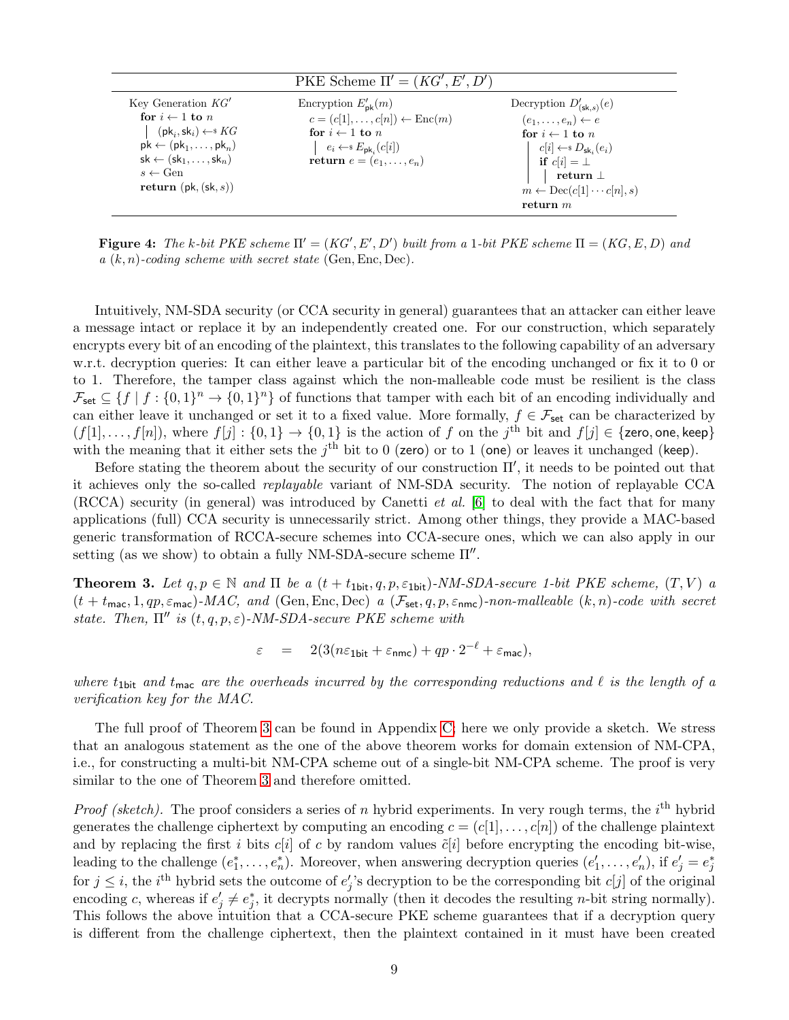<span id="page-9-0"></span>

|                                                                                                                                                                                                                                                                         | PKE Scheme $\Pi' = (KG', E', D')$                                                                                                                                                                |                                                                                                                                                                                                                                                           |
|-------------------------------------------------------------------------------------------------------------------------------------------------------------------------------------------------------------------------------------------------------------------------|--------------------------------------------------------------------------------------------------------------------------------------------------------------------------------------------------|-----------------------------------------------------------------------------------------------------------------------------------------------------------------------------------------------------------------------------------------------------------|
| Key Generation $KG'$<br>for $i \leftarrow 1$ to n<br>$(\mathsf{pk}_i, \mathsf{sk}_i) \leftarrow \mathsf{s} KG$<br>$pk \leftarrow (pk_1, \ldots, pk_n)$<br>$sk \leftarrow (sk_1, \ldots, sk_n)$<br>$s \leftarrow \text{Gen}$<br>return $(\mathsf{pk}, (\mathsf{sk}, s))$ | Encryption $E'_{\rm pk}(m)$<br>$c = (c[1], \ldots, c[n]) \leftarrow \text{Enc}(m)$<br>for $i \leftarrow 1$ to n<br>$e_i \leftarrow^* E_{\mathsf{pk}_i}(c[i])$<br>return $e = (e_1, \ldots, e_n)$ | Decryption $D'_{(\mathsf{sk},s)}(e)$<br>$(e_1,\ldots,e_n) \leftarrow e$<br>for $i \leftarrow 1$ to n<br>$c[i] \leftarrow s D_{\mathsf{sk}_i}(e_i)$<br>if $c[i] = \perp$<br>return $\perp$<br>$m \leftarrow \text{Dec}(c[1] \cdots c[n], s)$<br>return $m$ |
|                                                                                                                                                                                                                                                                         |                                                                                                                                                                                                  |                                                                                                                                                                                                                                                           |

Figure 4: The k-bit PKE scheme  $\Pi' = (KG', E', D')$  built from a 1-bit PKE scheme  $\Pi = (KG, E, D)$  and  $a(k, n)$ -coding scheme with secret state (Gen, Enc, Dec).

Intuitively, NM-SDA security (or CCA security in general) guarantees that an attacker can either leave a message intact or replace it by an independently created one. For our construction, which separately encrypts every bit of an encoding of the plaintext, this translates to the following capability of an adversary w.r.t. decryption queries: It can either leave a particular bit of the encoding unchanged or fix it to 0 or to 1. Therefore, the tamper class against which the non-malleable code must be resilient is the class  $\mathcal{F}_{\text{set}} \subseteq \{f \mid f : \{0,1\}^n \to \{0,1\}^n\}$  of functions that tamper with each bit of an encoding individually and can either leave it unchanged or set it to a fixed value. More formally,  $f \in \mathcal{F}_{set}$  can be characterized by  $(f[1], \ldots, f[n])$ , where  $f[j] : \{0,1\} \to \{0,1\}$  is the action of f on the  $j^{\text{th}}$  bit and  $f[j] \in \{\text{zero, one, keep}\}\$ with the meaning that it either sets the  $j<sup>th</sup>$  bit to 0 (zero) or to 1 (one) or leaves it unchanged (keep).

Before stating the theorem about the security of our construction  $\Pi'$ , it needs to be pointed out that it achieves only the so-called replayable variant of NM-SDA security. The notion of replayable CCA (RCCA) security (in general) was introduced by Canetti *et al.* [\[6\]](#page-23-9) to deal with the fact that for many applications (full) CCA security is unnecessarily strict. Among other things, they provide a MAC-based generic transformation of RCCA-secure schemes into CCA-secure ones, which we can also apply in our setting (as we show) to obtain a fully NM-SDA-secure scheme  $\Pi''$ .

<span id="page-9-1"></span>**Theorem 3.** Let  $q, p \in \mathbb{N}$  and  $\Pi$  be a  $(t + t_{1bit}, q, p, \varepsilon_{1bit})$ -NM-SDA-secure 1-bit PKE scheme,  $(T, V)$  a  $(t + t_{\text{mac}}, 1, qp, \varepsilon_{\text{mac}})$ -MAC, and (Gen, Enc, Dec) a  $(\mathcal{F}_{\text{set}}, q, p, \varepsilon_{\text{nmc}})$ -non-malleable  $(k, n)$ -code with secret state. Then,  $\Pi''$  is  $(t, q, p, \varepsilon)$ -NM-SDA-secure PKE scheme with

$$
\varepsilon = 2(3(n\varepsilon_{1\text{bit}} + \varepsilon_{\text{nmc}}) + qp \cdot 2^{-\ell} + \varepsilon_{\text{mac}}),
$$

where  $t_{1}$ bit and  $t_{\text{mac}}$  are the overheads incurred by the corresponding reductions and  $\ell$  is the length of a verification key for the MAC.

The full proof of Theorem [3](#page-9-1) can be found in Appendix [C;](#page-32-0) here we only provide a sketch. We stress that an analogous statement as the one of the above theorem works for domain extension of NM-CPA, i.e., for constructing a multi-bit NM-CPA scheme out of a single-bit NM-CPA scheme. The proof is very similar to the one of Theorem [3](#page-9-1) and therefore omitted.

*Proof (sketch)*. The proof considers a series of n hybrid experiments. In very rough terms, the  $i<sup>th</sup>$  hybrid generates the challenge ciphertext by computing an encoding  $c = (c[1], \ldots, c[n])$  of the challenge plaintext and by replacing the first i bits c[i] of c by random values  $\tilde{c}[i]$  before encrypting the encoding bit-wise, leading to the challenge  $(e_1^*, \ldots, e_n^*)$ . Moreover, when answering decryption queries  $(e'_1, \ldots, e'_n)$ , if  $e'_j = e_j^*$ for  $j \leq i$ , the *i*<sup>th</sup> hybrid sets the outcome of  $e'_j$ 's decryption to be the corresponding bit  $c[j]$  of the original encoding c, whereas if  $e'_j \neq e_j^*$ , it decrypts normally (then it decodes the resulting *n*-bit string normally). This follows the above intuition that a CCA-secure PKE scheme guarantees that if a decryption query is different from the challenge ciphertext, then the plaintext contained in it must have been created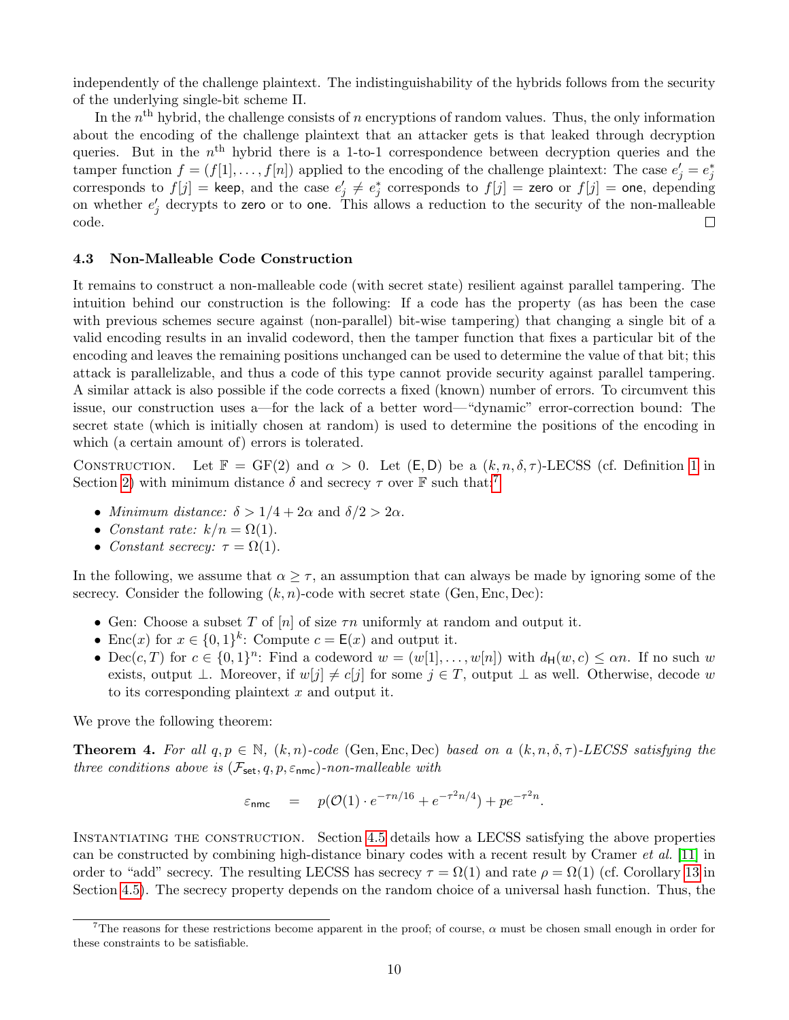independently of the challenge plaintext. The indistinguishability of the hybrids follows from the security of the underlying single-bit scheme Π.

In the  $n<sup>th</sup>$  hybrid, the challenge consists of n encryptions of random values. Thus, the only information about the encoding of the challenge plaintext that an attacker gets is that leaked through decryption queries. But in the  $n<sup>th</sup>$  hybrid there is a 1-to-1 correspondence between decryption queries and the tamper function  $f = (f[1], \ldots, f[n])$  applied to the encoding of the challenge plaintext: The case  $e'_j = e_j^*$ corresponds to  $f[j]$  = keep, and the case  $e'_j \neq e_j^*$  corresponds to  $f[j]$  = zero or  $f[j]$  = one, depending on whether  $e'_{j}$  decrypts to zero or to one. This allows a reduction to the security of the non-malleable  $\Box$ code.

# <span id="page-10-0"></span>4.3 Non-Malleable Code Construction

It remains to construct a non-malleable code (with secret state) resilient against parallel tampering. The intuition behind our construction is the following: If a code has the property (as has been the case with previous schemes secure against (non-parallel) bit-wise tampering) that changing a single bit of a valid encoding results in an invalid codeword, then the tamper function that fixes a particular bit of the encoding and leaves the remaining positions unchanged can be used to determine the value of that bit; this attack is parallelizable, and thus a code of this type cannot provide security against parallel tampering. A similar attack is also possible if the code corrects a fixed (known) number of errors. To circumvent this issue, our construction uses a—for the lack of a better word—"dynamic" error-correction bound: The secret state (which is initially chosen at random) is used to determine the positions of the encoding in which (a certain amount of) errors is tolerated.

CONSTRUCTION. Let  $\mathbb{F} = GF(2)$  and  $\alpha > 0$ . Let  $(\mathsf{E}, \mathsf{D})$  be a  $(k, n, \delta, \tau)$ -LECSS (cf. Definition [1](#page-5-2) in Section [2\)](#page-5-0) with minimum distance  $\delta$  and secrecy  $\tau$  over  $\mathbb F$  such that:<sup>[7](#page-10-1)</sup>

- *Minimum distance:*  $\delta > 1/4 + 2\alpha$  and  $\delta/2 > 2\alpha$ .
- Constant rate:  $k/n = \Omega(1)$ .
- Constant secrecy:  $\tau = \Omega(1)$ .

In the following, we assume that  $\alpha \geq \tau$ , an assumption that can always be made by ignoring some of the secrecy. Consider the following  $(k, n)$ -code with secret state (Gen, Enc, Dec):

- Gen: Choose a subset T of [n] of size  $\tau n$  uniformly at random and output it.
- Enc(x) for  $x \in \{0,1\}^k$ : Compute  $c = \mathsf{E}(x)$  and output it.
- Dec(c, T) for  $c \in \{0,1\}^n$ : Find a codeword  $w = (w[1], \ldots, w[n])$  with  $d_H(w, c) \leq \alpha n$ . If no such w exists, output  $\bot$ . Moreover, if  $w[j] \neq c[j]$  for some  $j \in T$ , output  $\bot$  as well. Otherwise, decode w to its corresponding plaintext x and output it.

We prove the following theorem:

<span id="page-10-2"></span>**Theorem 4.** For all  $q, p \in \mathbb{N}$ ,  $(k, n)$ -code (Gen, Enc, Dec) based on a  $(k, n, \delta, \tau)$ -LECSS satisfying the three conditions above is  $(\mathcal{F}_{set}, q, p, \varepsilon_{nmc})$ -non-malleable with

$$
\varepsilon_{\text{nmc}} = p(\mathcal{O}(1) \cdot e^{-\tau n/16} + e^{-\tau^2 n/4}) + p e^{-\tau^2 n}.
$$

INSTANTIATING THE CONSTRUCTION. Section [4.5](#page-14-1) details how a LECSS satisfying the above properties can be constructed by combining high-distance binary codes with a recent result by Cramer et al. [\[11\]](#page-23-10) in order to "add" secrecy. The resulting LECSS has secrecy  $\tau = \Omega(1)$  and rate  $\rho = \Omega(1)$  (cf. Corollary [13](#page-16-4) in Section [4.5\)](#page-14-1). The secrecy property depends on the random choice of a universal hash function. Thus, the

<span id="page-10-1"></span><sup>&</sup>lt;sup>7</sup>The reasons for these restrictions become apparent in the proof; of course,  $\alpha$  must be chosen small enough in order for these constraints to be satisfiable.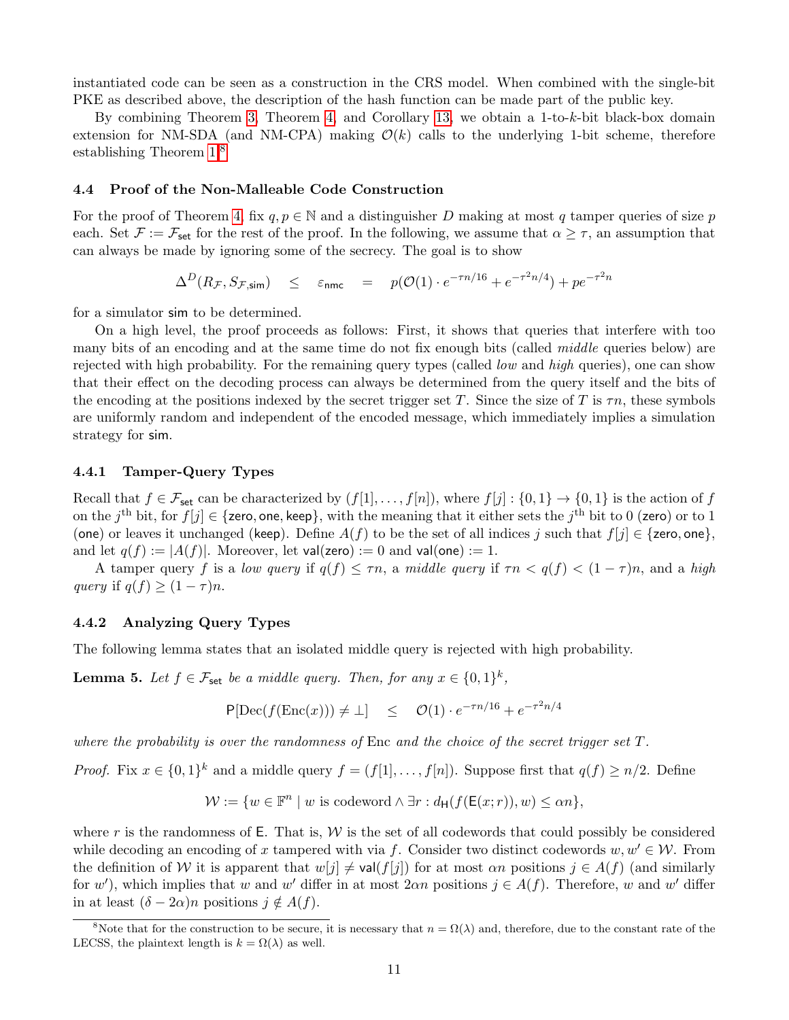instantiated code can be seen as a construction in the CRS model. When combined with the single-bit PKE as described above, the description of the hash function can be made part of the public key.

By combining Theorem [3,](#page-9-1) Theorem [4,](#page-10-2) and Corollary [13,](#page-16-4) we obtain a 1-to-k-bit black-box domain extension for NM-SDA (and NM-CPA) making  $\mathcal{O}(k)$  calls to the underlying 1-bit scheme, therefore establishing Theorem [1.](#page-3-1)[8](#page-11-3)

#### <span id="page-11-0"></span>4.4 Proof of the Non-Malleable Code Construction

For the proof of Theorem [4,](#page-10-2) fix  $q, p \in \mathbb{N}$  and a distinguisher D making at most q tamper queries of size p each. Set  $\mathcal{F} := \mathcal{F}_{set}$  for the rest of the proof. In the following, we assume that  $\alpha \geq \tau$ , an assumption that can always be made by ignoring some of the secrecy. The goal is to show

 $\Delta^D(R_{\mathcal{F}},S_{\mathcal{F},\mathsf{sim}}) \quad\leq\quad \varepsilon_{\mathsf{nnrc}}\quad =\quad p(\mathcal{O}(1)\cdot e^{-\tau n/16}+e^{-\tau^2 n/4})+p e^{-\tau^2 n}$ 

for a simulator sim to be determined.

On a high level, the proof proceeds as follows: First, it shows that queries that interfere with too many bits of an encoding and at the same time do not fix enough bits (called *middle* queries below) are rejected with high probability. For the remaining query types (called *low* and *high* queries), one can show that their effect on the decoding process can always be determined from the query itself and the bits of the encoding at the positions indexed by the secret trigger set T. Since the size of T is  $\tau n$ , these symbols are uniformly random and independent of the encoded message, which immediately implies a simulation strategy for sim.

## <span id="page-11-1"></span>4.4.1 Tamper-Query Types

Recall that  $f \in \mathcal{F}_{\text{set}}$  can be characterized by  $(f[1], \ldots, f[n])$ , where  $f[j] : \{0,1\} \to \{0,1\}$  is the action of f on the  $j^{\text{th}}$  bit, for  $f[j] \in \{$ zero, one, keep}, with the meaning that it either sets the  $j^{\text{th}}$  bit to 0 (zero) or to 1 (one) or leaves it unchanged (keep). Define  $A(f)$  to be the set of all indices j such that  $f[j] \in \{$ zero, one $\}$ , and let  $q(f) := |A(f)|$ . Moreover, let val(zero) := 0 and val(one) := 1.

A tamper query f is a low query if  $q(f) \leq \tau n$ , a middle query if  $\tau n < q(f) < (1 - \tau)n$ , and a high query if  $q(f) \geq (1 - \tau)n$ .

## <span id="page-11-2"></span>4.4.2 Analyzing Query Types

The following lemma states that an isolated middle query is rejected with high probability.

<span id="page-11-4"></span>**Lemma 5.** Let  $f \in \mathcal{F}_{\text{set}}$  be a middle query. Then, for any  $x \in \{0,1\}^k$ ,

$$
P[\text{Dec}(f(\text{Enc}(x))) \neq \bot] \leq \mathcal{O}(1) \cdot e^{-\tau n/16} + e^{-\tau^2 n/4}
$$

where the probability is over the randomness of Enc and the choice of the secret trigger set  $T$ .

*Proof.* Fix  $x \in \{0,1\}^k$  and a middle query  $f = (f[1], \ldots, f[n])$ . Suppose first that  $q(f) \geq n/2$ . Define

$$
\mathcal{W} := \{ w \in \mathbb{F}^n \mid w \text{ is codeword} \land \exists r : d_{\mathsf{H}}(f(\mathsf{E}(x; r)), w) \le \alpha n \},
$$

where r is the randomness of E. That is,  $W$  is the set of all codewords that could possibly be considered while decoding an encoding of x tampered with via f. Consider two distinct codewords  $w, w' \in \mathcal{W}$ . From the definition of W it is apparent that  $w[j] \neq \text{val}(f[j])$  for at most  $\alpha n$  positions  $j \in A(f)$  (and similarly for w'), which implies that w and w' differ in at most  $2\alpha n$  positions  $j \in A(f)$ . Therefore, w and w' differ in at least  $(\delta - 2\alpha)n$  positions  $j \notin A(f)$ .

<span id="page-11-3"></span><sup>&</sup>lt;sup>8</sup>Note that for the construction to be secure, it is necessary that  $n = \Omega(\lambda)$  and, therefore, due to the constant rate of the LECSS, the plaintext length is  $k = \Omega(\lambda)$  as well.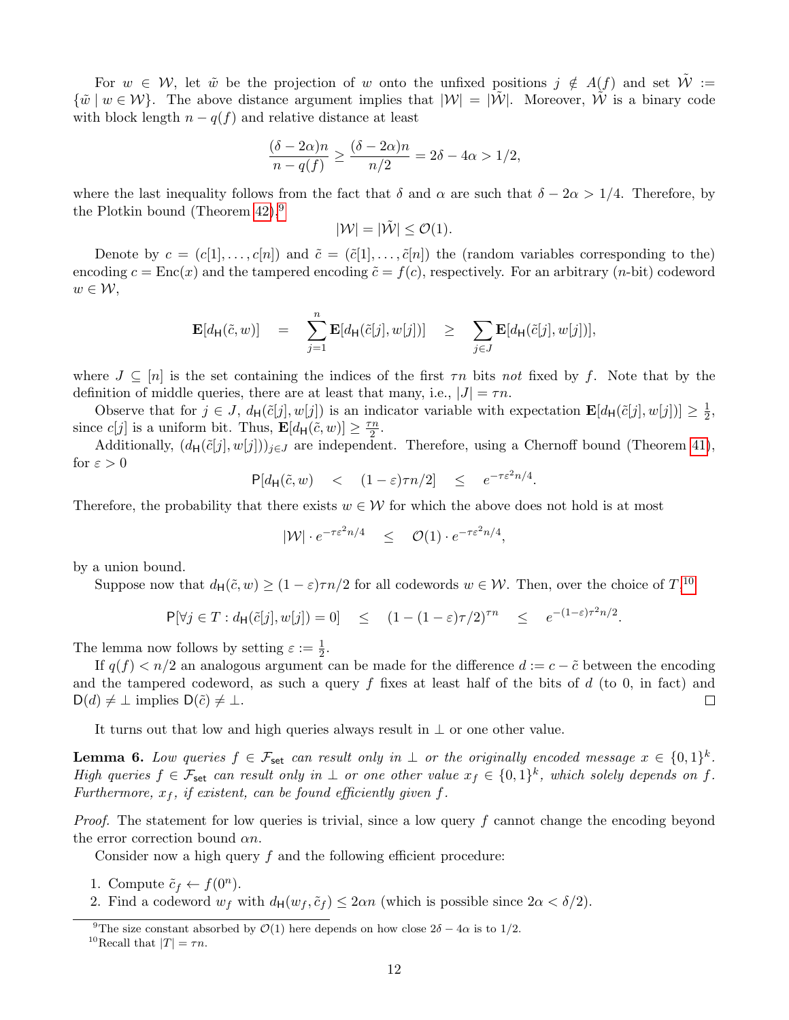For  $w \in \mathcal{W}$ , let  $\tilde{w}$  be the projection of w onto the unfixed positions  $j \notin A(f)$  and set  $\mathcal{W} :=$  ${\{\tilde{w} \mid w \in \mathcal{W}\}}$ . The above distance argument implies that  $|\mathcal{W}| = |\tilde{\mathcal{W}}|$ . Moreover,  $\tilde{\mathcal{W}}$  is a binary code with block length  $n - q(f)$  and relative distance at least

$$
\frac{(\delta - 2\alpha)n}{n - q(f)} \ge \frac{(\delta - 2\alpha)n}{n/2} = 2\delta - 4\alpha > 1/2,
$$

where the last inequality follows from the fact that  $\delta$  and  $\alpha$  are such that  $\delta - 2\alpha > 1/4$ . Therefore, by the Plotkin bound (Theorem  $42$ ),<sup>[9](#page-12-0)</sup>

$$
|\mathcal{W}| = |\tilde{\mathcal{W}}| \leq \mathcal{O}(1).
$$

Denote by  $c = (c[1], \ldots, c[n])$  and  $\tilde{c} = (\tilde{c}[1], \ldots, \tilde{c}[n])$  the (random variables corresponding to the) encoding  $c = \text{Enc}(x)$  and the tampered encoding  $\tilde{c} = f(c)$ , respectively. For an arbitrary  $(n\text{-bit})$  codeword  $w \in \mathcal{W},$ 

$$
\mathbf{E}[d_{\mathsf{H}}(\tilde{c},w)] = \sum_{j=1}^{n} \mathbf{E}[d_{\mathsf{H}}(\tilde{c}[j],w[j])] \geq \sum_{j \in J} \mathbf{E}[d_{\mathsf{H}}(\tilde{c}[j],w[j])],
$$

where  $J \subseteq [n]$  is the set containing the indices of the first  $\tau n$  bits not fixed by f. Note that by the definition of middle queries, there are at least that many, i.e.,  $|J| = \tau n$ .

Observe that for  $j \in J$ ,  $d_H(\tilde{c}[j], w[j])$  is an indicator variable with expectation  $\mathbf{E}[d_H(\tilde{c}[j], w[j])] \geq \frac{1}{2}$  $\frac{1}{2}$ since  $c[j]$  is a uniform bit. Thus,  $\mathbf{E}[d_{\mathsf{H}}(\tilde{c}, w)] \geq \frac{\tau n}{2}$  $\frac{n}{2}$ .

Additionally,  $(d_H(\tilde{c}[j], w[j]))_{j \in J}$  are independent. Therefore, using a Chernoff bound (Theorem [41\)](#page-37-4), for  $\varepsilon > 0$ 

$$
\mathsf{P}[d_{\mathsf{H}}(\tilde{c},w) \quad < \quad (1-\varepsilon)\tau n/2] \quad \leq \quad e^{-\tau \varepsilon^2 n/4}.
$$

Therefore, the probability that there exists  $w \in \mathcal{W}$  for which the above does not hold is at most

$$
|\mathcal{W}| \cdot e^{-\tau \varepsilon^2 n/4} \leq \mathcal{O}(1) \cdot e^{-\tau \varepsilon^2 n/4},
$$

by a union bound.

Suppose now that  $d_H(\tilde{c}, w) \ge (1 - \varepsilon)\tau n/2$  for all codewords  $w \in \mathcal{W}$ . Then, over the choice of  $T$ ,<sup>[10](#page-12-1)</sup>,

$$
\mathsf{P}[\forall j \in T : d_{\mathsf{H}}(\tilde{c}[j], w[j]) = 0] \leq (1 - (1 - \varepsilon)\tau/2)^{\tau n} \leq e^{-(1 - \varepsilon)\tau^2 n/2}.
$$

The lemma now follows by setting  $\varepsilon := \frac{1}{2}$ .

If  $q(f) < n/2$  an analogous argument can be made for the difference  $d := c - \tilde{c}$  between the encoding and the tampered codeword, as such a query f fixes at least half of the bits of  $d$  (to 0, in fact) and  $D(d) \neq \perp$  implies  $D(\tilde{c}) \neq \perp$ .  $\Box$ 

It turns out that low and high queries always result in  $\perp$  or one other value.

<span id="page-12-2"></span>**Lemma 6.** Low queries  $f \in \mathcal{F}_{\mathsf{set}}$  can result only in  $\perp$  or the originally encoded message  $x \in \{0,1\}^k$ . High queries  $f \in \mathcal{F}_{\text{set}}$  can result only in  $\perp$  or one other value  $x_f \in \{0,1\}^k$ , which solely depends on f. Furthermore,  $x_f$ , if existent, can be found efficiently given f.

Proof. The statement for low queries is trivial, since a low query f cannot change the encoding beyond the error correction bound  $\alpha n$ .

Consider now a high query  $f$  and the following efficient procedure:

- 1. Compute  $\tilde{c}_f \leftarrow f(0^n)$ .
- 2. Find a codeword  $w_f$  with  $d_H(w_f, \tilde{c}_f) \leq 2\alpha n$  (which is possible since  $2\alpha < \delta/2$ ).

<span id="page-12-0"></span><sup>&</sup>lt;sup>9</sup>The size constant absorbed by  $\mathcal{O}(1)$  here depends on how close  $2\delta - 4\alpha$  is to 1/2.

<span id="page-12-1"></span><sup>&</sup>lt;sup>10</sup>Recall that  $|T| = \tau n$ .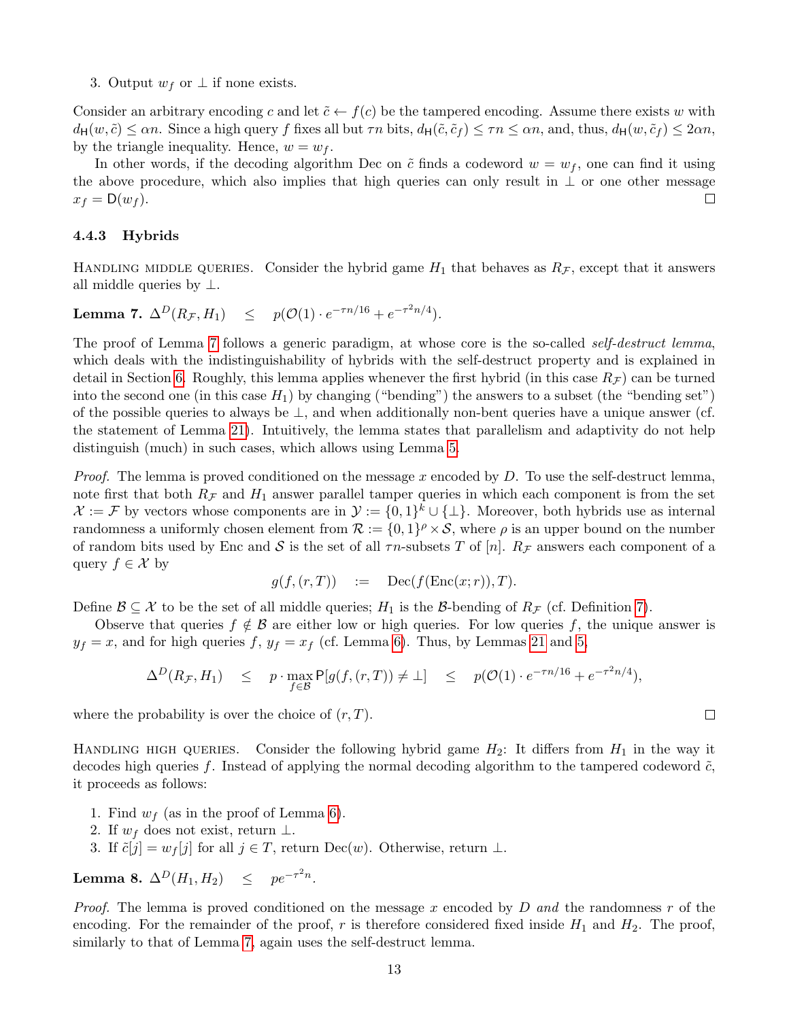3. Output  $w_f$  or  $\perp$  if none exists.

Consider an arbitrary encoding c and let  $\tilde{c} \leftarrow f(c)$  be the tampered encoding. Assume there exists w with  $d_H(w, \tilde{c}) \leq \alpha n$ . Since a high query f fixes all but  $\tau n$  bits,  $d_H(\tilde{c}, \tilde{c}_f) \leq \tau n \leq \alpha n$ , and, thus,  $d_H(w, \tilde{c}_f) \leq 2\alpha n$ , by the triangle inequality. Hence,  $w = w_f$ .

In other words, if the decoding algorithm Dec on  $\tilde{c}$  finds a codeword  $w = w_f$ , one can find it using the above procedure, which also implies that high queries can only result in  $\perp$  or one other message  $\Box$  $x_f = D(w_f)$ .

# <span id="page-13-0"></span>4.4.3 Hybrids

HANDLING MIDDLE QUERIES. Consider the hybrid game  $H_1$  that behaves as  $R_{\mathcal{F}}$ , except that it answers all middle queries by  $\perp$ .

<span id="page-13-1"></span>Lemma 7.  $\Delta^D(R_{\mathcal{F}}, H_1) \leq p(\mathcal{O}(1) \cdot e^{-\tau n/16} + e^{-\tau^2 n/4}).$ 

The proof of Lemma [7](#page-13-1) follows a generic paradigm, at whose core is the so-called *self-destruct lemma*, which deals with the indistinguishability of hybrids with the self-destruct property and is explained in detail in Section [6.](#page-21-2) Roughly, this lemma applies whenever the first hybrid (in this case  $R_F$ ) can be turned into the second one (in this case  $H_1$ ) by changing ("bending") the answers to a subset (the "bending set") of the possible queries to always be  $\perp$ , and when additionally non-bent queries have a unique answer (cf. the statement of Lemma [21\)](#page-22-0). Intuitively, the lemma states that parallelism and adaptivity do not help distinguish (much) in such cases, which allows using Lemma [5.](#page-11-4)

*Proof.* The lemma is proved conditioned on the message x encoded by D. To use the self-destruct lemma, note first that both  $R_{\mathcal{F}}$  and  $H_1$  answer parallel tamper queries in which each component is from the set  $\mathcal{X} := \mathcal{F}$  by vectors whose components are in  $\mathcal{Y} := \{0,1\}^k \cup \{\perp\}.$  Moreover, both hybrids use as internal randomness a uniformly chosen element from  $\mathcal{R} := \{0,1\}^{\rho} \times \mathcal{S}$ , where  $\rho$  is an upper bound on the number of random bits used by Enc and S is the set of all  $\tau n$ -subsets T of [n].  $R_{\mathcal{F}}$  answers each component of a query  $f \in \mathcal{X}$  by

$$
g(f, (r, T)) \quad := \quad \text{Dec}(f(\text{Enc}(x; r)), T).
$$

Define  $\mathcal{B} \subseteq \mathcal{X}$  to be the set of all middle queries;  $H_1$  is the  $\mathcal{B}$ -bending of  $R_{\mathcal{F}}$  (cf. Definition [7\)](#page-22-1).

Observe that queries  $f \notin \mathcal{B}$  are either low or high queries. For low queries f, the unique answer is  $y_f = x$ , and for high queries f,  $y_f = x_f$  (cf. Lemma [6\)](#page-12-2). Thus, by Lemmas [21](#page-22-0) and [5,](#page-11-4)

$$
\Delta^D(R_{\mathcal{F}}, H_1) \leq p \cdot \max_{f \in \mathcal{B}} \mathsf{P}[g(f, (r, T)) \neq \bot] \leq p(\mathcal{O}(1) \cdot e^{-\tau n/16} + e^{-\tau^2 n/4}),
$$

where the probability is over the choice of  $(r, T)$ .

HANDLING HIGH QUERIES. Consider the following hybrid game  $H_2$ : It differs from  $H_1$  in the way it decodes high queries f. Instead of applying the normal decoding algorithm to the tampered codeword  $\tilde{c}$ , it proceeds as follows:

- 1. Find  $w_f$  (as in the proof of Lemma [6\)](#page-12-2).
- 2. If  $w_f$  does not exist, return  $\perp$ .
- 3. If  $\tilde{c}[j] = w_f[j]$  for all  $j \in T$ , return Dec $(w)$ . Otherwise, return  $\perp$ .

<span id="page-13-2"></span>Lemma 8.  $\Delta^D(H_1,H_2) \leq pe^{-\tau^2 n}$ .

*Proof.* The lemma is proved conditioned on the message x encoded by D and the randomness r of the encoding. For the remainder of the proof, r is therefore considered fixed inside  $H_1$  and  $H_2$ . The proof, similarly to that of Lemma [7,](#page-13-1) again uses the self-destruct lemma.

 $\Box$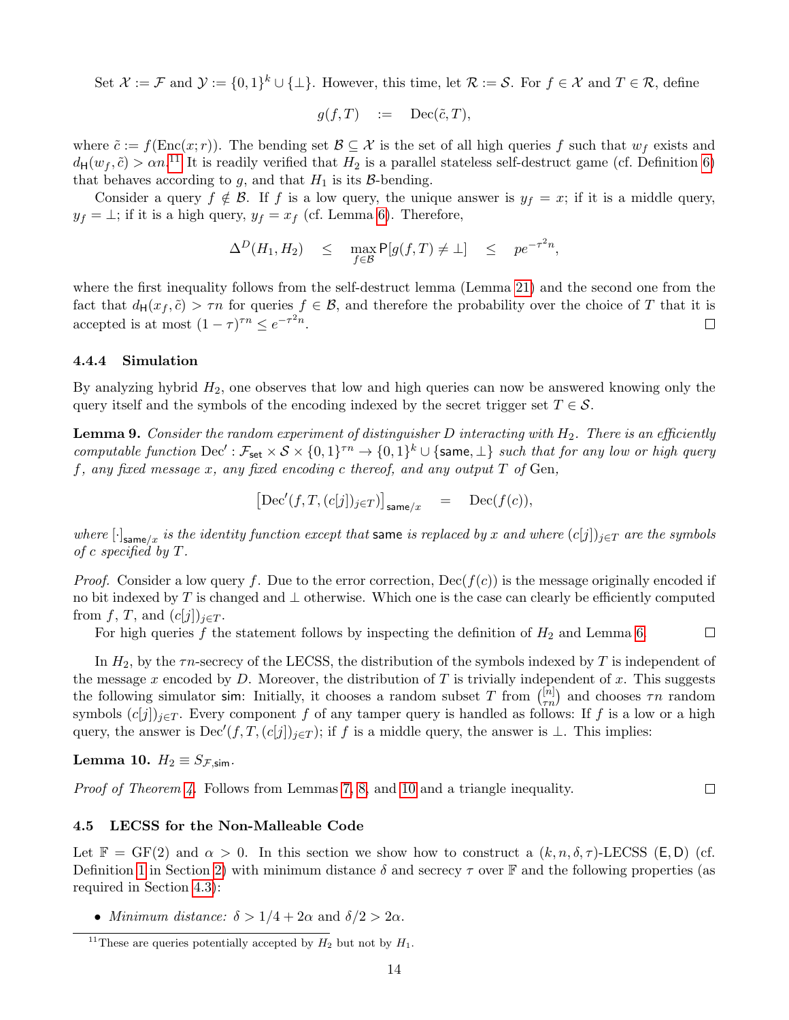Set  $\mathcal{X} := \mathcal{F}$  and  $\mathcal{Y} := \{0,1\}^k \cup \{\perp\}$ . However, this time, let  $\mathcal{R} := \mathcal{S}$ . For  $f \in \mathcal{X}$  and  $T \in \mathcal{R}$ , define

$$
g(f,T) \quad := \quad \text{Dec}(\tilde{c},T),
$$

where  $\tilde{c} := f(\text{Enc}(x; r))$ . The bending set  $\mathcal{B} \subseteq \mathcal{X}$  is the set of all high queries f such that  $w_f$  exists and  $d_H(w_f, \tilde{c}) > \alpha n$ <sup>[11](#page-14-2)</sup> It is readily verified that  $H_2$  is a parallel stateless self-destruct game (cf. Definition [6\)](#page-21-3) that behaves according to  $g$ , and that  $H_1$  is its  $\beta$ -bending.

Consider a query  $f \notin \mathcal{B}$ . If f is a low query, the unique answer is  $y_f = x$ ; if it is a middle query,  $y_f = \perp$ ; if it is a high query,  $y_f = x_f$  (cf. Lemma [6\)](#page-12-2). Therefore,

$$
\Delta^D(H_1, H_2) \leq \max_{f \in \mathcal{B}} \mathsf{P}[g(f, T) \neq \bot] \leq p e^{-\tau^2 n},
$$

where the first inequality follows from the self-destruct lemma (Lemma [21\)](#page-22-0) and the second one from the fact that  $d_H(x_f, \tilde{c}) > \tau n$  for queries  $f \in \mathcal{B}$ , and therefore the probability over the choice of T that it is accepted is at most  $(1 - \tau)^{\tau n} \leq e^{-\tau^2 n}$ .  $\Box$ 

# <span id="page-14-0"></span>4.4.4 Simulation

By analyzing hybrid  $H_2$ , one observes that low and high queries can now be answered knowing only the query itself and the symbols of the encoding indexed by the secret trigger set  $T \in \mathcal{S}$ .

**Lemma 9.** Consider the random experiment of distinguisher D interacting with  $H_2$ . There is an efficiently computable function  $\mathrm{Dec}' : \mathcal{F}_{\mathsf{set}} \times \mathcal{S} \times \{0,1\}^{\tau n} \to \{0,1\}^k \cup \{\textsf{same},\perp\}$  such that for any low or high query f, any fixed message x, any fixed encoding c thereof, and any output  $T$  of Gen,

$$
\big[{\rm Dec}'(f,T,(c[j])_{j\in T})\big]_{\text{same}/x} \quad = \quad {\rm Dec}(f(c)),
$$

where  $[\cdot]_{\textsf{same}/x}$  is the identity function except that same is replaced by x and where  $(c[j])_{j\in T}$  are the symbols of c specified by  $T$ .

*Proof.* Consider a low query f. Due to the error correction,  $\text{Dec}(f(c))$  is the message originally encoded if no bit indexed by T is changed and  $\perp$  otherwise. Which one is the case can clearly be efficiently computed from f, T, and  $(c[j])_{j\in T}$ .

For high queries f the statement follows by inspecting the definition of  $H_2$  and Lemma [6.](#page-12-2)  $\Box$ 

In  $H_2$ , by the  $\tau n$ -secrecy of the LECSS, the distribution of the symbols indexed by T is independent of the message x encoded by  $D$ . Moreover, the distribution of  $T$  is trivially independent of  $x$ . This suggests the following simulator sim: Initially, it chooses a random subset T from  $\binom{[n]}{\tau n}$  and chooses  $\tau n$  random symbols  $(c[j])_{j\in T}$ . Every component f of any tamper query is handled as follows: If f is a low or a high query, the answer is  $Dec'(f, T, (c[j])_{j\in T})$ ; if f is a middle query, the answer is ⊥. This implies:

<span id="page-14-3"></span>**Lemma 10.** 
$$
H_2 \equiv S_{\mathcal{F}, \text{sim}}
$$
.

*Proof of Theorem [4.](#page-10-2)* Follows from Lemmas [7,](#page-13-1) [8,](#page-13-2) and [10](#page-14-3) and a triangle inequality.

## <span id="page-14-1"></span>4.5 LECSS for the Non-Malleable Code

Let  $\mathbb{F} = \text{GF}(2)$  and  $\alpha > 0$ . In this section we show how to construct a  $(k, n, \delta, \tau)$ -LECSS (E, D) (cf. Definition [1](#page-5-2) in Section [2\)](#page-5-0) with minimum distance  $\delta$  and secrecy  $\tau$  over F and the following properties (as required in Section [4.3\)](#page-10-0):

 $\Box$ 

• Minimum distance:  $\delta > 1/4 + 2\alpha$  and  $\delta/2 > 2\alpha$ .

<span id="page-14-2"></span><sup>&</sup>lt;sup>11</sup>These are queries potentially accepted by  $H_2$  but not by  $H_1$ .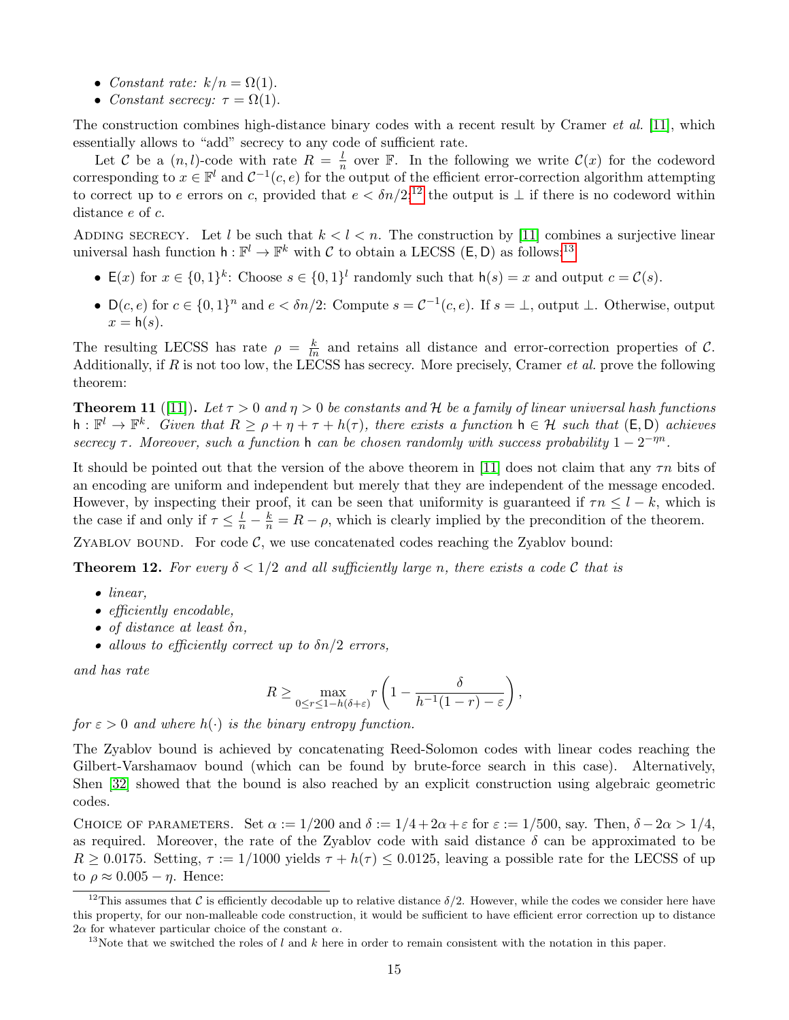- Constant rate:  $k/n = \Omega(1)$ .
- Constant secrecy:  $\tau = \Omega(1)$ .

The construction combines high-distance binary codes with a recent result by Cramer *et al.* [\[11\]](#page-23-10), which essentially allows to "add" secrecy to any code of sufficient rate.

Let C be a  $(n, l)$ -code with rate  $R = \frac{l}{n}$  $\frac{l}{n}$  over F. In the following we write  $\mathcal{C}(x)$  for the codeword corresponding to  $x \in \mathbb{F}^l$  and  $C^{-1}(c, e)$  for the output of the efficient error-correction algorithm attempting to correct up to e errors on c, provided that  $e < \delta n/2$ ;<sup>[12](#page-15-0)</sup> the output is  $\perp$  if there is no codeword within distance e of c.

ADDING SECRECY. Let l be such that  $k < l < n$ . The construction by [\[11\]](#page-23-10) combines a surjective linear universal hash function  $h: \mathbb{F}^l \to \mathbb{F}^k$  with C to obtain a LECSS (E, D) as follows:<sup>[13](#page-15-1)</sup>

- $E(x)$  for  $x \in \{0,1\}^k$ : Choose  $s \in \{0,1\}^l$  randomly such that  $h(s) = x$  and output  $c = \mathcal{C}(s)$ .
- $D(c, e)$  for  $c \in \{0, 1\}^n$  and  $e < \delta n/2$ : Compute  $s = C^{-1}(c, e)$ . If  $s = \bot$ , output  $\bot$ . Otherwise, output  $x = h(s)$ .

The resulting LECSS has rate  $\rho = \frac{k}{ln}$  and retains all distance and error-correction properties of C. Additionally, if  $R$  is not too low, the LECSS has secrecy. More precisely, Cramer  $et$  al. prove the following theorem:

**Theorem 11** ([\[11\]](#page-23-10)). Let  $\tau > 0$  and  $\eta > 0$  be constants and H be a family of linear universal hash functions  $h: \mathbb{F}^l \to \mathbb{F}^k$ . Given that  $R \ge \rho + \eta + \tau + h(\tau)$ , there exists a function  $h \in \mathcal{H}$  such that  $(\mathsf{E}, \mathsf{D})$  achieves secrecy  $\tau$ . Moreover, such a function h can be chosen randomly with success probability  $1 - 2^{-\eta n}$ .

It should be pointed out that the version of the above theorem in [\[11\]](#page-23-10) does not claim that any  $\tau n$  bits of an encoding are uniform and independent but merely that they are independent of the message encoded. However, by inspecting their proof, it can be seen that uniformity is guaranteed if  $\tau n \leq l - k$ , which is the case if and only if  $\tau \leq \frac{l}{n} - \frac{k}{n} = R - \rho$ , which is clearly implied by the precondition of the theorem.

ZYABLOV BOUND. For code  $C$ , we use concatenated codes reaching the Zyablov bound:

**Theorem 12.** For every  $\delta < 1/2$  and all sufficiently large n, there exists a code C that is

- linear,
- efficiently encodable,
- of distance at least  $\delta n$ ,
- allows to efficiently correct up to  $\delta n/2$  errors,

and has rate

$$
R \ge \max_{0 \le r \le 1 - h(\delta + \varepsilon)} r \left( 1 - \frac{\delta}{h^{-1}(1 - r) - \varepsilon} \right),
$$

for  $\varepsilon > 0$  and where  $h(\cdot)$  is the binary entropy function.

The Zyablov bound is achieved by concatenating Reed-Solomon codes with linear codes reaching the Gilbert-Varshamaov bound (which can be found by brute-force search in this case). Alternatively, Shen [\[32\]](#page-24-12) showed that the bound is also reached by an explicit construction using algebraic geometric codes.

CHOICE OF PARAMETERS. Set  $\alpha := 1/200$  and  $\delta := 1/4 + 2\alpha + \varepsilon$  for  $\varepsilon := 1/500$ , say. Then,  $\delta - 2\alpha > 1/4$ , as required. Moreover, the rate of the Zyablov code with said distance  $\delta$  can be approximated to be  $R \geq 0.0175$ . Setting,  $\tau := 1/1000$  yields  $\tau + h(\tau) \leq 0.0125$ , leaving a possible rate for the LECSS of up to  $\rho \approx 0.005 - \eta$ . Hence:

<span id="page-15-0"></span><sup>&</sup>lt;sup>12</sup>This assumes that C is efficiently decodable up to relative distance  $\delta/2$ . However, while the codes we consider here have this property, for our non-malleable code construction, it would be sufficient to have efficient error correction up to distance  $2\alpha$  for whatever particular choice of the constant  $\alpha$ .

<span id="page-15-1"></span><sup>&</sup>lt;sup>13</sup>Note that we switched the roles of l and k here in order to remain consistent with the notation in this paper.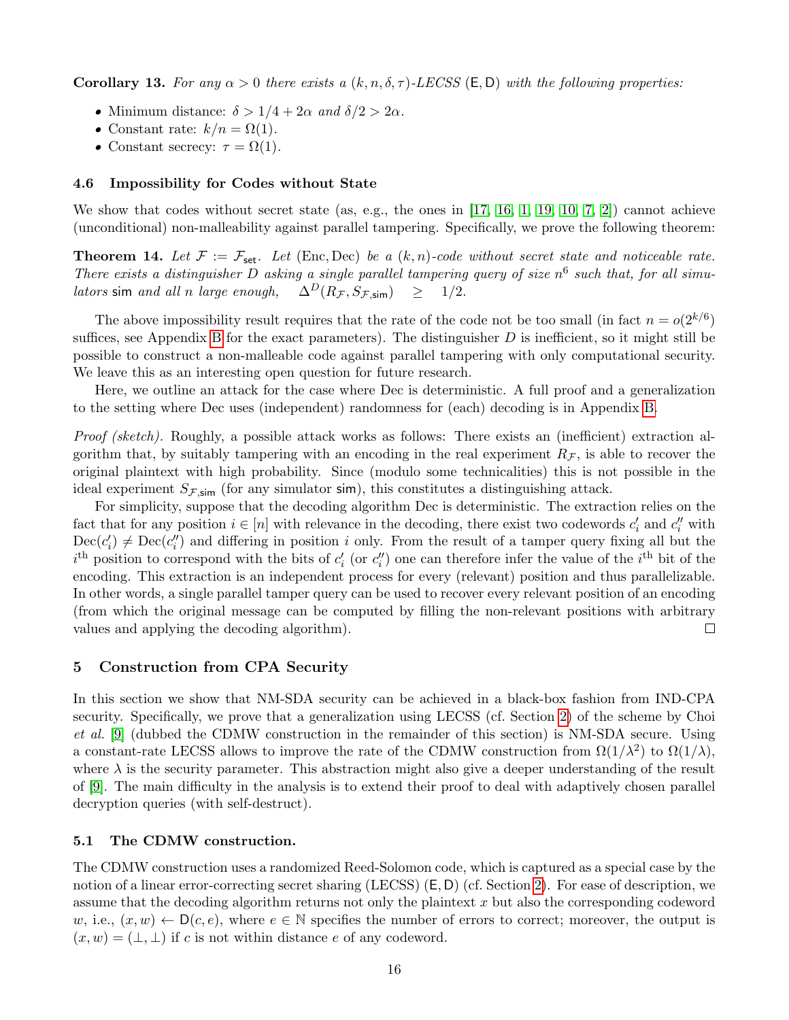<span id="page-16-4"></span>**Corollary 13.** For any  $\alpha > 0$  there exists a  $(k, n, \delta, \tau)$ -LECSS (E, D) with the following properties:

- Minimum distance:  $\delta > 1/4 + 2\alpha$  and  $\delta/2 > 2\alpha$ .
- Constant rate:  $k/n = \Omega(1)$ .
- Constant secrecy:  $\tau = \Omega(1)$ .

## <span id="page-16-0"></span>4.6 Impossibility for Codes without State

We show that codes without secret state (as, e.g., the ones in [\[17,](#page-23-8) [16,](#page-23-11) [1,](#page-23-12) [19,](#page-24-13) [10,](#page-23-6) [7,](#page-23-13) [2\]](#page-23-14)) cannot achieve (unconditional) non-malleability against parallel tampering. Specifically, we prove the following theorem:

<span id="page-16-3"></span>**Theorem 14.** Let  $\mathcal{F} := \mathcal{F}_{\text{set}}$ . Let (Enc, Dec) be a  $(k, n)$ -code without secret state and noticeable rate. There exists a distinguisher D asking a single parallel tampering query of size  $n^6$  such that, for all simu*lators* sim and all n large enough,  $\Delta^D(R_\mathcal{F}, S_{\mathcal{F},\mathsf{sim}}) \geq 1/2$ .

The above impossibility result requires that the rate of the code not be too small (in fact  $n = o(2^{k/6})$ ) suffices, see Appendix [B](#page-28-0) for the exact parameters). The distinguisher  $D$  is inefficient, so it might still be possible to construct a non-malleable code against parallel tampering with only computational security. We leave this as an interesting open question for future research.

Here, we outline an attack for the case where Dec is deterministic. A full proof and a generalization to the setting where Dec uses (independent) randomness for (each) decoding is in Appendix [B.](#page-28-0)

Proof (sketch). Roughly, a possible attack works as follows: There exists an (inefficient) extraction algorithm that, by suitably tampering with an encoding in the real experiment  $R_{\mathcal{F}}$ , is able to recover the original plaintext with high probability. Since (modulo some technicalities) this is not possible in the ideal experiment  $S_{\mathcal{F},\text{sim}}$  (for any simulator sim), this constitutes a distinguishing attack.

For simplicity, suppose that the decoding algorithm Dec is deterministic. The extraction relies on the fact that for any position  $i \in [n]$  with relevance in the decoding, there exist two codewords  $c'_i$  and  $c''_i$  with  $Dec(c_i') \neq Dec(c_i'')$  and differing in position i only. From the result of a tamper query fixing all but the  $i<sup>th</sup>$  position to correspond with the bits of  $c'_{i}$  (or  $c''_{i}$ ) one can therefore infer the value of the  $i<sup>th</sup>$  bit of the encoding. This extraction is an independent process for every (relevant) position and thus parallelizable. In other words, a single parallel tamper query can be used to recover every relevant position of an encoding (from which the original message can be computed by filling the non-relevant positions with arbitrary values and applying the decoding algorithm).  $\Box$ 

# <span id="page-16-1"></span>5 Construction from CPA Security

In this section we show that NM-SDA security can be achieved in a black-box fashion from IND-CPA security. Specifically, we prove that a generalization using LECSS (cf. Section [2\)](#page-5-0) of the scheme by Choi et al. [\[9\]](#page-23-1) (dubbed the CDMW construction in the remainder of this section) is NM-SDA secure. Using a constant-rate LECSS allows to improve the rate of the CDMW construction from  $\Omega(1/\lambda^2)$  to  $\Omega(1/\lambda)$ , where  $\lambda$  is the security parameter. This abstraction might also give a deeper understanding of the result of [\[9\]](#page-23-1). The main difficulty in the analysis is to extend their proof to deal with adaptively chosen parallel decryption queries (with self-destruct).

#### <span id="page-16-2"></span>5.1 The CDMW construction.

The CDMW construction uses a randomized Reed-Solomon code, which is captured as a special case by the notion of a linear error-correcting secret sharing (LECSS) (E, D) (cf. Section [2\)](#page-5-0). For ease of description, we assume that the decoding algorithm returns not only the plaintext x but also the corresponding codeword w, i.e.,  $(x, w) \leftarrow D(c, e)$ , where  $e \in \mathbb{N}$  specifies the number of errors to correct; moreover, the output is  $(x, w) = (\perp, \perp)$  if c is not within distance e of any codeword.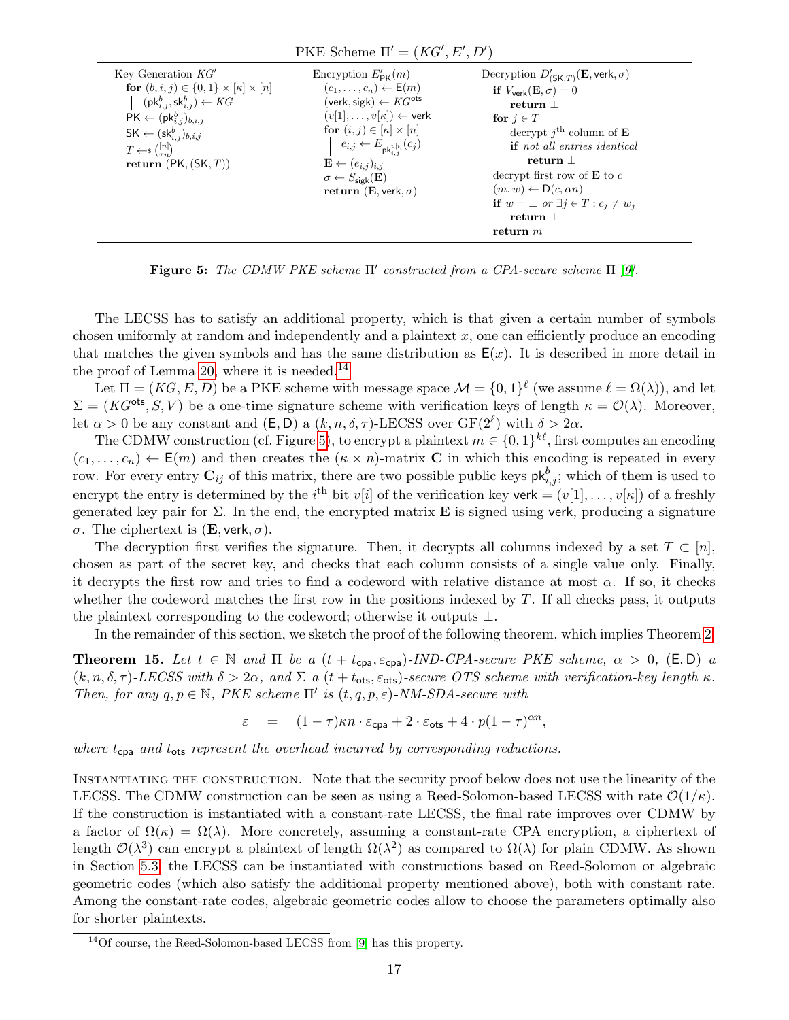<span id="page-17-1"></span>

| Key Generation $KG'$<br>Decryption $D'_{(\mathsf{SK},T)}(\mathbf{E}, \mathsf{verk}, \sigma)$<br>Encryption $E'_{\text{DK}}(m)$<br>$(c_1,\ldots,c_n) \leftarrow \mathsf{E}(m)$<br>for $(b, i, j) \in \{0, 1\} \times [\kappa] \times [n]$<br>if $V_{\text{verk}}(\mathbf{E}, \sigma) = 0$<br>$(\mathsf{pk}^b_{i,j},\mathsf{sk}^b_{i,j}) \leftarrow KG$<br>$(\text{verk}, \text{sigk}) \leftarrow KG^{\text{ots}}$<br>return $\perp$<br>$(v[1], \ldots, v[\kappa]) \leftarrow$ verk<br>$\mathsf{PK} \leftarrow (\mathsf{pk}^b_{i,j})_{b,i,j}$<br>for $j \in T$<br>for $(i, j) \in [\kappa] \times [n]$<br>decrypt $j^{\text{th}}$ column of <b>E</b><br>$\mathsf{SK} \leftarrow (\mathsf{sk}^b_{i,j})_{b,i,j}$<br>$e_{i,j} \leftarrow E_{\mathsf{pk}_{i,i}^{v[i]}}(c_j)$<br><b>if</b> not all entries identical<br>$T \leftarrow \{ \binom{[n]}{\sigma} \}$<br>return $\perp$<br>$\mathbf{E} \leftarrow (e_{i,j})_{i,j}$<br>return $(PK, (SK, T))$<br>decrypt first row of $E$ to c<br>$\sigma \leftarrow S_{\text{sigk}}(\mathbf{E})$<br>$(m, w) \leftarrow D(c, \alpha n)$<br>return (E, verk, $\sigma$ )<br>if $w = \bot$ or $\exists j \in T : c_j \neq w_j$<br>return $\perp$<br>return $m$ |  |
|------------------------------------------------------------------------------------------------------------------------------------------------------------------------------------------------------------------------------------------------------------------------------------------------------------------------------------------------------------------------------------------------------------------------------------------------------------------------------------------------------------------------------------------------------------------------------------------------------------------------------------------------------------------------------------------------------------------------------------------------------------------------------------------------------------------------------------------------------------------------------------------------------------------------------------------------------------------------------------------------------------------------------------------------------------------------------------------------------------------------------------------------------------------------------------------------|--|

Figure 5: The CDMW PKE scheme  $\Pi'$  constructed from a CPA-secure scheme  $\Pi$  [\[9\]](#page-23-1).

The LECSS has to satisfy an additional property, which is that given a certain number of symbols chosen uniformly at random and independently and a plaintext  $x$ , one can efficiently produce an encoding that matches the given symbols and has the same distribution as  $E(x)$ . It is described in more detail in the proof of Lemma [20,](#page-20-1) where it is needed.<sup>[14](#page-17-0)</sup>

Let  $\Pi = (KG, E, D)$  be a PKE scheme with message space  $\mathcal{M} = \{0, 1\}^{\ell}$  (we assume  $\ell = \Omega(\lambda)$ ), and let  $\Sigma = (KG^{\text{ots}}, S, V)$  be a one-time signature scheme with verification keys of length  $\kappa = \mathcal{O}(\lambda)$ . Moreover, let  $\alpha > 0$  be any constant and  $(E, D)$  a  $(k, n, \delta, \tau)$ -LECSS over  $GF(2^{\ell})$  with  $\delta > 2\alpha$ .

The CDMW construction (cf. Figure [5\)](#page-17-1), to encrypt a plaintext  $m \in \{0,1\}^{k\ell}$ , first computes an encoding  $(c_1, \ldots, c_n) \leftarrow \mathsf{E}(m)$  and then creates the  $(\kappa \times n)$ -matrix **C** in which this encoding is repeated in every row. For every entry  $\mathbf{C}_{ij}$  of this matrix, there are two possible public keys  $\mathsf{pk}^b_{i,j}$ ; which of them is used to encrypt the entry is determined by the i<sup>th</sup> bit v[i] of the verification key verk =  $(v[1], \ldots, v[\kappa])$  of a freshly generated key pair for  $\Sigma$ . In the end, the encrypted matrix **E** is signed using verk, producing a signature σ. The ciphertext is (E, verk, σ).

The decryption first verifies the signature. Then, it decrypts all columns indexed by a set  $T \subset [n]$ , chosen as part of the secret key, and checks that each column consists of a single value only. Finally, it decrypts the first row and tries to find a codeword with relative distance at most  $\alpha$ . If so, it checks whether the codeword matches the first row in the positions indexed by  $T$ . If all checks pass, it outputs the plaintext corresponding to the codeword; otherwise it outputs ⊥.

In the remainder of this section, we sketch the proof of the following theorem, which implies Theorem [2.](#page-4-2)

<span id="page-17-2"></span>**Theorem 15.** Let  $t \in \mathbb{N}$  and  $\Pi$  be a  $(t + t_{cpa}, \varepsilon_{cpa})$ -IND-CPA-secure PKE scheme,  $\alpha > 0$ ,  $(E, D)$  a  $(k, n, \delta, \tau)$ -LECSS with  $\delta > 2\alpha$ , and  $\Sigma$  a  $(t + t_{\text{ots}}, \varepsilon_{\text{ots}})$ -secure OTS scheme with verification-key length  $\kappa$ . Then, for any  $q, p \in \mathbb{N}$ , PKE scheme  $\Pi'$  is  $(t, q, p, \varepsilon)$ -NM-SDA-secure with

$$
\varepsilon = (1 - \tau)\kappa n \cdot \varepsilon_{\text{cpa}} + 2 \cdot \varepsilon_{\text{ots}} + 4 \cdot p(1 - \tau)^{\alpha n},
$$

where  $t_{\text{cpa}}$  and  $t_{\text{ots}}$  represent the overhead incurred by corresponding reductions.

Instantiating the construction. Note that the security proof below does not use the linearity of the LECSS. The CDMW construction can be seen as using a Reed-Solomon-based LECSS with rate  $\mathcal{O}(1/\kappa)$ . If the construction is instantiated with a constant-rate LECSS, the final rate improves over CDMW by a factor of  $\Omega(\kappa) = \Omega(\lambda)$ . More concretely, assuming a constant-rate CPA encryption, a ciphertext of length  $\mathcal{O}(\lambda^3)$  can encrypt a plaintext of length  $\Omega(\lambda^2)$  as compared to  $\Omega(\lambda)$  for plain CDMW. As shown in Section [5.3,](#page-21-1) the LECSS can be instantiated with constructions based on Reed-Solomon or algebraic geometric codes (which also satisfy the additional property mentioned above), both with constant rate. Among the constant-rate codes, algebraic geometric codes allow to choose the parameters optimally also for shorter plaintexts.

<span id="page-17-0"></span> $14$ Of course, the Reed-Solomon-based LECSS from [\[9\]](#page-23-1) has this property.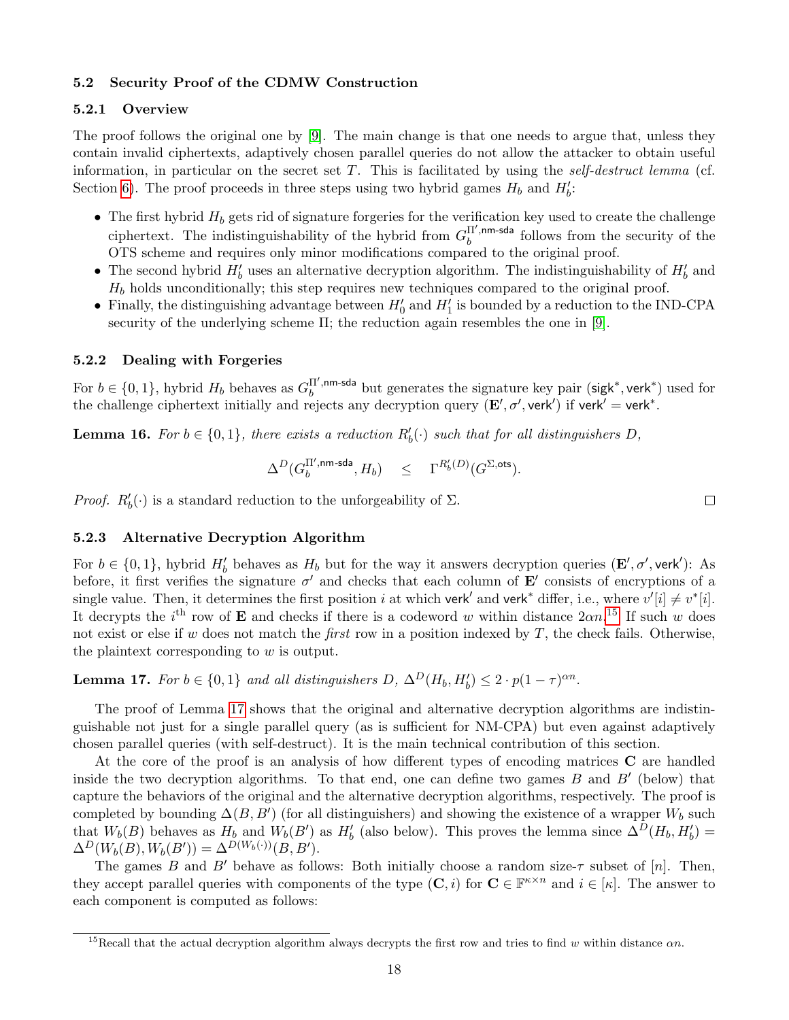# <span id="page-18-0"></span>5.2 Security Proof of the CDMW Construction

# <span id="page-18-1"></span>5.2.1 Overview

The proof follows the original one by [\[9\]](#page-23-1). The main change is that one needs to argue that, unless they contain invalid ciphertexts, adaptively chosen parallel queries do not allow the attacker to obtain useful information, in particular on the secret set  $T$ . This is facilitated by using the self-destruct lemma (cf. Section [6\)](#page-21-2). The proof proceeds in three steps using two hybrid games  $H_b$  and  $H'_b$ :

- The first hybrid  $H_b$  gets rid of signature forgeries for the verification key used to create the challenge ciphertext. The indistinguishability of the hybrid from  $G<sub>h</sub>^{\Pi',nm-sda}$  $b<sub>b</sub>$ <sup>II',nm-sda</sup> follows from the security of the OTS scheme and requires only minor modifications compared to the original proof.
- The second hybrid  $H'_b$  uses an alternative decryption algorithm. The indistinguishability of  $H'_b$  and  $H_b$  holds unconditionally; this step requires new techniques compared to the original proof.
- Finally, the distinguishing advantage between  $H'_0$  and  $H'_1$  is bounded by a reduction to the IND-CPA security of the underlying scheme  $\Pi$ ; the reduction again resembles the one in [\[9\]](#page-23-1).

# <span id="page-18-2"></span>5.2.2 Dealing with Forgeries

For  $b \in \{0, 1\}$ , hybrid  $H_b$  behaves as  $G_b^{\Pi', \text{nm-sda}}$  $b^{\text{II}',\text{nm-sda}}$  but generates the signature key pair (sigk<sup>\*</sup>, verk<sup>\*</sup>) used for the challenge ciphertext initially and rejects any decryption query  $(E', \sigma', \text{verk}')$  if verk' = verk<sup>\*</sup>.

<span id="page-18-6"></span>**Lemma 16.** For  $b \in \{0,1\}$ , there exists a reduction  $R'_b(\cdot)$  such that for all distinguishers D,

$$
\Delta^D(G_b^{\Pi',\text{nm-sda}},H_b) \quad \leq \quad \Gamma^{R'_b(D)}(G^{\Sigma,\text{ots}}).
$$

*Proof.*  $R'_b(\cdot)$  is a standard reduction to the unforgeability of  $\Sigma$ .

 $\Box$ 

# <span id="page-18-3"></span>5.2.3 Alternative Decryption Algorithm

For  $b \in \{0,1\}$ , hybrid  $H'_b$  behaves as  $H_b$  but for the way it answers decryption queries  $(\mathbf{E}', \sigma', \text{verk}')$ : As before, it first verifies the signature  $\sigma'$  and checks that each column of  $\mathbf{E}'$  consists of encryptions of a single value. Then, it determines the first position i at which verk<sup>'</sup> and verk<sup>\*</sup> differ, i.e., where  $v'[i] \neq v^*[i]$ . It decrypts the i<sup>th</sup> row of **E** and checks if there is a codeword w within distance  $2\alpha n$ .<sup>[15](#page-18-4)</sup> If such w does not exist or else if w does not match the *first* row in a position indexed by  $T$ , the check fails. Otherwise, the plaintext corresponding to  $w$  is output.

<span id="page-18-5"></span>**Lemma 17.** For  $b \in \{0, 1\}$  and all distinguishers D,  $\Delta^D(H_b, H_b') \leq 2 \cdot p(1-\tau)^{\alpha n}$ .

The proof of Lemma [17](#page-18-5) shows that the original and alternative decryption algorithms are indistinguishable not just for a single parallel query (as is sufficient for NM-CPA) but even against adaptively chosen parallel queries (with self-destruct). It is the main technical contribution of this section.

At the core of the proof is an analysis of how different types of encoding matrices C are handled inside the two decryption algorithms. To that end, one can define two games  $B$  and  $B'$  (below) that capture the behaviors of the original and the alternative decryption algorithms, respectively. The proof is completed by bounding  $\Delta(B, B')$  (for all distinguishers) and showing the existence of a wrapper  $W_b$  such that  $W_b(B)$  behaves as  $H_b$  and  $W_b(B')$  as  $H'_b$  (also below). This proves the lemma since  $\Delta^D(H_b, H'_b)$  $\Delta^D(W_b(B), W_b(B')) = \Delta^{D(W_b(\cdot))}(B, B').$ 

The games B and B' behave as follows: Both initially choose a random size- $\tau$  subset of [n]. Then, they accept parallel queries with components of the type  $(C, i)$  for  $C \in \mathbb{F}^{\kappa \times n}$  and  $i \in [\kappa]$ . The answer to each component is computed as follows:

<span id="page-18-4"></span><sup>&</sup>lt;sup>15</sup>Recall that the actual decryption algorithm always decrypts the first row and tries to find w within distance  $\alpha n$ .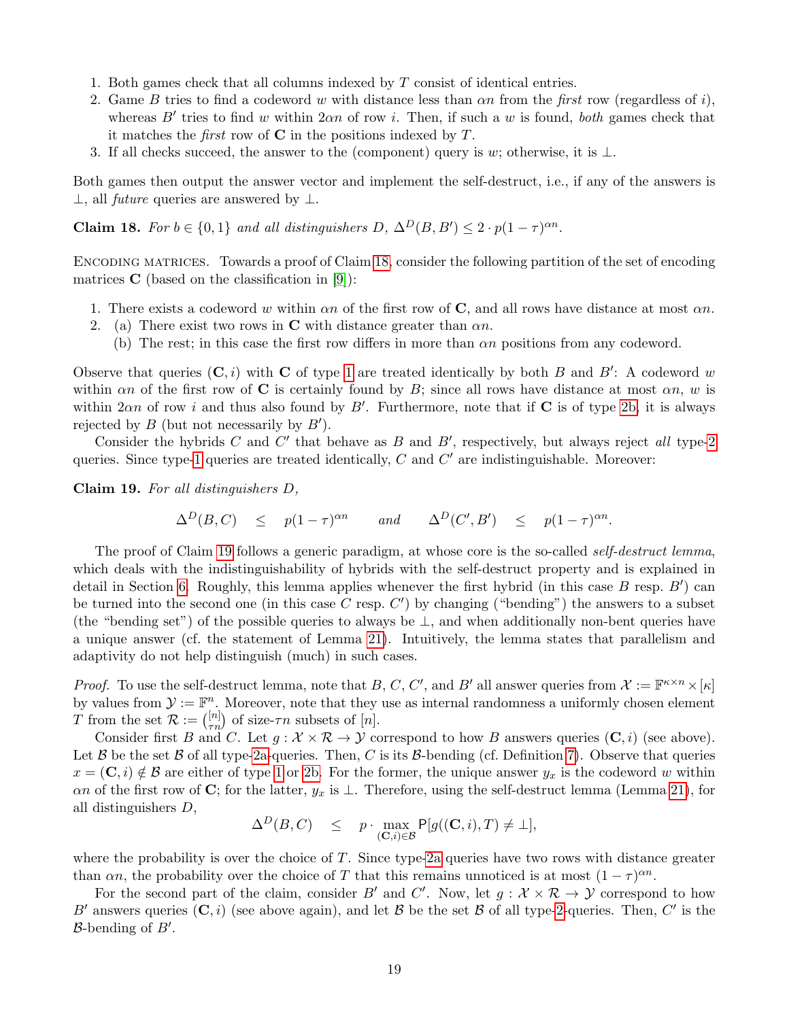- 1. Both games check that all columns indexed by T consist of identical entries.
- 2. Game B tries to find a codeword w with distance less than  $\alpha n$  from the first row (regardless of i), whereas  $B'$  tries to find w within  $2\alpha n$  of row i. Then, if such a w is found, both games check that it matches the *first* row of  $C$  in the positions indexed by  $T$ .
- 3. If all checks succeed, the answer to the (component) query is w; otherwise, it is  $\perp$ .

Both games then output the answer vector and implement the self-destruct, i.e., if any of the answers is  $\perp$ , all *future* queries are answered by  $\perp$ .

<span id="page-19-0"></span>**Claim 18.** For  $b \in \{0,1\}$  and all distinguishers  $D, \Delta^D(B, B') \leq 2 \cdot p(1-\tau)^{\alpha n}$ .

Encoding matrices. Towards a proof of Claim [18,](#page-19-0) consider the following partition of the set of encoding matrices  $C$  (based on the classification in [\[9\]](#page-23-1)):

- <span id="page-19-1"></span>1. There exists a codeword w within  $\alpha n$  of the first row of C, and all rows have distance at most  $\alpha n$ .
- <span id="page-19-3"></span><span id="page-19-2"></span>2. (a) There exist two rows in C with distance greater than  $\alpha n$ .
	- (b) The rest; in this case the first row differs in more than  $\alpha n$  positions from any codeword.

Observe that queries  $(C, i)$  with C of type [1](#page-19-1) are treated identically by both B and B': A codeword w within  $\alpha n$  of the first row of C is certainly found by B; since all rows have distance at most  $\alpha n$ , w is within  $2\alpha n$  of row i and thus also found by B'. Furthermore, note that if C is of type [2b,](#page-19-2) it is always rejected by  $B$  (but not necessarily by  $B'$ ).

Consider the hybrids C and  $C'$  that behave as B and  $B'$ , respectively, but always reject all type[-2](#page-19-3) queries. Since type[-1](#page-19-1) queries are treated identically,  $C$  and  $C'$  are indistinguishable. Moreover:

<span id="page-19-4"></span>Claim 19. For all distinguishers D,

$$
\Delta^D(B,C) \leq p(1-\tau)^{\alpha n} \quad \text{and} \quad \Delta^D(C',B') \leq p(1-\tau)^{\alpha n}.
$$

The proof of Claim [19](#page-19-4) follows a generic paradigm, at whose core is the so-called self-destruct lemma, which deals with the indistinguishability of hybrids with the self-destruct property and is explained in detail in Section [6.](#page-21-2) Roughly, this lemma applies whenever the first hybrid (in this case  $B$  resp.  $B'$ ) can be turned into the second one (in this case  $C$  resp.  $C'$ ) by changing ("bending") the answers to a subset (the "bending set") of the possible queries to always be ⊥, and when additionally non-bent queries have a unique answer (cf. the statement of Lemma [21\)](#page-22-0). Intuitively, the lemma states that parallelism and adaptivity do not help distinguish (much) in such cases.

*Proof.* To use the self-destruct lemma, note that B, C, C', and B' all answer queries from  $\mathcal{X} := \mathbb{F}^{\kappa \times n} \times [\kappa]$ by values from  $\mathcal{Y} := \mathbb{F}^n$ . Moreover, note that they use as internal randomness a uniformly chosen element T from the set  $\mathcal{R} := \binom{[n]}{\tau n}$  of size- $\tau n$  subsets of  $[n]$ .

Consider first B and C. Let  $q : \mathcal{X} \times \mathcal{R} \to \mathcal{Y}$  correspond to how B answers queries  $(C, i)$  (see above). Let B be the set B of all type[-2a-](#page-19-3)queries. Then, C is its B-bending (cf. Definition [7\)](#page-22-1). Observe that queries  $x = (\mathbf{C}, i) \notin \mathcal{B}$  are either of type [1](#page-19-1) or [2b.](#page-19-2) For the former, the unique answer  $y_x$  is the codeword w within an of the first row of C; for the latter,  $y_x$  is  $\perp$ . Therefore, using the self-destruct lemma (Lemma [21\)](#page-22-0), for all distinguishers D,

$$
\Delta^D(B,C) \quad \leq \quad p \cdot \max_{(\mathbf{C},i) \in \mathcal{B}} \mathsf{P}[g((\mathbf{C},i),T) \neq \bot],
$$

where the probability is over the choice of  $T$ . Since type[-2a](#page-19-3) queries have two rows with distance greater than  $\alpha n$ , the probability over the choice of T that this remains unnoticed is at most  $(1 - \tau)^{\alpha n}$ .

For the second part of the claim, consider B' and C'. Now, let  $g: \mathcal{X} \times \mathcal{R} \to \mathcal{Y}$  correspond to how B' answers queries  $(C, i)$  (see above again), and let B be the set B of all type[-2-](#page-19-3)queries. Then, C' is the  $B$ -bending of  $B'$ .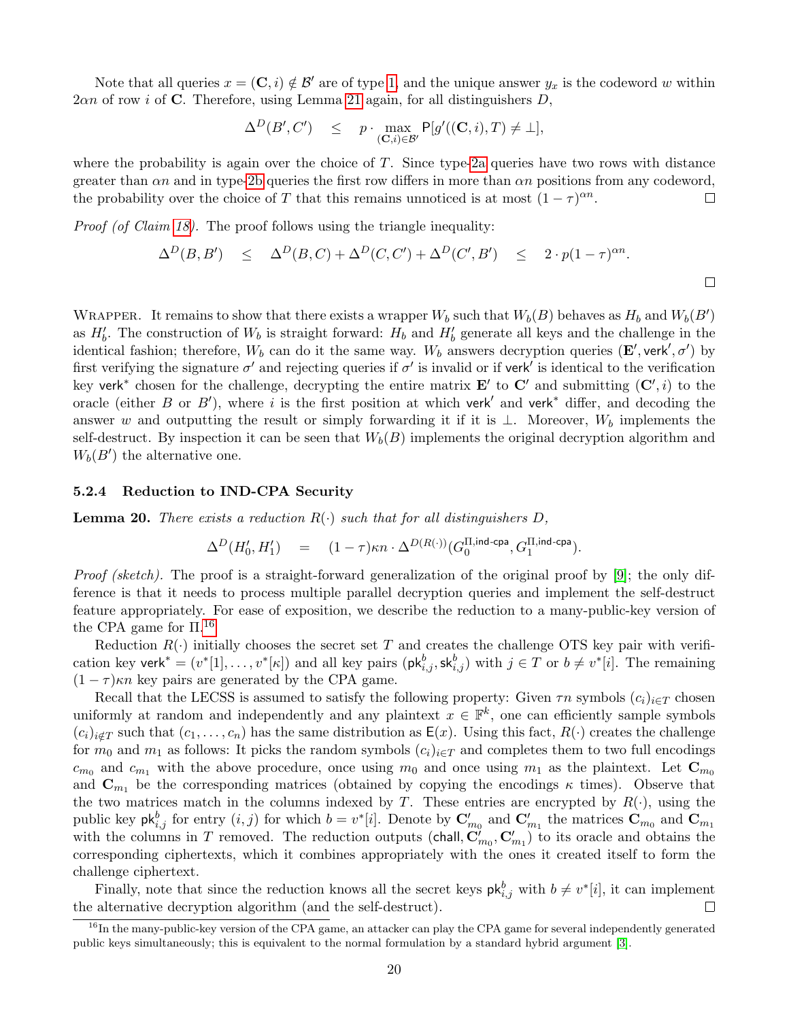Note that all queries  $x = (\mathbf{C}, i) \notin \mathcal{B}'$  are of type [1,](#page-19-1) and the unique answer  $y_x$  is the codeword w within  $2\alpha n$  of row *i* of C. Therefore, using Lemma [21](#page-22-0) again, for all distinguishers D,

$$
\Delta^D(B', C') \leq p \cdot \max_{(\mathbf{C}, i) \in \mathcal{B}'} \mathsf{P}[g'((\mathbf{C}, i), T) \neq \bot],
$$

where the probability is again over the choice of  $T$ . Since type[-2a](#page-19-3) queries have two rows with distance greater than  $\alpha n$  and in type[-2b](#page-19-2) queries the first row differs in more than  $\alpha n$  positions from any codeword, the probability over the choice of T that this remains unnoticed is at most  $(1 - \tau)^{\alpha n}$ .  $\Box$ 

Proof (of Claim [18\)](#page-19-0). The proof follows using the triangle inequality:

$$
\Delta^D(B, B') \leq \Delta^D(B, C) + \Delta^D(C, C') + \Delta^D(C', B') \leq 2 \cdot p(1-\tau)^{\alpha n}.
$$

WRAPPER. It remains to show that there exists a wrapper  $W_b$  such that  $W_b(B)$  behaves as  $H_b$  and  $W_b(B')$ as  $H'_b$ . The construction of  $W_b$  is straight forward:  $H_b$  and  $H'_b$  generate all keys and the challenge in the identical fashion; therefore,  $W_b$  can do it the same way.  $W_b$  answers decryption queries  $(\mathbf{E}', \text{verk}', \sigma')$  by first verifying the signature  $\sigma'$  and rejecting queries if  $\sigma'$  is invalid or if verk' is identical to the verification key verk<sup>\*</sup> chosen for the challenge, decrypting the entire matrix  $\mathbf{E}'$  to  $\mathbf{C}'$  and submitting  $(\mathbf{C}',i)$  to the oracle (either B or B'), where i is the first position at which verk<sup>'</sup> and verk<sup>\*</sup> differ, and decoding the answer w and outputting the result or simply forwarding it if it is ⊥. Moreover,  $W<sub>b</sub>$  implements the self-destruct. By inspection it can be seen that  $W_b(B)$  implements the original decryption algorithm and  $W_b(B')$  the alternative one.

#### <span id="page-20-0"></span>5.2.4 Reduction to IND-CPA Security

<span id="page-20-1"></span>**Lemma 20.** There exists a reduction  $R(\cdot)$  such that for all distinguishers D.

$$
\Delta^D(H_0',H_1')\quad =\quad (1-\tau)\kappa n\cdot \Delta^{D(R(\cdot))}(G_0^{\Pi,\text{ind-cpa}},G_1^{\Pi,\text{ind-cpa}}).
$$

Proof (sketch). The proof is a straight-forward generalization of the original proof by [\[9\]](#page-23-1); the only difference is that it needs to process multiple parallel decryption queries and implement the self-destruct feature appropriately. For ease of exposition, we describe the reduction to a many-public-key version of the CPA game for  $\Pi$ <sup>[16](#page-20-2)</sup>

Reduction  $R(\cdot)$  initially chooses the secret set T and creates the challenge OTS key pair with verification key verk<sup>\*</sup> =  $(v^*[1], \ldots, v^*[\kappa])$  and all key pairs  $(\mathsf{pk}^b_{i,j}, \mathsf{sk}^b_{i,j})$  with  $j \in T$  or  $b \neq v^*[i]$ . The remaining  $(1 - \tau)\kappa n$  key pairs are generated by the CPA game.

Recall that the LECSS is assumed to satisfy the following property: Given  $\tau n$  symbols  $(c_i)_{i\in\mathcal{I}}$  chosen uniformly at random and independently and any plaintext  $x \in \mathbb{F}^k$ , one can efficiently sample symbols  $(c_i)_{i \notin T}$  such that  $(c_1, \ldots, c_n)$  has the same distribution as  $\mathsf{E}(x)$ . Using this fact,  $R(\cdot)$  creates the challenge for  $m_0$  and  $m_1$  as follows: It picks the random symbols  $(c_i)_{i\in\mathcal{I}}$  and completes them to two full encodings  $c_{m_0}$  and  $c_{m_1}$  with the above procedure, once using  $m_0$  and once using  $m_1$  as the plaintext. Let  $\mathbf{C}_{m_0}$ and  $\mathbf{C}_{m_1}$  be the corresponding matrices (obtained by copying the encodings  $\kappa$  times). Observe that the two matrices match in the columns indexed by T. These entries are encrypted by  $R(\cdot)$ , using the public key  $\mathsf{pk}_{i,j}^b$  for entry  $(i, j)$  for which  $b = v^*[i]$ . Denote by  $\mathbf{C}'_{m_0}$  and  $\mathbf{C}'_{m_1}$  the matrices  $\mathbf{C}_{m_0}$  and  $\mathbf{C}_{m_1}$ with the columns in T removed. The reduction outputs (chall,  $\mathbf{C}_{m_0}^{\prime}, \mathbf{C}_{m_1}^{\prime}$ ) to its oracle and obtains the corresponding ciphertexts, which it combines appropriately with the ones it created itself to form the challenge ciphertext.

Finally, note that since the reduction knows all the secret keys  $\mathsf{pk}_{i,j}^b$  with  $b \neq v^*[i]$ , it can implement the alternative decryption algorithm (and the self-destruct).  $\Box$ 

<span id="page-20-2"></span> $^{16}$ In the many-public-key version of the CPA game, an attacker can play the CPA game for several independently generated public keys simultaneously; this is equivalent to the normal formulation by a standard hybrid argument [\[3\]](#page-23-15).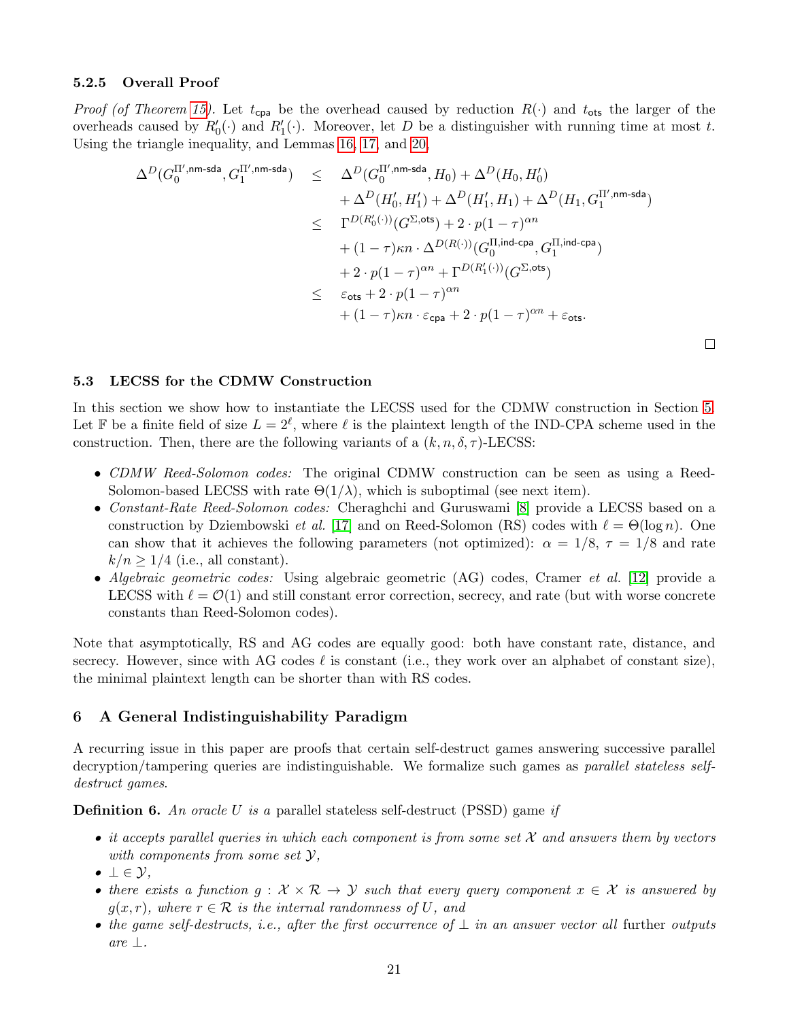#### <span id="page-21-0"></span>5.2.5 Overall Proof

*Proof (of Theorem [15\)](#page-17-2).* Let  $t_{cpa}$  be the overhead caused by reduction  $R(\cdot)$  and  $t_{ots}$  the larger of the overheads caused by  $R'_0(\cdot)$  and  $R'_1(\cdot)$ . Moreover, let D be a distinguisher with running time at most t. Using the triangle inequality, and Lemmas [16,](#page-18-6) [17,](#page-18-5) and [20,](#page-20-1)

$$
\begin{array}{lcl} \Delta^D(G_0^{\Pi',\mathsf{nm}\text{-}\mathsf{sda}}, G_1^{\Pi',\mathsf{nm}\text{-}\mathsf{sda}}) & \leq & \Delta^D(G_0^{\Pi',\mathsf{nm}\text{-}\mathsf{sda}}, H_0) + \Delta^D(H_0,H_0') \\ & & + \Delta^D(H_0',H_1') + \Delta^D(H_1',H_1) + \Delta^D(H_1,G_1^{\Pi',\mathsf{nm}\text{-}\mathsf{sda}}) \\ & \leq & \Gamma^{D(R_0'(\cdot))}(G^{\Sigma,\mathsf{ots}}) + 2 \cdot p(1-\tau)^{\alpha n} \\ & & + (1-\tau)\kappa n \cdot \Delta^{D(R(\cdot))}(G_0^{\Pi,\mathsf{ind}\text{-}\mathsf{cpa}},G_1^{\Pi,\mathsf{ind}\text{-}\mathsf{cpa}}) \\ & & + 2 \cdot p(1-\tau)^{\alpha n} + \Gamma^{D(R_1'(\cdot))}(G^{\Sigma,\mathsf{ots}}) \\ & & \leq & \varepsilon_{\mathsf{ots}} + 2 \cdot p(1-\tau)^{\alpha n} \\ & & + (1-\tau)\kappa n \cdot \varepsilon_{\mathsf{cpa}} + 2 \cdot p(1-\tau)^{\alpha n} + \varepsilon_{\mathsf{ots}}. \end{array}
$$

 $\Box$ 

## <span id="page-21-1"></span>5.3 LECSS for the CDMW Construction

In this section we show how to instantiate the LECSS used for the CDMW construction in Section [5.](#page-16-1) Let F be a finite field of size  $L = 2^{\ell}$ , where  $\ell$  is the plaintext length of the IND-CPA scheme used in the construction. Then, there are the following variants of a  $(k, n, \delta, \tau)$ -LECSS:

- CDMW Reed-Solomon codes: The original CDMW construction can be seen as using a Reed-Solomon-based LECSS with rate  $\Theta(1/\lambda)$ , which is suboptimal (see next item).
- Constant-Rate Reed-Solomon codes: Cheraghchi and Guruswami [\[8\]](#page-23-16) provide a LECSS based on a construction by Dziembowski *et al.* [\[17\]](#page-23-8) and on Reed-Solomon (RS) codes with  $\ell = \Theta(\log n)$ . One can show that it achieves the following parameters (not optimized):  $\alpha = 1/8$ ,  $\tau = 1/8$  and rate  $k/n \geq 1/4$  (i.e., all constant).
- Algebraic geometric codes: Using algebraic geometric (AG) codes, Cramer et al. [\[12\]](#page-23-7) provide a LECSS with  $\ell = \mathcal{O}(1)$  and still constant error correction, secrecy, and rate (but with worse concrete constants than Reed-Solomon codes).

Note that asymptotically, RS and AG codes are equally good: both have constant rate, distance, and secrecy. However, since with AG codes  $\ell$  is constant (i.e., they work over an alphabet of constant size), the minimal plaintext length can be shorter than with RS codes.

## <span id="page-21-2"></span>6 A General Indistinguishability Paradigm

A recurring issue in this paper are proofs that certain self-destruct games answering successive parallel decryption/tampering queries are indistinguishable. We formalize such games as *parallel stateless self*destruct games.

<span id="page-21-3"></span>**Definition 6.** An oracle U is a parallel stateless self-destruct (PSSD) game if

- it accepts parallel queries in which each component is from some set  $\mathcal X$  and answers them by vectors with components from some set  $\mathcal{Y},$
- $\bullet \perp \in \mathcal{Y},$
- there exists a function  $g: \mathcal{X} \times \mathcal{R} \to \mathcal{Y}$  such that every query component  $x \in \mathcal{X}$  is answered by  $g(x, r)$ , where  $r \in \mathcal{R}$  is the internal randomness of U, and
- the game self-destructs, i.e., after the first occurrence of  $\perp$  in an answer vector all further outputs are ⊥.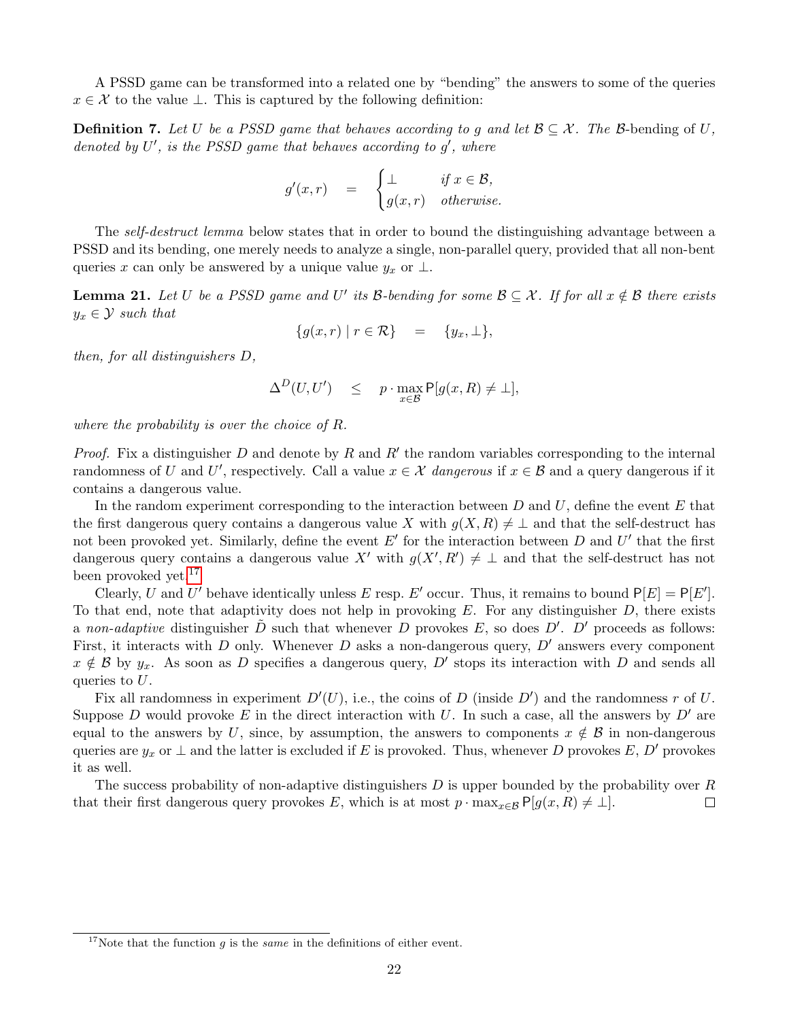A PSSD game can be transformed into a related one by "bending" the answers to some of the queries  $x \in \mathcal{X}$  to the value  $\perp$ . This is captured by the following definition:

<span id="page-22-1"></span>**Definition 7.** Let U be a PSSD game that behaves according to g and let  $\mathcal{B} \subseteq \mathcal{X}$ . The B-bending of U, denoted by  $U'$ , is the PSSD game that behaves according to  $g'$ , where

$$
g'(x,r) = \begin{cases} \perp & \text{if } x \in \mathcal{B}, \\ g(x,r) & \text{otherwise.} \end{cases}
$$

The self-destruct lemma below states that in order to bound the distinguishing advantage between a PSSD and its bending, one merely needs to analyze a single, non-parallel query, provided that all non-bent queries x can only be answered by a unique value  $y_x$  or  $\perp$ .

<span id="page-22-0"></span>**Lemma 21.** Let U be a PSSD game and U' its B-bending for some  $\mathcal{B} \subseteq \mathcal{X}$ . If for all  $x \notin \mathcal{B}$  there exists  $y_x \in \mathcal{Y}$  such that

$$
\{g(x,r) \mid r \in \mathcal{R}\} = \{y_x, \perp\},\
$$

then, for all distinguishers D,

$$
\Delta^D(U, U') \leq p \cdot \max_{x \in \mathcal{B}} \mathsf{P}[g(x, R) \neq \bot],
$$

where the probability is over the choice of R.

*Proof.* Fix a distinguisher  $D$  and denote by  $R$  and  $R'$  the random variables corresponding to the internal randomness of U and U', respectively. Call a value  $x \in \mathcal{X}$  dangerous if  $x \in \mathcal{B}$  and a query dangerous if it contains a dangerous value.

In the random experiment corresponding to the interaction between  $D$  and  $U$ , define the event  $E$  that the first dangerous query contains a dangerous value X with  $g(X, R) \neq \perp$  and that the self-destruct has not been provoked yet. Similarly, define the event  $E'$  for the interaction between  $D$  and  $U'$  that the first dangerous query contains a dangerous value X' with  $g(X', R') \neq \perp$  and that the self-destruct has not been provoked yet.<sup>[17](#page-22-2)</sup>

Clearly, U and U' behave identically unless E resp. E' occur. Thus, it remains to bound  $P[E] = P[E']$ . To that end, note that adaptivity does not help in provoking  $E$ . For any distinguisher  $D$ , there exists a non-adaptive distinguisher  $\tilde{D}$  such that whenever D provokes E, so does D'. D' proceeds as follows: First, it interacts with D only. Whenever D asks a non-dangerous query,  $D'$  answers every component  $x \notin \mathcal{B}$  by  $y_x$ . As soon as D specifies a dangerous query, D' stops its interaction with D and sends all queries to  $U$ .

Fix all randomness in experiment  $D'(U)$ , i.e., the coins of D (inside  $D'$ ) and the randomness r of U. Suppose D would provoke E in the direct interaction with U. In such a case, all the answers by  $D'$  are equal to the answers by U, since, by assumption, the answers to components  $x \notin \mathcal{B}$  in non-dangerous queries are  $y_x$  or  $\perp$  and the latter is excluded if E is provoked. Thus, whenever D provokes E, D' provokes it as well.

The success probability of non-adaptive distinguishers  $D$  is upper bounded by the probability over  $R$ that their first dangerous query provokes E, which is at most  $p \cdot \max_{x \in \mathcal{B}} P[g(x, R) \neq \bot].$  $\Box$ 

<span id="page-22-2"></span><sup>&</sup>lt;sup>17</sup>Note that the function g is the *same* in the definitions of either event.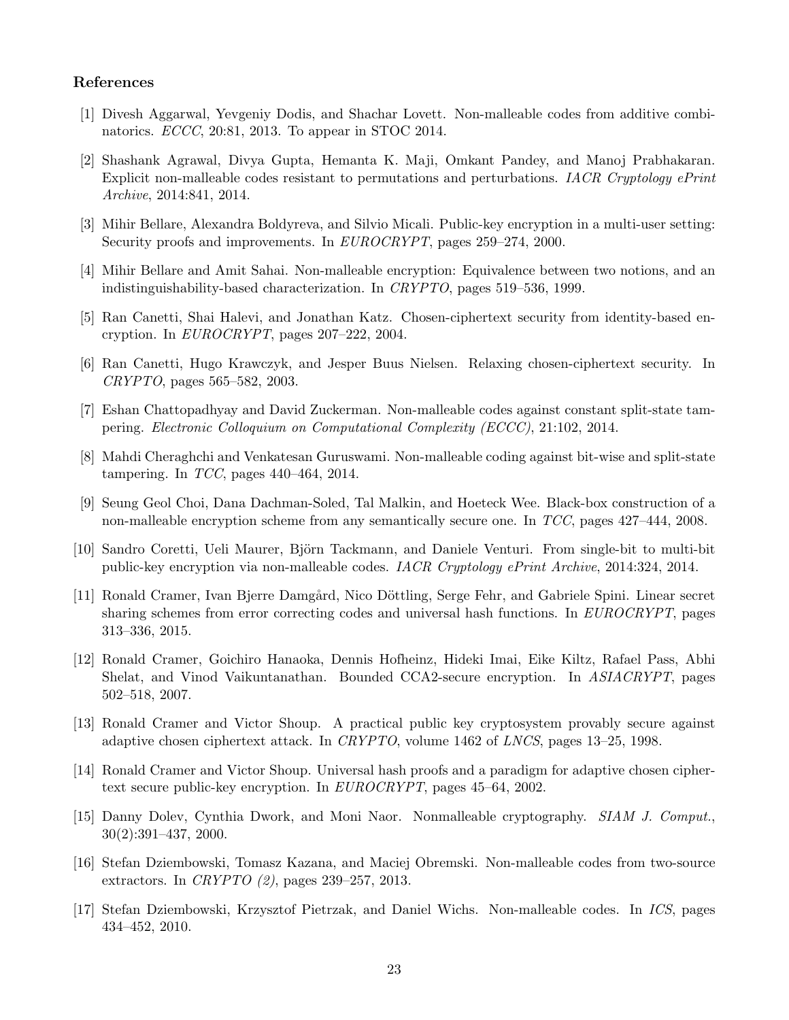## References

- <span id="page-23-12"></span>[1] Divesh Aggarwal, Yevgeniy Dodis, and Shachar Lovett. Non-malleable codes from additive combinatorics. ECCC, 20:81, 2013. To appear in STOC 2014.
- <span id="page-23-14"></span>[2] Shashank Agrawal, Divya Gupta, Hemanta K. Maji, Omkant Pandey, and Manoj Prabhakaran. Explicit non-malleable codes resistant to permutations and perturbations. IACR Cryptology ePrint Archive, 2014:841, 2014.
- <span id="page-23-15"></span>[3] Mihir Bellare, Alexandra Boldyreva, and Silvio Micali. Public-key encryption in a multi-user setting: Security proofs and improvements. In *EUROCRYPT*, pages 259–274, 2000.
- <span id="page-23-5"></span>[4] Mihir Bellare and Amit Sahai. Non-malleable encryption: Equivalence between two notions, and an indistinguishability-based characterization. In CRYPTO, pages 519–536, 1999.
- <span id="page-23-2"></span>[5] Ran Canetti, Shai Halevi, and Jonathan Katz. Chosen-ciphertext security from identity-based encryption. In EUROCRYPT, pages 207–222, 2004.
- <span id="page-23-9"></span>[6] Ran Canetti, Hugo Krawczyk, and Jesper Buus Nielsen. Relaxing chosen-ciphertext security. In CRYPTO, pages 565–582, 2003.
- <span id="page-23-13"></span>[7] Eshan Chattopadhyay and David Zuckerman. Non-malleable codes against constant split-state tampering. Electronic Colloquium on Computational Complexity (ECCC), 21:102, 2014.
- <span id="page-23-16"></span>[8] Mahdi Cheraghchi and Venkatesan Guruswami. Non-malleable coding against bit-wise and split-state tampering. In  $TCC$ , pages 440–464, 2014.
- <span id="page-23-1"></span>[9] Seung Geol Choi, Dana Dachman-Soled, Tal Malkin, and Hoeteck Wee. Black-box construction of a non-malleable encryption scheme from any semantically secure one. In TCC, pages 427–444, 2008.
- <span id="page-23-6"></span>[10] Sandro Coretti, Ueli Maurer, Björn Tackmann, and Daniele Venturi. From single-bit to multi-bit public-key encryption via non-malleable codes. IACR Cryptology ePrint Archive, 2014:324, 2014.
- <span id="page-23-10"></span>[11] Ronald Cramer, Ivan Bjerre Damgård, Nico Döttling, Serge Fehr, and Gabriele Spini. Linear secret sharing schemes from error correcting codes and universal hash functions. In EUROCRYPT, pages 313–336, 2015.
- <span id="page-23-7"></span>[12] Ronald Cramer, Goichiro Hanaoka, Dennis Hofheinz, Hideki Imai, Eike Kiltz, Rafael Pass, Abhi Shelat, and Vinod Vaikuntanathan. Bounded CCA2-secure encryption. In ASIACRYPT, pages 502–518, 2007.
- <span id="page-23-3"></span>[13] Ronald Cramer and Victor Shoup. A practical public key cryptosystem provably secure against adaptive chosen ciphertext attack. In CRYPTO, volume 1462 of LNCS, pages 13–25, 1998.
- <span id="page-23-4"></span>[14] Ronald Cramer and Victor Shoup. Universal hash proofs and a paradigm for adaptive chosen ciphertext secure public-key encryption. In EUROCRYPT, pages 45–64, 2002.
- <span id="page-23-0"></span>[15] Danny Dolev, Cynthia Dwork, and Moni Naor. Nonmalleable cryptography. SIAM J. Comput., 30(2):391–437, 2000.
- <span id="page-23-11"></span>[16] Stefan Dziembowski, Tomasz Kazana, and Maciej Obremski. Non-malleable codes from two-source extractors. In CRYPTO (2), pages 239–257, 2013.
- <span id="page-23-8"></span>[17] Stefan Dziembowski, Krzysztof Pietrzak, and Daniel Wichs. Non-malleable codes. In ICS, pages 434–452, 2010.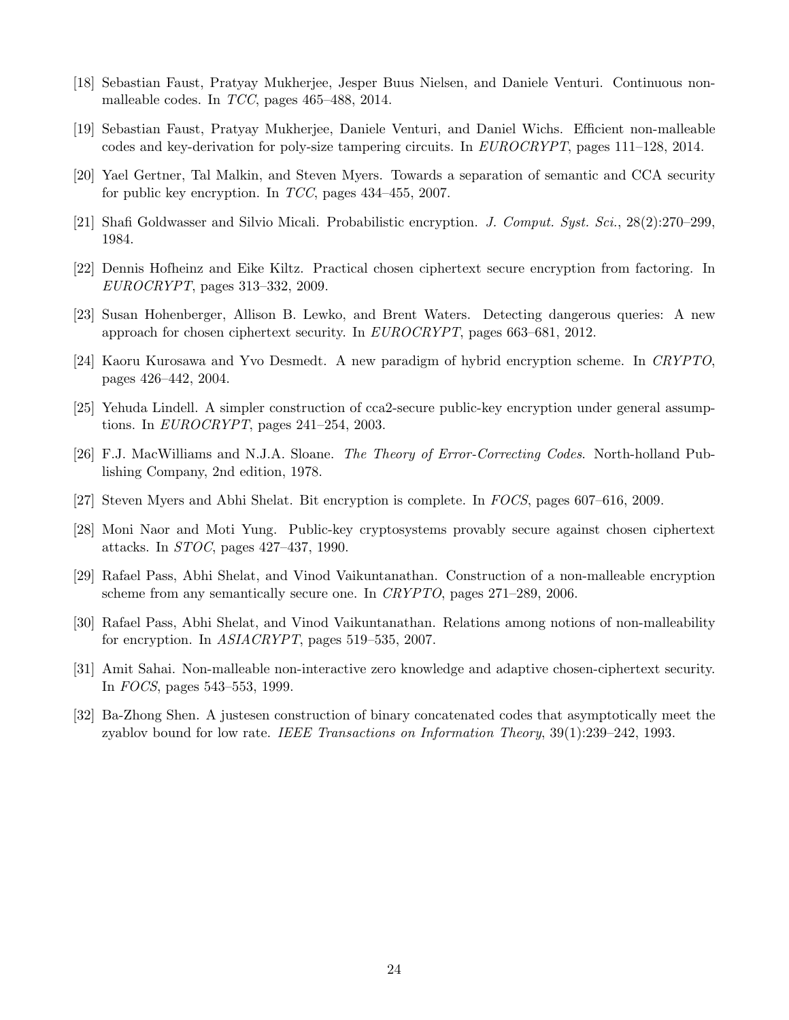- <span id="page-24-11"></span>[18] Sebastian Faust, Pratyay Mukherjee, Jesper Buus Nielsen, and Daniele Venturi. Continuous nonmalleable codes. In TCC, pages 465–488, 2014.
- <span id="page-24-13"></span>[19] Sebastian Faust, Pratyay Mukherjee, Daniele Venturi, and Daniel Wichs. Efficient non-malleable codes and key-derivation for poly-size tampering circuits. In EUROCRYPT, pages 111–128, 2014.
- <span id="page-24-7"></span>[20] Yael Gertner, Tal Malkin, and Steven Myers. Towards a separation of semantic and CCA security for public key encryption. In TCC, pages 434–455, 2007.
- <span id="page-24-1"></span>[21] Shafi Goldwasser and Silvio Micali. Probabilistic encryption. J. Comput. Syst. Sci., 28(2):270–299, 1984.
- <span id="page-24-6"></span>[22] Dennis Hofheinz and Eike Kiltz. Practical chosen ciphertext secure encryption from factoring. In EUROCRYPT, pages 313–332, 2009.
- <span id="page-24-10"></span>[23] Susan Hohenberger, Allison B. Lewko, and Brent Waters. Detecting dangerous queries: A new approach for chosen ciphertext security. In  $EUROCRYPT$ , pages 663–681, 2012.
- <span id="page-24-5"></span>[24] Kaoru Kurosawa and Yvo Desmedt. A new paradigm of hybrid encryption scheme. In CRYPTO, pages 426–442, 2004.
- <span id="page-24-4"></span>[25] Yehuda Lindell. A simpler construction of cca2-secure public-key encryption under general assumptions. In EUROCRYPT, pages 241–254, 2003.
- <span id="page-24-14"></span>[26] F.J. MacWilliams and N.J.A. Sloane. The Theory of Error-Correcting Codes. North-holland Publishing Company, 2nd edition, 1978.
- <span id="page-24-9"></span>[27] Steven Myers and Abhi Shelat. Bit encryption is complete. In FOCS, pages 607–616, 2009.
- <span id="page-24-2"></span>[28] Moni Naor and Moti Yung. Public-key cryptosystems provably secure against chosen ciphertext attacks. In STOC, pages 427–437, 1990.
- <span id="page-24-0"></span>[29] Rafael Pass, Abhi Shelat, and Vinod Vaikuntanathan. Construction of a non-malleable encryption scheme from any semantically secure one. In CRYPTO, pages 271–289, 2006.
- <span id="page-24-8"></span>[30] Rafael Pass, Abhi Shelat, and Vinod Vaikuntanathan. Relations among notions of non-malleability for encryption. In ASIACRYPT, pages 519–535, 2007.
- <span id="page-24-3"></span>[31] Amit Sahai. Non-malleable non-interactive zero knowledge and adaptive chosen-ciphertext security. In FOCS, pages 543–553, 1999.
- <span id="page-24-12"></span>[32] Ba-Zhong Shen. A justesen construction of binary concatenated codes that asymptotically meet the zyablov bound for low rate. IEEE Transactions on Information Theory, 39(1):239–242, 1993.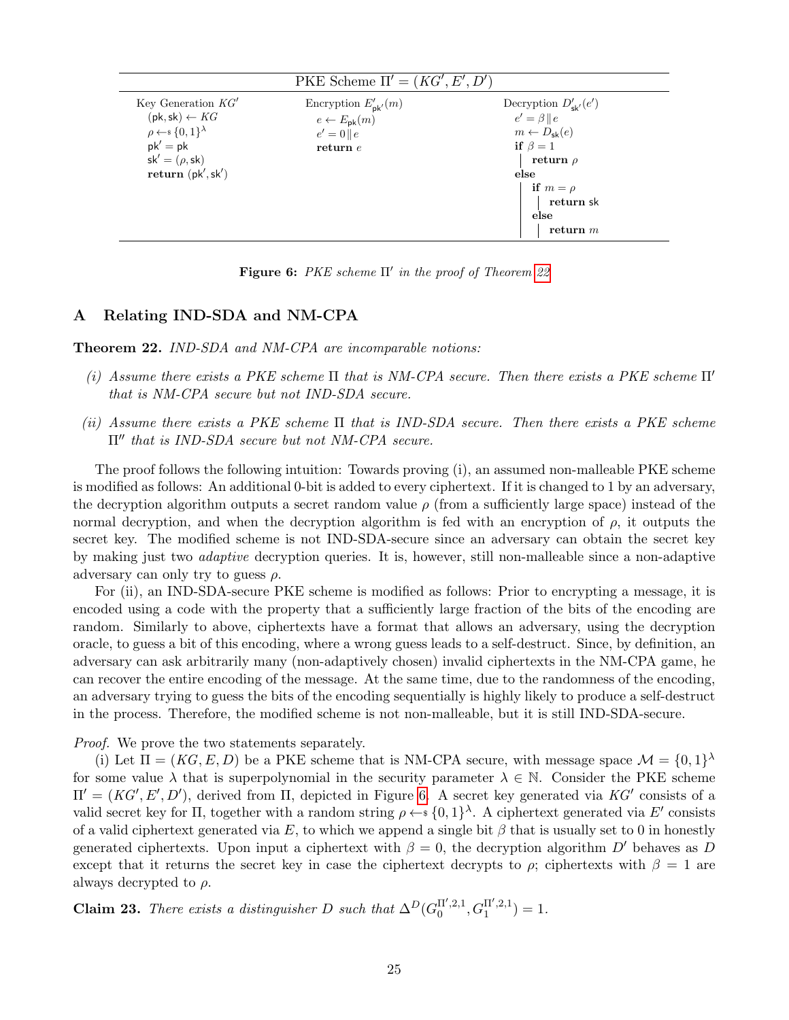<span id="page-25-2"></span>

| PKE Scheme $\Pi' = (KG', E', D')$                                                                                                                                                      |                                                                                                |                                                                                                                                                                                        |  |
|----------------------------------------------------------------------------------------------------------------------------------------------------------------------------------------|------------------------------------------------------------------------------------------------|----------------------------------------------------------------------------------------------------------------------------------------------------------------------------------------|--|
| Key Generation $KG'$<br>$(\mathsf{pk}, \mathsf{sk}) \leftarrow KG$<br>$\rho \leftarrow \{0,1\}^{\lambda}$<br>$pk' = pk$<br>$sk' = (\rho, sk)$<br>return $(\mathsf{pk}', \mathsf{sk}')$ | Encryption $E'_{\mathsf{pk}'}(m)$<br>$e \leftarrow E_{\rm pk}(m)$<br>$e' = 0  e$<br>return $e$ | Decryption $D'_{\mathsf{sk}'}(e')$<br>$e' = \beta    e$<br>$m \leftarrow D_{\rm sk}(e)$<br>if $\beta = 1$<br>return $\rho$<br>else<br>if $m = \rho$<br>return sk<br>else<br>return $m$ |  |
|                                                                                                                                                                                        |                                                                                                |                                                                                                                                                                                        |  |

Figure 6: PKE scheme  $\Pi'$  in the proof of Theorem [22](#page-25-1)

# <span id="page-25-0"></span>A Relating IND-SDA and NM-CPA

<span id="page-25-1"></span>Theorem 22. IND-SDA and NM-CPA are incomparable notions:

- (i) Assume there exists a PKE scheme  $\Pi$  that is NM-CPA secure. Then there exists a PKE scheme  $\Pi'$ that is NM-CPA secure but not IND-SDA secure.
- (ii) Assume there exists a PKE scheme  $\Pi$  that is IND-SDA secure. Then there exists a PKE scheme  $\Pi''$  that is IND-SDA secure but not NM-CPA secure.

The proof follows the following intuition: Towards proving (i), an assumed non-malleable PKE scheme is modified as follows: An additional 0-bit is added to every ciphertext. If it is changed to 1 by an adversary, the decryption algorithm outputs a secret random value  $\rho$  (from a sufficiently large space) instead of the normal decryption, and when the decryption algorithm is fed with an encryption of  $\rho$ , it outputs the secret key. The modified scheme is not IND-SDA-secure since an adversary can obtain the secret key by making just two adaptive decryption queries. It is, however, still non-malleable since a non-adaptive adversary can only try to guess  $\rho$ .

For (ii), an IND-SDA-secure PKE scheme is modified as follows: Prior to encrypting a message, it is encoded using a code with the property that a sufficiently large fraction of the bits of the encoding are random. Similarly to above, ciphertexts have a format that allows an adversary, using the decryption oracle, to guess a bit of this encoding, where a wrong guess leads to a self-destruct. Since, by definition, an adversary can ask arbitrarily many (non-adaptively chosen) invalid ciphertexts in the NM-CPA game, he can recover the entire encoding of the message. At the same time, due to the randomness of the encoding, an adversary trying to guess the bits of the encoding sequentially is highly likely to produce a self-destruct in the process. Therefore, the modified scheme is not non-malleable, but it is still IND-SDA-secure.

Proof. We prove the two statements separately.

(i) Let  $\Pi = (KG, E, D)$  be a PKE scheme that is NM-CPA secure, with message space  $\mathcal{M} = \{0, 1\}^{\lambda}$ for some value  $\lambda$  that is superpolynomial in the security parameter  $\lambda \in \mathbb{N}$ . Consider the PKE scheme  $\Pi' = (KG', E', D'),$  derived from Π, depicted in Figure [6.](#page-25-2) A secret key generated via KG' consists of a valid secret key for  $\Pi$ , together with a random string  $\rho \leftarrow \{0,1\}^{\lambda}$ . A ciphertext generated via E' consists of a valid ciphertext generated via E, to which we append a single bit  $\beta$  that is usually set to 0 in honestly generated ciphertexts. Upon input a ciphertext with  $\beta = 0$ , the decryption algorithm D' behaves as D except that it returns the secret key in case the ciphertext decrypts to  $\rho$ ; ciphertexts with  $\beta = 1$  are always decrypted to  $\rho$ .

**Claim 23.** There exists a distinguisher D such that  $\Delta^D(G_0^{\Pi',2,1})$  $G_0^{\Pi',2,1}, G_1^{\Pi',2,1}$  $j_1^{\text{II'},2,1}) = 1.$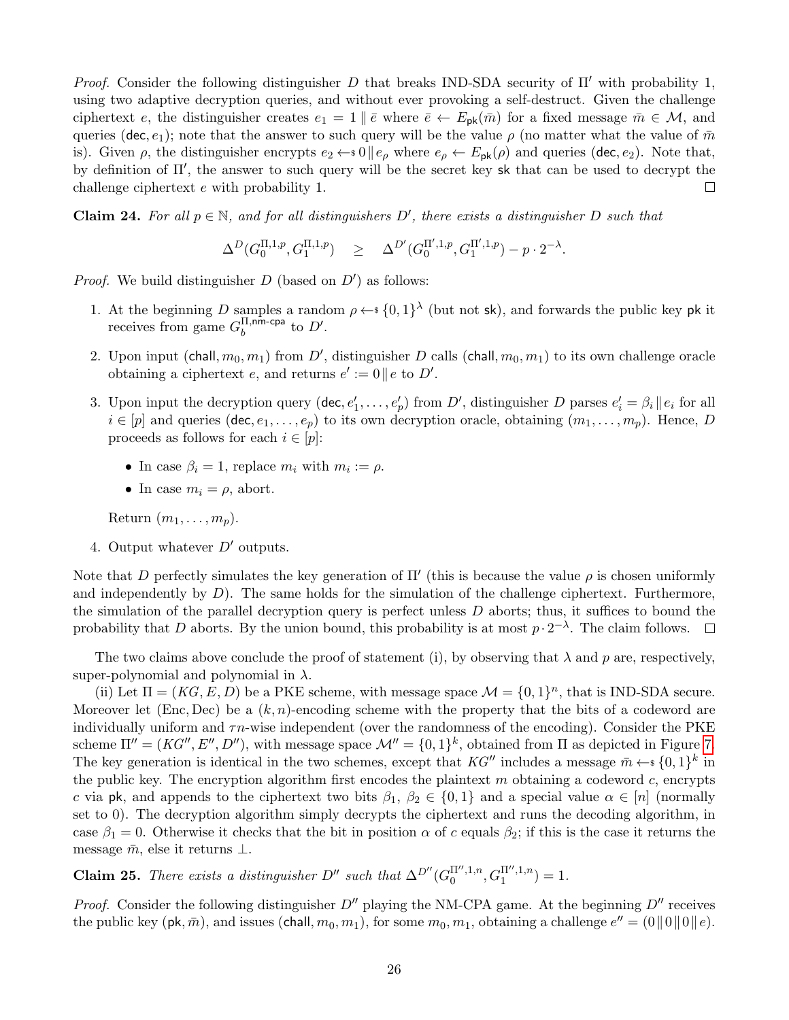*Proof.* Consider the following distinguisher D that breaks IND-SDA security of  $\Pi'$  with probability 1, using two adaptive decryption queries, and without ever provoking a self-destruct. Given the challenge ciphertext e, the distinguisher creates  $e_1 = 1 \nvert \nvert \nvert e$  where  $\bar{e} \leftarrow E_{\rm pk}(\bar{m})$  for a fixed message  $\bar{m} \in \mathcal{M}$ , and queries (dec, e<sub>1</sub>); note that the answer to such query will be the value  $\rho$  (no matter what the value of  $\bar{m}$ is). Given  $\rho$ , the distinguisher encrypts  $e_2 \leftarrow 0 \parallel e_\rho$  where  $e_\rho \leftarrow E_{\rm pk}(\rho)$  and queries (dec,  $e_2$ ). Note that, by definition of  $\Pi'$ , the answer to such query will be the secret key sk that can be used to decrypt the challenge ciphertext e with probability 1.  $\Box$ 

**Claim 24.** For all  $p \in \mathbb{N}$ , and for all distinguishers D', there exists a distinguisher D such that

$$
\Delta^D(G_0^{\Pi,1,p},G_1^{\Pi,1,p}) \quad \geq \quad \Delta^{D'}(G_0^{\Pi',1,p},G_1^{\Pi',1,p}) - p \cdot 2^{-\lambda}.
$$

*Proof.* We build distinguisher  $D$  (based on  $D'$ ) as follows:

- 1. At the beginning D samples a random  $\rho \leftarrow s \{0,1\}^{\lambda}$  (but not sk), and forwards the public key pk it receives from game  $G_h^{\Pi,nm\text{-cpa}}$  $b^{\text{II,nm-cpa}}$  to  $D'.$
- 2. Upon input (chall,  $m_0, m_1$ ) from D', distinguisher D calls (chall,  $m_0, m_1$ ) to its own challenge oracle obtaining a ciphertext e, and returns  $e' := 0 || e$  to D'.
- 3. Upon input the decryption query  $(\text{dec}, e'_1, \ldots, e'_p)$  from  $D'$ , distinguisher D parses  $e'_i = \beta_i || e_i$  for all  $i \in [p]$  and queries (dec,  $e_1, \ldots, e_p$ ) to its own decryption oracle, obtaining  $(m_1, \ldots, m_p)$ . Hence, D proceeds as follows for each  $i \in [p]$ :
	- In case  $\beta_i = 1$ , replace  $m_i$  with  $m_i := \rho$ .
	- In case  $m_i = \rho$ , abort.

Return  $(m_1, \ldots, m_n)$ .

4. Output whatever  $D'$  outputs.

Note that D perfectly simulates the key generation of  $\Pi'$  (this is because the value  $\rho$  is chosen uniformly and independently by  $D$ ). The same holds for the simulation of the challenge ciphertext. Furthermore, the simulation of the parallel decryption query is perfect unless  $D$  aborts; thus, it suffices to bound the probability that D aborts. By the union bound, this probability is at most  $p \cdot 2^{-\lambda}$ . The claim follows.  $\Box$ 

The two claims above conclude the proof of statement (i), by observing that  $\lambda$  and p are, respectively, super-polynomial and polynomial in  $\lambda$ .

(ii) Let  $\Pi = (KG, E, D)$  be a PKE scheme, with message space  $\mathcal{M} = \{0, 1\}^n$ , that is IND-SDA secure. Moreover let (Enc, Dec) be a  $(k, n)$ -encoding scheme with the property that the bits of a codeword are individually uniform and  $\tau n$ -wise independent (over the randomness of the encoding). Consider the PKE scheme  $\Pi'' = (KG'', E'', D'')$ , with message space  $\mathcal{M}'' = \{0, 1\}^k$ , obtained from  $\Pi$  as depicted in Figure [7.](#page-27-0) The key generation is identical in the two schemes, except that  $KG''$  includes a message  $\bar{m} \leftarrow \{0,1\}^k$  in the public key. The encryption algorithm first encodes the plaintext  $m$  obtaining a codeword  $c$ , encrypts c via pk, and appends to the ciphertext two bits  $\beta_1, \beta_2 \in \{0,1\}$  and a special value  $\alpha \in [n]$  (normally set to 0). The decryption algorithm simply decrypts the ciphertext and runs the decoding algorithm, in case  $\beta_1 = 0$ . Otherwise it checks that the bit in position  $\alpha$  of c equals  $\beta_2$ ; if this is the case it returns the message  $\bar{m}$ , else it returns  $\bot$ .

**Claim 25.** There exists a distinguisher D<sup>"</sup> such that  $\Delta^{D''}(G_0^{\Pi'',1,n})$  $G_0^{\Pi'',1,n},G_1^{\Pi'',1,n}$  $j_1^{(1^r,1,n}) = 1.$ 

*Proof.* Consider the following distinguisher  $D''$  playing the NM-CPA game. At the beginning  $D''$  receives the public key ( $\mathsf{pk}, \bar{m}$ ), and issues (chall,  $m_0, m_1$ ), for some  $m_0, m_1$ , obtaining a challenge  $e'' = (0||0||0||e)$ .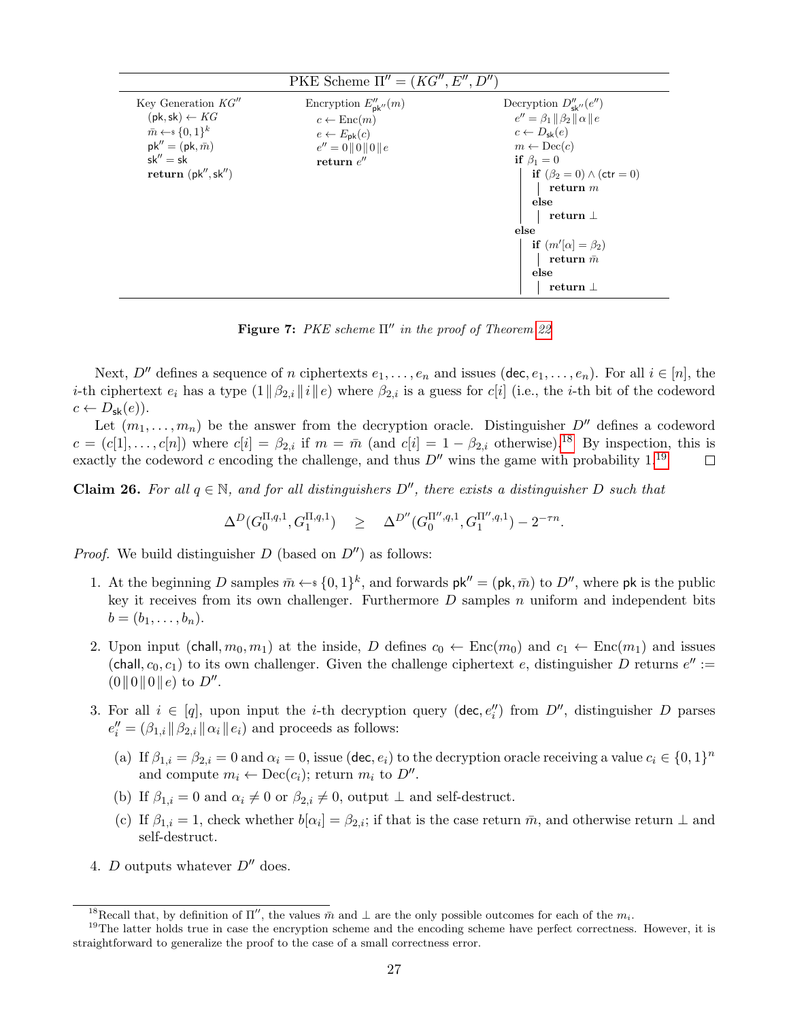<span id="page-27-0"></span>

| PKE Scheme $\Pi'' = (KG'', E'', D'')$                                                                                                                                                     |                                                                                                                                            |                                                                                                                                                                                                                        |  |
|-------------------------------------------------------------------------------------------------------------------------------------------------------------------------------------------|--------------------------------------------------------------------------------------------------------------------------------------------|------------------------------------------------------------------------------------------------------------------------------------------------------------------------------------------------------------------------|--|
| Key Generation $KG''$<br>$(\mathsf{pk}, \mathsf{sk}) \leftarrow KG$<br>$\bar{m} \leftarrow \{0,1\}^k$<br>$pk'' = (pk, \bar{m})$<br>$sk'' = sk$<br>return $(\mathsf{pk}'', \mathsf{sk}'')$ | Encryption $E''_{\mathsf{pk}''}(m)$<br>$c \leftarrow \text{Enc}(m)$<br>$e \leftarrow E_{\rm pk}(c)$<br>$e'' = 0   0  0  e$<br>return $e''$ | Decryption $D''_{\mathbf{sk}''}(e'')$<br>$e'' = \beta_1 \ \beta_2\  \alpha \ e$<br>$c \leftarrow D_{\rm sk}(e)$<br>$m \leftarrow \text{Dec}(c)$<br>if $\beta_1=0$<br><b>if</b> $(\beta_2 = 0) \wedge (\text{ctr} = 0)$ |  |
|                                                                                                                                                                                           |                                                                                                                                            | return $m$<br>else                                                                                                                                                                                                     |  |
|                                                                                                                                                                                           |                                                                                                                                            | return $\perp$<br>else                                                                                                                                                                                                 |  |
|                                                                                                                                                                                           |                                                                                                                                            | if $(m'[\alpha] = \beta_2)$                                                                                                                                                                                            |  |
|                                                                                                                                                                                           |                                                                                                                                            | return $\bar{m}$                                                                                                                                                                                                       |  |
|                                                                                                                                                                                           |                                                                                                                                            | else<br>return $\perp$                                                                                                                                                                                                 |  |
|                                                                                                                                                                                           |                                                                                                                                            |                                                                                                                                                                                                                        |  |

Figure 7: PKE scheme  $\Pi''$  in the proof of Theorem [22](#page-25-1)

Next,  $D''$  defines a sequence of n ciphertexts  $e_1, \ldots, e_n$  and issues (dec,  $e_1, \ldots, e_n$ ). For all  $i \in [n]$ , the *i*-th ciphertext  $e_i$  has a type  $(1||\beta_{2,i}||i||e)$  where  $\beta_{2,i}$  is a guess for c[i] (i.e., the *i*-th bit of the codeword  $c \leftarrow D_{\mathsf{sk}}(e)$ ).

Let  $(m_1, \ldots, m_n)$  be the answer from the decryption oracle. Distinguisher  $D''$  defines a codeword  $c = (c[1], \ldots, c[n])$  where  $c[i] = \beta_{2,i}$  if  $m = \overline{m}$  (and  $c[i] = 1 - \beta_{2,i}$  otherwise).<sup>[18](#page-27-1)</sup> By inspection, this is exactly the codeword c encoding the challenge, and thus  $D''$  wins the game with probability 1.<sup>[19](#page-27-2)</sup>  $\Box$ 

**Claim 26.** For all  $q \in \mathbb{N}$ , and for all distinguishers  $D''$ , there exists a distinguisher D such that

$$
\Delta^D(G_0^{\Pi,q,1},G_1^{\Pi,q,1}) \quad \geq \quad \Delta^{D''}(G_0^{\Pi'',q,1},G_1^{\Pi'',q,1})-2^{-\tau n}.
$$

*Proof.* We build distinguisher D (based on  $D''$ ) as follows:

- 1. At the beginning D samples  $\bar{m} \leftarrow \{0,1\}^k$ , and forwards  $\mathsf{pk}'' = (\mathsf{pk}, \bar{m})$  to D'', where  $\mathsf{pk}$  is the public key it receives from its own challenger. Furthermore  $D$  samples  $n$  uniform and independent bits  $b = (b_1, \ldots, b_n).$
- 2. Upon input (chall,  $m_0, m_1$ ) at the inside, D defines  $c_0 \leftarrow \text{Enc}(m_0)$  and  $c_1 \leftarrow \text{Enc}(m_1)$  and issues (chall,  $c_0, c_1$ ) to its own challenger. Given the challenge ciphertext e, distinguisher D returns  $e'' :=$  $(0||0||0||e)$  to  $D''$ .
- 3. For all  $i \in [q]$ , upon input the *i*-th decryption query (dec,  $e''_i$ ) from  $D''$ , distinguisher D parses  $e''_i = (\beta_{1,i} || \beta_{2,i} || \alpha_i || e_i)$  and proceeds as follows:
	- (a) If  $\beta_{1,i} = \beta_{2,i} = 0$  and  $\alpha_i = 0$ , issue (dec,  $e_i$ ) to the decryption oracle receiving a value  $c_i \in \{0,1\}^n$ and compute  $m_i \leftarrow \text{Dec}(c_i)$ ; return  $m_i$  to  $D''$ .
	- (b) If  $\beta_{1,i} = 0$  and  $\alpha_i \neq 0$  or  $\beta_{2,i} \neq 0$ , output  $\perp$  and self-destruct.
	- (c) If  $\beta_{1,i} = 1$ , check whether  $b[\alpha_i] = \beta_{2,i}$ ; if that is the case return  $\bar{m}$ , and otherwise return  $\perp$  and self-destruct.
- 4. D outputs whatever  $D''$  does.

<span id="page-27-2"></span><span id="page-27-1"></span><sup>&</sup>lt;sup>18</sup>Recall that, by definition of  $\Pi''$ , the values  $\bar{m}$  and  $\bot$  are the only possible outcomes for each of the  $m_i$ .

 $19$ The latter holds true in case the encryption scheme and the encoding scheme have perfect correctness. However, it is straightforward to generalize the proof to the case of a small correctness error.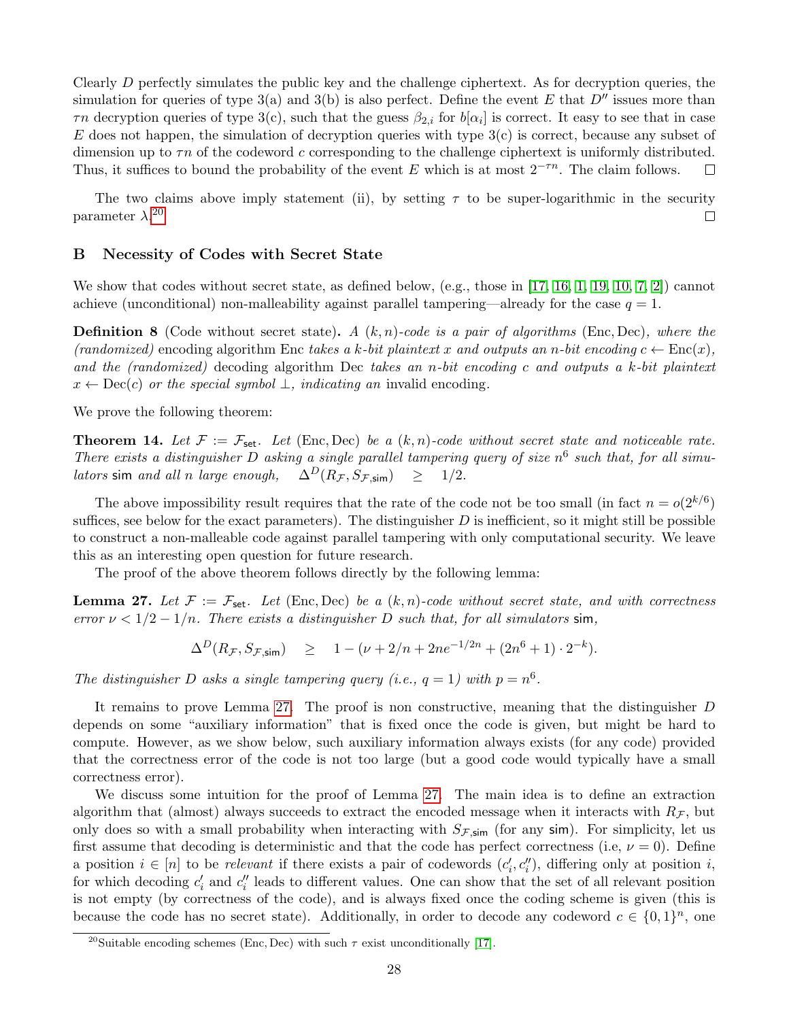Clearly  $D$  perfectly simulates the public key and the challenge ciphertext. As for decryption queries, the simulation for queries of type 3(a) and 3(b) is also perfect. Define the event E that  $D''$  issues more than  $\tau n$  decryption queries of type 3(c), such that the guess  $\beta_{2,i}$  for  $b[\alpha_i]$  is correct. It easy to see that in case E does not happen, the simulation of decryption queries with type  $3(c)$  is correct, because any subset of dimension up to  $\tau n$  of the codeword c corresponding to the challenge ciphertext is uniformly distributed. Thus, it suffices to bound the probability of the event E which is at most  $2^{-\tau n}$ . The claim follows.  $\Box$ 

The two claims above imply statement (ii), by setting  $\tau$  to be super-logarithmic in the security parameter  $\lambda$ .<sup>[20](#page-28-1)</sup>  $\Box$ 

## <span id="page-28-0"></span>B Necessity of Codes with Secret State

We show that codes without secret state, as defined below, (e.g., those in [\[17,](#page-23-8) [16,](#page-23-11) [1,](#page-23-12) [19,](#page-24-13) [10,](#page-23-6) [7,](#page-23-13) [2\]](#page-23-14)) cannot achieve (unconditional) non-malleability against parallel tampering—already for the case  $q = 1$ .

**Definition 8** (Code without secret state). A  $(k, n)$ -code is a pair of algorithms (Enc, Dec), where the (randomized) encoding algorithm Enc takes a k-bit plaintext x and outputs an n-bit encoding  $c \leftarrow \text{Enc}(x)$ . and the (randomized) decoding algorithm Dec takes an n-bit encoding c and outputs a k-bit plaintext  $x \leftarrow \text{Dec}(c)$  or the special symbol  $\perp$ , indicating an invalid encoding.

We prove the following theorem:

**Theorem 14.** Let  $\mathcal{F} := \mathcal{F}_{\text{set}}$ . Let (Enc, Dec) be a  $(k, n)$ -code without secret state and noticeable rate. There exists a distinguisher D asking a single parallel tampering query of size  $n^6$  such that, for all simu*lators* sim and all n large enough,  $\Delta^D(R_{\mathcal{F}}, S_{\mathcal{F},\mathsf{sim}}) \geq 1/2$ .

The above impossibility result requires that the rate of the code not be too small (in fact  $n = o(2^{k/6})$ ) suffices, see below for the exact parameters). The distinguisher  $D$  is inefficient, so it might still be possible to construct a non-malleable code against parallel tampering with only computational security. We leave this as an interesting open question for future research.

The proof of the above theorem follows directly by the following lemma:

<span id="page-28-2"></span>**Lemma 27.** Let  $\mathcal{F} := \mathcal{F}_{\text{set}}$ . Let (Enc, Dec) be a  $(k, n)$ -code without secret state, and with correctness error  $\nu < 1/2 - 1/n$ . There exists a distinguisher D such that, for all simulators sim,

$$
\Delta^D(R_{\mathcal{F}}, S_{\mathcal{F},\text{sim}}) \quad \geq \quad 1 - (\nu + 2/n + 2ne^{-1/2n} + (2n^6 + 1) \cdot 2^{-k}).
$$

The distinguisher D asks a single tampering query (i.e.,  $q = 1$ ) with  $p = n^6$ .

It remains to prove Lemma [27.](#page-28-2) The proof is non constructive, meaning that the distinguisher D depends on some "auxiliary information" that is fixed once the code is given, but might be hard to compute. However, as we show below, such auxiliary information always exists (for any code) provided that the correctness error of the code is not too large (but a good code would typically have a small correctness error).

We discuss some intuition for the proof of Lemma [27.](#page-28-2) The main idea is to define an extraction algorithm that (almost) always succeeds to extract the encoded message when it interacts with  $R<sub>F</sub>$ , but only does so with a small probability when interacting with  $S_{\mathcal{F},\mathsf{sim}}$  (for any sim). For simplicity, let us first assume that decoding is deterministic and that the code has perfect correctness (i.e,  $\nu = 0$ ). Define a position  $i \in [n]$  to be relevant if there exists a pair of codewords  $(c'_i, c''_i)$ , differing only at position i, for which decoding  $c'_i$  and  $c''_i$  leads to different values. One can show that the set of all relevant position is not empty (by correctness of the code), and is always fixed once the coding scheme is given (this is because the code has no secret state). Additionally, in order to decode any codeword  $c \in \{0,1\}^n$ , one

<span id="page-28-1"></span><sup>&</sup>lt;sup>20</sup>Suitable encoding schemes (Enc, Dec) with such  $\tau$  exist unconditionally [\[17\]](#page-23-8).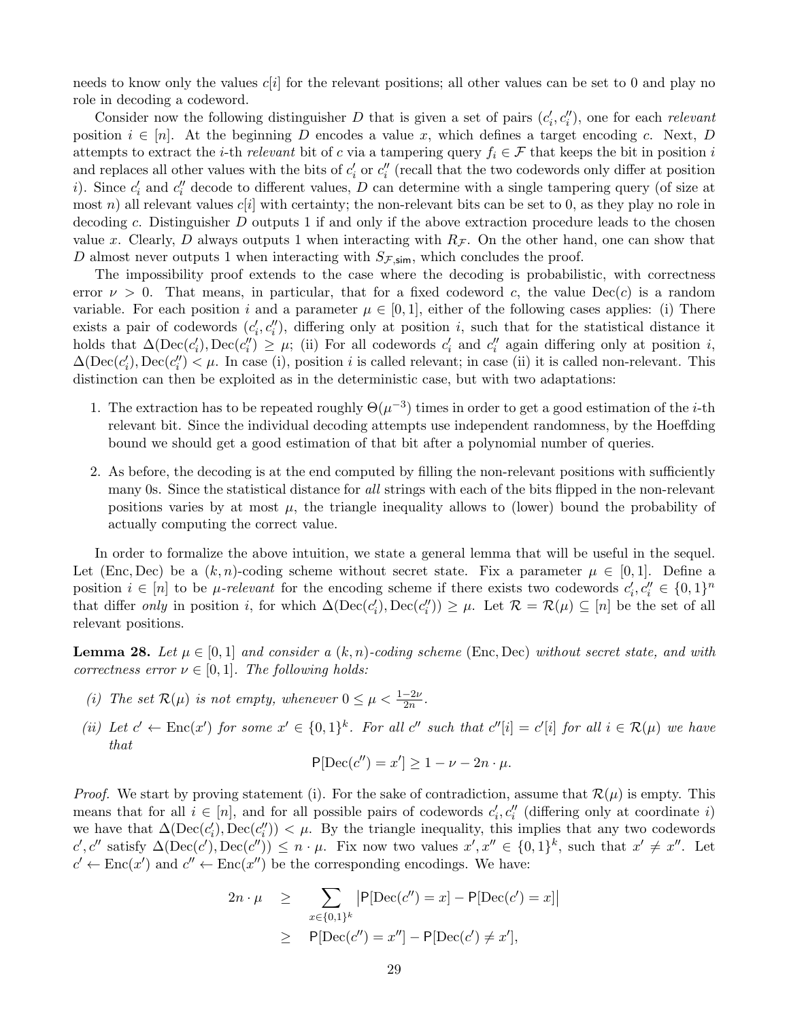needs to know only the values  $c[i]$  for the relevant positions; all other values can be set to 0 and play no role in decoding a codeword.

Consider now the following distinguisher D that is given a set of pairs  $(c_i', c_i'')$ , one for each relevant position  $i \in [n]$ . At the beginning D encodes a value x, which defines a target encoding c. Next, D attempts to extract the *i*-th *relevant* bit of c via a tampering query  $f_i \in \mathcal{F}$  that keeps the bit in position *i* and replaces all other values with the bits of  $c'_i$  or  $c''_i$  (recall that the two codewords only differ at position i). Since  $c_i'$  and  $c_i''$  decode to different values, D can determine with a single tampering query (of size at most n) all relevant values  $c[i]$  with certainty; the non-relevant bits can be set to 0, as they play no role in decoding c. Distinguisher D outputs 1 if and only if the above extraction procedure leads to the chosen value x. Clearly, D always outputs 1 when interacting with  $R<sub>F</sub>$ . On the other hand, one can show that D almost never outputs 1 when interacting with  $S_{\mathcal{F},\text{sim}}$ , which concludes the proof.

The impossibility proof extends to the case where the decoding is probabilistic, with correctness error  $\nu > 0$ . That means, in particular, that for a fixed codeword c, the value  $Dec(c)$  is a random variable. For each position i and a parameter  $\mu \in [0,1]$ , either of the following cases applies: (i) There exists a pair of codewords  $(c'_i, c''_i)$ , differing only at position i, such that for the statistical distance it holds that  $\Delta(\text{Dec}(c_i')) \geq \mu$ ; (ii) For all codewords  $c_i'$  and  $c_i''$  again differing only at position *i*,  $\Delta(\text{Dec}(c_i'))$ ,  $\text{Dec}(c_i'') < \mu$ . In case (i), position *i* is called relevant; in case (ii) it is called non-relevant. This distinction can then be exploited as in the deterministic case, but with two adaptations:

- 1. The extraction has to be repeated roughly  $\Theta(\mu^{-3})$  times in order to get a good estimation of the *i*-th relevant bit. Since the individual decoding attempts use independent randomness, by the Hoeffding bound we should get a good estimation of that bit after a polynomial number of queries.
- 2. As before, the decoding is at the end computed by filling the non-relevant positions with sufficiently many 0s. Since the statistical distance for all strings with each of the bits flipped in the non-relevant positions varies by at most  $\mu$ , the triangle inequality allows to (lower) bound the probability of actually computing the correct value.

In order to formalize the above intuition, we state a general lemma that will be useful in the sequel. Let (Enc, Dec) be a  $(k, n)$ -coding scheme without secret state. Fix a parameter  $\mu \in [0, 1]$ . Define a position  $i \in [n]$  to be *µ*-relevant for the encoding scheme if there exists two codewords  $c'_i, c''_i \in \{0,1\}^n$ that differ only in position i, for which  $\Delta(\text{Dec}(c_i'), \text{Dec}(c_i'')) \geq \mu$ . Let  $\mathcal{R} = \mathcal{R}(\mu) \subseteq [n]$  be the set of all relevant positions.

<span id="page-29-0"></span>**Lemma 28.** Let  $\mu \in [0,1]$  and consider a  $(k, n)$ -coding scheme (Enc, Dec) without secret state, and with correctness error  $\nu \in [0,1]$ . The following holds:

- (i) The set  $\mathcal{R}(\mu)$  is not empty, whenever  $0 \leq \mu < \frac{1-2\nu}{2n}$ .
- (ii) Let  $c' \leftarrow \text{Enc}(x')$  for some  $x' \in \{0,1\}^k$ . For all  $c''$  such that  $c''[i] = c'[i]$  for all  $i \in \mathcal{R}(\mu)$  we have that

$$
P[Dec(c'') = x'] \ge 1 - \nu - 2n \cdot \mu.
$$

*Proof.* We start by proving statement (i). For the sake of contradiction, assume that  $\mathcal{R}(\mu)$  is empty. This means that for all  $i \in [n]$ , and for all possible pairs of codewords  $c'_i, c''_i$  (differing only at coordinate i) we have that  $\Delta(\text{Dec}(c_i')) < \mu$ . By the triangle inequality, this implies that any two codewords c', c'' satisfy  $\Delta(\text{Dec}(c'), \text{Dec}(c'')) \leq n \cdot \mu$ . Fix now two values  $x', x'' \in \{0,1\}^k$ , such that  $x' \neq x''$ . Let  $c' \leftarrow \text{Enc}(x')$  and  $c'' \leftarrow \text{Enc}(x'')$  be the corresponding encodings. We have:

$$
2n \cdot \mu \ge \sum_{x \in \{0,1\}^k} \left| P[\text{Dec}(c'') = x] - P[\text{Dec}(c') = x] \right|
$$
  
 
$$
\ge P[\text{Dec}(c'') = x''] - P[\text{Dec}(c') \ne x'],
$$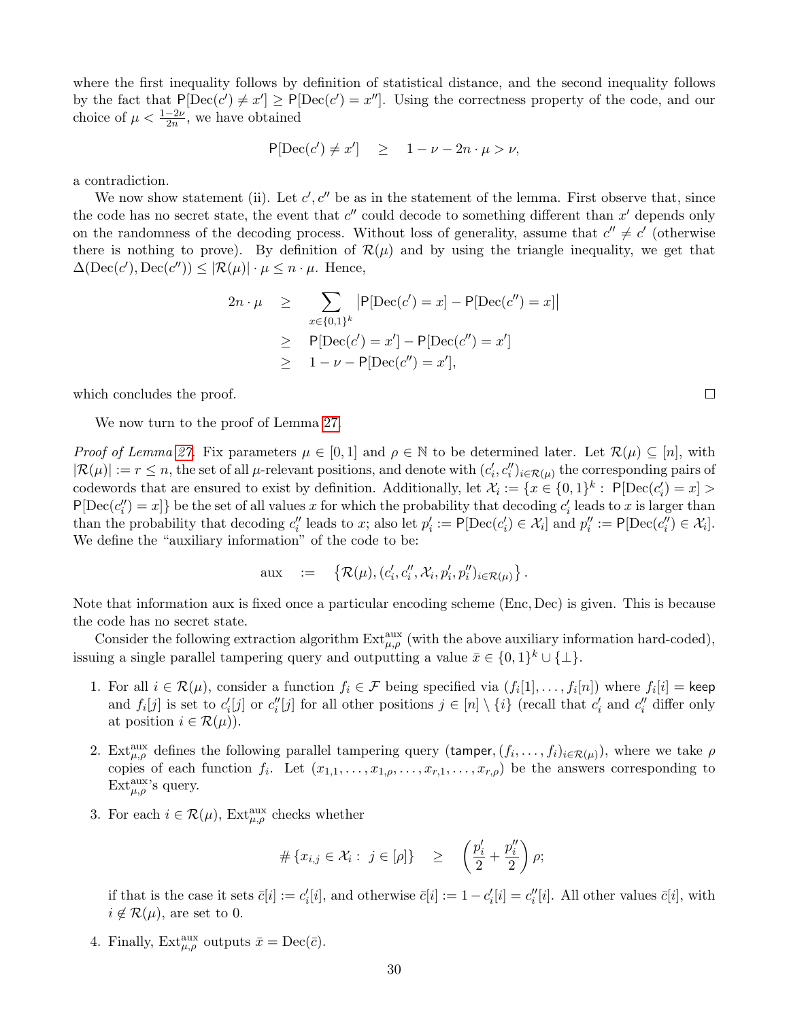where the first inequality follows by definition of statistical distance, and the second inequality follows by the fact that  $P[Dec(c') \neq x'] \geq P[Dec(c') = x'']$ . Using the correctness property of the code, and our choice of  $\mu < \frac{1-2\nu}{2n}$ , we have obtained

$$
P[Dec(c') \neq x'] \geq 1 - \nu - 2n \cdot \mu > \nu,
$$

a contradiction.

We now show statement (ii). Let  $c', c''$  be as in the statement of the lemma. First observe that, since the code has no secret state, the event that  $c''$  could decode to something different than  $x'$  depends only on the randomness of the decoding process. Without loss of generality, assume that  $c'' \neq c'$  (otherwise there is nothing to prove). By definition of  $\mathcal{R}(\mu)$  and by using the triangle inequality, we get that  $\Delta(\text{Dec}(c'), \text{Dec}(c'')) \leq |\mathcal{R}(\mu)| \cdot \mu \leq n \cdot \mu$ . Hence,

$$
2n \cdot \mu \ge \sum_{x \in \{0,1\}^k} |P[\text{Dec}(c') = x] - P[\text{Dec}(c'') = x]|
$$
  
 
$$
\ge P[\text{Dec}(c') = x'] - P[\text{Dec}(c'') = x']
$$
  
 
$$
\ge 1 - \nu - P[\text{Dec}(c'') = x'],
$$

which concludes the proof.

We now turn to the proof of Lemma [27.](#page-28-2)

*Proof of Lemma [27.](#page-28-2)* Fix parameters  $\mu \in [0,1]$  and  $\rho \in \mathbb{N}$  to be determined later. Let  $\mathcal{R}(\mu) \subseteq [n]$ , with  $|\mathcal{R}(\mu)| := r \leq n$ , the set of all  $\mu$ -relevant positions, and denote with  $(c'_i, c''_i)_{i \in \mathcal{R}(\mu)}$  the corresponding pairs of codewords that are ensured to exist by definition. Additionally, let  $\mathcal{X}_i := \{x \in \{0,1\}^k : P[\text{Dec}(c_i') = x] >$  $P[Dec(c''_i) = x]$  be the set of all values x for which the probability that decoding  $c'_i$  leads to x is larger than than the probability that decoding  $c''_i$  leads to x; also let  $p'_i := \mathsf{P}[\mathrm{Dec}(c'_i) \in \mathcal{X}_i]$  and  $p''_i := \mathsf{P}[\mathrm{Dec}(c''_i) \in \mathcal{X}_i]$ . We define the "auxiliary information" of the code to be:

$$
\text{aux} \quad := \quad \left\{ \mathcal{R}(\mu), (c'_i, c''_i, \mathcal{X}_i, p'_i, p''_i)_{i \in \mathcal{R}(\mu)} \right\}.
$$

Note that information aux is fixed once a particular encoding scheme (Enc, Dec) is given. This is because the code has no secret state.

Consider the following extraction algorithm  $Ext_{\mu,\rho}^{\text{aux}}$  (with the above auxiliary information hard-coded), issuing a single parallel tampering query and outputting a value  $\bar{x} \in \{0,1\}^k \cup \{\perp\}.$ 

- 1. For all  $i \in \mathcal{R}(\mu)$ , consider a function  $f_i \in \mathcal{F}$  being specified via  $(f_i[1], \ldots, f_i[n])$  where  $f_i[i] =$  keep and  $f_i[j]$  is set to  $c'_i[j]$  or  $c''_i[j]$  for all other positions  $j \in [n] \setminus \{i\}$  (recall that  $c'_i$  and  $c''_i$  differ only at position  $i \in \mathcal{R}(\mu)$ .
- <span id="page-30-0"></span>2. Ext<sub> $\mu,\rho$ </sub> defines the following parallel tampering query (tamper,  $(f_i,\ldots,f_i)_{i\in\mathcal{R}(\mu)}$ ), where we take  $\rho$ copies of each function  $f_i$ . Let  $(x_{1,1},...,x_{1,\rho},...,x_{r,1},...,x_{r,\rho})$  be the answers corresponding to Ext $_{\mu,\rho}^{\text{aux}}$ 's query.
- <span id="page-30-1"></span>3. For each  $i \in \mathcal{R}(\mu)$ , Ext<sub> $\mu,\rho$ </sub> checks whether

$$
\#\left\{x_{i,j}\in\mathcal{X}_i:\ j\in[\rho]\right\}\quad\geq\quad\left(\frac{p_i'}{2}+\frac{p_i''}{2}\right)\rho;
$$

if that is the case it sets  $\bar{c}[i] := c'_i[i]$ , and otherwise  $\bar{c}[i] := 1 - c'_i[i] = c''_i[i]$ . All other values  $\bar{c}[i]$ , with  $i \notin \mathcal{R}(\mu)$ , are set to 0.

4. Finally,  $\text{Ext}_{\mu,\rho}^{\text{aux}}$  outputs  $\bar{x} = \text{Dec}(\bar{c})$ .

 $\Box$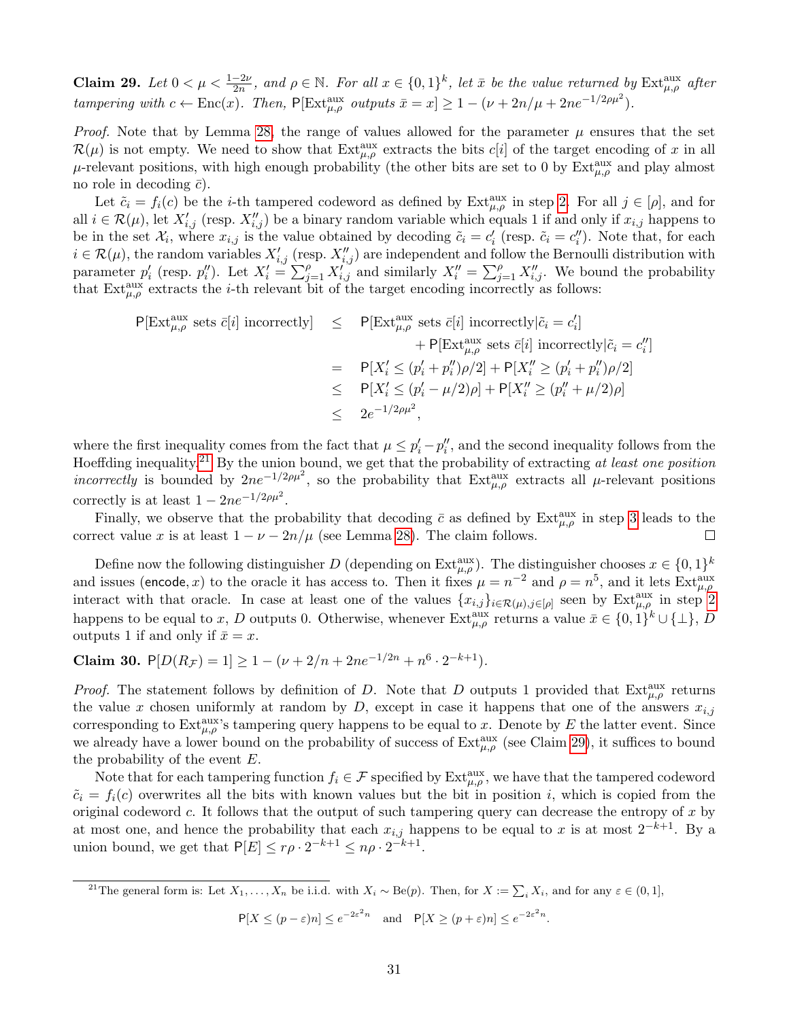<span id="page-31-1"></span>Claim 29. Let  $0 < \mu < \frac{1-2\nu}{2n}$ , and  $\rho \in \mathbb{N}$ . For all  $x \in \{0,1\}^k$ , let  $\bar{x}$  be the value returned by  $\text{Ext}^{\text{aux}}_{\mu,\rho}$  after tampering with  $c \leftarrow \text{Enc}(x)$ . Then,  $P[\text{Ext}_{\mu,\rho}^{\text{aux}} \text{ outputs } \bar{x} = x] \ge 1 - (\nu + 2n/\mu + 2ne^{-1/2\rho\mu^2})$ .

*Proof.* Note that by Lemma [28,](#page-29-0) the range of values allowed for the parameter  $\mu$  ensures that the set  $\mathcal{R}(\mu)$  is not empty. We need to show that  $\text{Ext}_{\mu,\rho}^{\text{aux}}$  extracts the bits  $c[i]$  of the target encoding of x in all  $\mu$ -relevant positions, with high enough probability (the other bits are set to 0 by  $\text{Ext}_{\mu,\rho}^{\text{aux}}$  and play almost no role in decoding  $\bar{c}$ ).

Let  $\tilde{c}_i = f_i(c)$  be the *i*-th tampered codeword as defined by  $\operatorname{Ext}_{\mu,\rho}^{\text{aux}}$  in step [2.](#page-30-0) For all  $j \in [\rho]$ , and for all  $i \in \mathcal{R}(\mu)$ , let  $X'_{i,j}$  (resp.  $X''_{i,j}$ ) be a binary random variable which equals 1 if and only if  $x_{i,j}$  happens to be in the set  $\mathcal{X}_i$ , where  $x_{i,j}$  is the value obtained by decoding  $\tilde{c}_i = c'_i$  (resp.  $\tilde{c}_i = c''_i$ ). Note that, for each  $i \in \mathcal{R}(\mu)$ , the random variables  $X'_{i,j}$  (resp.  $X''_{i,j}$ ) are independent and follow the Bernoulli distribution with parameter  $p'_i$  (resp.  $p''_i$ ). Let  $X'_i = \sum_{j=1}^{\rho} X'_{i,j}$  and similarly  $X''_i = \sum_{j=1}^{\rho} X''_{i,j}$ . We bound the probability that  $\text{Ext}_{\mu,\rho}^{\text{aux}}$  extracts the *i*-th relevant bit of the target encoding incorrectly as follows:

$$
\begin{array}{rcl}\n\mathsf{P}[\operatorname{Ext}_{\mu,\rho}^{\operatorname{aux}} \operatorname{sets} \bar{c}[i] \operatorname{incorrectly}] & \leq & \mathsf{P}[\operatorname{Ext}_{\mu,\rho}^{\operatorname{aux}} \operatorname{sets} \bar{c}[i] \operatorname{incorrectly} | \tilde{c}_i = c_i'] \\
& & + \mathsf{P}[\operatorname{Ext}_{\mu,\rho}^{\operatorname{aux}} \operatorname{sets} \bar{c}[i] \operatorname{incorrectly} | \tilde{c}_i = c_i''] \\
& = & \mathsf{P}[X_i' \leq (p_i' + p_i'')\rho/2] + \mathsf{P}[X_i'' \geq (p_i' + p_i'')\rho/2] \\
& \leq & \mathsf{P}[X_i' \leq (p_i' - \mu/2)\rho] + \mathsf{P}[X_i'' \geq (p_i'' + \mu/2)\rho] \\
& \leq & 2e^{-1/2\rho\mu^2},\n\end{array}
$$

where the first inequality comes from the fact that  $\mu \leq p'_i - p''_i$ , and the second inequality follows from the Hoeffding inequality.<sup>[21](#page-31-0)</sup> By the union bound, we get that the probability of extracting at least one position *incorrectly* is bounded by  $2ne^{-1/2\rho\mu^2}$ , so the probability that  $Ext_{\mu,\rho}^{aux}$  extracts all  $\mu$ -relevant positions correctly is at least  $1 - 2ne^{-1/2\rho\mu^2}$ .

Finally, we observe that the probability that decoding  $\bar{c}$  as defined by  $\text{Ext}_{\mu,\rho}^{\text{aux}}$  in step [3](#page-30-1) leads to the correct value x is at least  $1 - \nu - 2n/\mu$  (see Lemma [28\)](#page-29-0). The claim follows.  $\Box$ 

Define now the following distinguisher D (depending on  $\text{Ext}_{\mu,\rho}^{\text{aux}}$ ). The distinguisher chooses  $x \in \{0,1\}^k$ and issues (encode, x) to the oracle it has access to. Then it fixes  $\mu = n^{-2}$  and  $\rho = n^5$ , and it lets  $\text{Ext}^{\text{aux}}_{\mu,\rho}$ interact with that oracle. In case at least one of the values  $\{x_{i,j}\}_{i\in\mathcal{R}(\mu),j\in[\rho]}$  seen by  $\text{Ext}^{\text{aux}}_{\mu,\rho}$  in step [2](#page-30-0) happens to be equal to x, D outputs 0. Otherwise, whenever  $\text{Ext}_{\mu,\rho}^{\text{aux}}$  returns a value  $\bar{x} \in \{0,1\}^k \cup \{\perp\}, D$ outputs 1 if and only if  $\bar{x} = x$ .

<span id="page-31-2"></span>Claim 30.  $P[D(R_{\mathcal{F}})=1] \ge 1 - (\nu + 2/n + 2ne^{-1/2n} + n^6 \cdot 2^{-k+1}).$ 

*Proof.* The statement follows by definition of D. Note that D outputs 1 provided that  $Ext_{\mu,\rho}^{aux}$  returns the value x chosen uniformly at random by D, except in case it happens that one of the answers  $x_{i,j}$ corresponding to  $Ext_{\mu,\rho}^{\text{aux's}}$  tampering query happens to be equal to x. Denote by E the latter event. Since we already have a lower bound on the probability of success of  $Ext_{\mu,\rho}^{\text{aux}}$  (see Claim [29\)](#page-31-1), it suffices to bound the probability of the event  $E$ .

Note that for each tampering function  $f_i \in \mathcal{F}$  specified by  $\text{Ext}_{\mu,\rho}^{\text{aux}},$  we have that the tampered codeword  $\tilde{c}_i = f_i(c)$  overwrites all the bits with known values but the bit in position i, which is copied from the original codeword  $c$ . It follows that the output of such tampering query can decrease the entropy of  $x$  by at most one, and hence the probability that each  $x_{i,j}$  happens to be equal to x is at most  $2^{-k+1}$ . By a union bound, we get that  $P[E] \leq r \rho \cdot 2^{-k+1} \leq n \rho \cdot 2^{-k+1}$ .

$$
\mathsf{P}[X \le (p - \varepsilon)n] \le e^{-2\varepsilon^2 n} \quad \text{and} \quad \mathsf{P}[X \ge (p + \varepsilon)n] \le e^{-2\varepsilon^2 n}.
$$

<span id="page-31-0"></span><sup>&</sup>lt;sup>21</sup>The general form is: Let  $X_1, \ldots, X_n$  be i.i.d. with  $X_i \sim \text{Be}(p)$ . Then, for  $X := \sum_i X_i$ , and for any  $\varepsilon \in (0,1]$ ,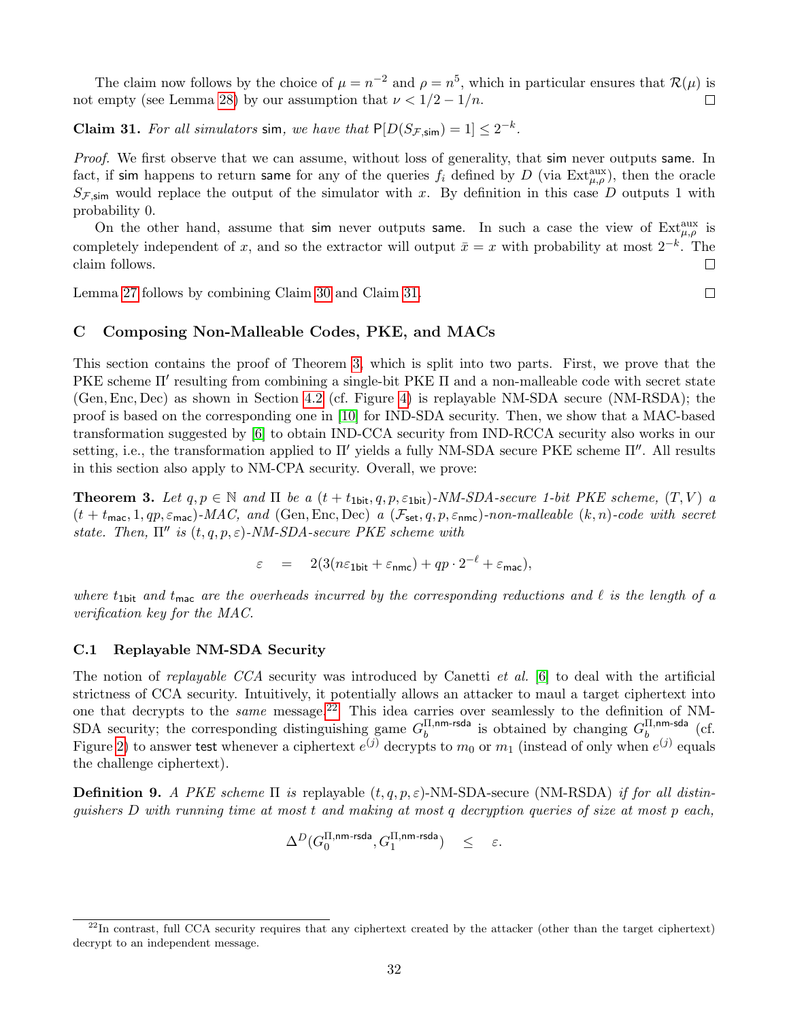The claim now follows by the choice of  $\mu = n^{-2}$  and  $\rho = n^5$ , which in particular ensures that  $\mathcal{R}(\mu)$  is not empty (see Lemma [28\)](#page-29-0) by our assumption that  $\nu < 1/2 - 1/n$ .  $\Box$ 

<span id="page-32-2"></span>**Claim 31.** For all simulators sim, we have that  $P[D(S_{\mathcal{F},\text{sim}}) = 1] \leq 2^{-k}$ .

Proof. We first observe that we can assume, without loss of generality, that sim never outputs same. In fact, if sim happens to return same for any of the queries  $f_i$  defined by D (via  $Ext_{\mu,\rho}^{aux}$ ), then the oracle  $S_{\mathcal{F},\text{sim}}$  would replace the output of the simulator with x. By definition in this case D outputs 1 with probability 0.

On the other hand, assume that sim never outputs same. In such a case the view of  $Ext_{\mu,\rho}^{\text{aux}}$  is completely independent of x, and so the extractor will output  $\bar{x} = x$  with probability at most  $2^{-k}$ . The claim follows.  $\Box$ 

Lemma [27](#page-28-2) follows by combining Claim [30](#page-31-2) and Claim [31.](#page-32-2)

# <span id="page-32-0"></span>C Composing Non-Malleable Codes, PKE, and MACs

This section contains the proof of Theorem [3,](#page-9-1) which is split into two parts. First, we prove that the PKE scheme  $\Pi'$  resulting from combining a single-bit PKE  $\Pi$  and a non-malleable code with secret state (Gen,Enc, Dec) as shown in Section [4.2](#page-8-0) (cf. Figure [4\)](#page-9-0) is replayable NM-SDA secure (NM-RSDA); the proof is based on the corresponding one in [\[10\]](#page-23-6) for IND-SDA security. Then, we show that a MAC-based transformation suggested by [\[6\]](#page-23-9) to obtain IND-CCA security from IND-RCCA security also works in our setting, i.e., the transformation applied to  $\Pi'$  yields a fully NM-SDA secure PKE scheme  $\Pi''$ . All results in this section also apply to NM-CPA security. Overall, we prove:

**Theorem 3.** Let  $q, p \in \mathbb{N}$  and  $\Pi$  be a  $(t + t_{1bit}, q, p, \varepsilon_{1bit})$ -NM-SDA-secure 1-bit PKE scheme,  $(T, V)$  a  $(t + t_{\text{mac}}, 1, qp, \varepsilon_{\text{mac}})$ -MAC, and (Gen, Enc, Dec) a  $(\mathcal{F}_{\text{set}}, q, p, \varepsilon_{\text{nmc}})$ -non-malleable  $(k, n)$ -code with secret state. Then,  $\Pi''$  is  $(t, q, p, \varepsilon)$ -NM-SDA-secure PKE scheme with

 $\varepsilon = 2(3(n\varepsilon_{1\text{bit}} + \varepsilon_{\text{nmc}}) + qp \cdot 2^{-\ell} + \varepsilon_{\text{mac}}),$ 

where  $t_{1}$ bit and  $t_{\text{mac}}$  are the overheads incurred by the corresponding reductions and  $\ell$  is the length of a verification key for the MAC.

# <span id="page-32-1"></span>C.1 Replayable NM-SDA Security

The notion of replayable CCA security was introduced by Canetti et al. [\[6\]](#page-23-9) to deal with the artificial strictness of CCA security. Intuitively, it potentially allows an attacker to maul a target ciphertext into one that decrypts to the *same* message.<sup>[22](#page-32-3)</sup> This idea carries over seamlessly to the definition of NM-SDA security; the corresponding distinguishing game  $G_h^{\Pi,nm-rsda}$  $\frac{\Pi,\text{nm-rsda}}{b}$  is obtained by changing  $G_b^{\Pi,\text{nm-sda}}$  $\begin{array}{cc} \n\text{11,nm-saa} & \text{(cf.)} \\
\text{b} & \text{on} \n\end{array}$ Figure [2\)](#page-7-2) to answer test whenever a ciphertext  $e^{(j)}$  decrypts to  $m_0$  or  $m_1$  (instead of only when  $e^{(j)}$  equals the challenge ciphertext).

**Definition 9.** A PKE scheme  $\Pi$  is replayable  $(t, q, p, \varepsilon)$ -NM-SDA-secure (NM-RSDA) if for all distinguishers D with running time at most t and making at most q decryption queries of size at most p each,

$$
\Delta^D(G_0^{\Pi,\text{nm-rsda}},G_1^{\Pi,\text{nm-rsda}}) \quad \leq \quad \varepsilon.
$$

 $\Box$ 

<span id="page-32-3"></span> $^{22}$ In contrast, full CCA security requires that any ciphertext created by the attacker (other than the target ciphertext) decrypt to an independent message.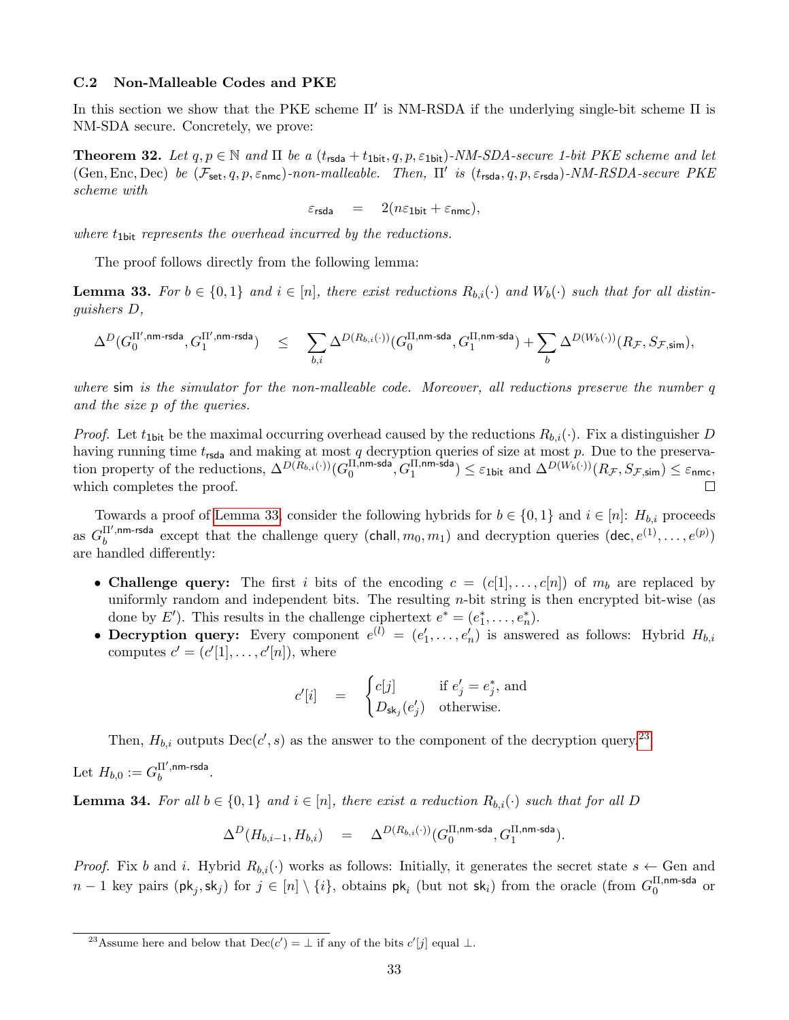#### <span id="page-33-0"></span>C.2 Non-Malleable Codes and PKE

In this section we show that the PKE scheme  $\Pi'$  is NM-RSDA if the underlying single-bit scheme  $\Pi$  is NM-SDA secure. Concretely, we prove:

**Theorem 32.** Let  $q, p \in \mathbb{N}$  and  $\Pi$  be a  $(t_{\text{rsda}} + t_{\text{1bit}}, q, p, \varepsilon_{\text{1bit}})$ -NM-SDA-secure 1-bit PKE scheme and let  $(\text{Gen}, \text{Enc}, \text{Dec})$  be  $(\mathcal{F}_{\text{set}}, q, p, \varepsilon_{\text{nmc}})$ -non-malleable. Then,  $\Pi'$  is  $(t_{\text{rsda}}, q, p, \varepsilon_{\text{rsda}})$ -NM-RSDA-secure PKE scheme with

$$
\varepsilon_{\textsf{rsda}} = 2(n\varepsilon_{\textsf{1bit}} + \varepsilon_{\textsf{nmc}}),
$$

where  $t_{1\text{bit}}$  represents the overhead incurred by the reductions.

The proof follows directly from the following lemma:

<span id="page-33-1"></span>**Lemma 33.** For  $b \in \{0,1\}$  and  $i \in [n]$ , there exist reductions  $R_{b,i}(\cdot)$  and  $W_b(\cdot)$  such that for all distinguishers D,

$$
\Delta^D(G_0^{\Pi',\text{nm-rsda}},G_1^{\Pi',\text{nm-rsda}}) \quad\leq\quad \sum_{b,i}\Delta^{D(R_{b,i}(\cdot))}(G_0^{\Pi,\text{nm-sda}},G_1^{\Pi,\text{nm-sda}})+\sum_b\Delta^{D(W_b(\cdot))}(R_{\mathcal{F}},S_{\mathcal{F},\text{sim}}),
$$

where sim is the simulator for the non-malleable code. Moreover, all reductions preserve the number q and the size p of the queries.

*Proof.* Let  $t_{1\text{bit}}$  be the maximal occurring overhead caused by the reductions  $R_{b,i}(\cdot)$ . Fix a distinguisher D having running time  $t_{\text{rsda}}$  and making at most q decryption queries of size at most p. Due to the preservation property of the reductions,  $\Delta^{D(R_{b,i}(\cdot))}(G_0^{\Pi, \text{nm-sda}})$  $\overline{\Pi,}$ nm-sda $\left(\widetilde{G_1^{\Pi, \mathsf{nm}\text{-sda}}}\right) \leq \varepsilon_1$ bit and  $\Delta^{D(W_b(\cdot))}(R_{\mathcal{F}},S_{\mathcal{F},\mathsf{sim}}) \leq \varepsilon_1$ nmc, which completes the proof.  $\Box$ 

Towards a proof of [Lemma 33,](#page-33-1) consider the following hybrids for  $b \in \{0,1\}$  and  $i \in [n]: H_{b,i}$  proceeds as  $G_h^{\Pi',\mathsf{nm}\text{-}\mathsf{rsda}}$ I',nm-rsda except that the challenge query (chall,  $m_0, m_1$ ) and decryption queries (dec,  $e^{(1)}, \ldots, e^{(p)}$ ) are handled differently:

- Challenge query: The first i bits of the encoding  $c = (c[1], \ldots, c[n])$  of  $m_b$  are replaced by uniformly random and independent bits. The resulting n-bit string is then encrypted bit-wise (as done by E'). This results in the challenge ciphertext  $e^* = (e_1^*, \ldots, e_n^*)$ .
- Decryption query: Every component  $e^{(l)} = (e'_1, \ldots, e'_n)$  is answered as follows: Hybrid  $H_{b,i}$ computes  $c' = (c'[1], \ldots, c'[n]),$  where

$$
c'[i] = \begin{cases} c[j] & \text{if } e'_j = e_j^*, \text{ and} \\ D_{\mathsf{sk}_j}(e'_j) & \text{otherwise.} \end{cases}
$$

Then,  $H_{b,i}$  outputs  $\text{Dec}(c', s)$  as the answer to the component of the decryption query.<sup>[23](#page-33-2)</sup>

Let  $H_{b,0} := G_b^{\Pi',\mathsf{nm}\text{-}\mathsf{rsda}}$  $b^{11^{\circ}, \text{nm-rsca}}$ .

**Lemma 34.** For all  $b \in \{0,1\}$  and  $i \in [n]$ , there exist a reduction  $R_{b,i}(\cdot)$  such that for all D

$$
\Delta^D(H_{b,i-1},H_{b,i})\quad =\quad \Delta^{D(R_{b,i}(\cdot))}(G_0^{\Pi,\text{nm-sda}},G_1^{\Pi,\text{nm-sda}}).
$$

*Proof.* Fix b and i. Hybrid  $R_{b,i}(\cdot)$  works as follows: Initially, it generates the secret state  $s \leftarrow$  Gen and  $n-1$  key pairs  $(\mathsf{pk}_j,\mathsf{sk}_j)$  for  $j\in [n]\setminus\{i\}$ , obtains  $\mathsf{pk}_i$  (but not  $\mathsf{sk}_i$ ) from the oracle (from  $G_0^{\Pi,\mathsf{nm}\text{-}\mathsf{sda}}$  $_0^{\text{II},\text{nm-sda}}$  or

<span id="page-33-2"></span><sup>&</sup>lt;sup>23</sup>Assume here and below that  $\text{Dec}(c') = \perp$  if any of the bits  $c'[j]$  equal  $\perp$ .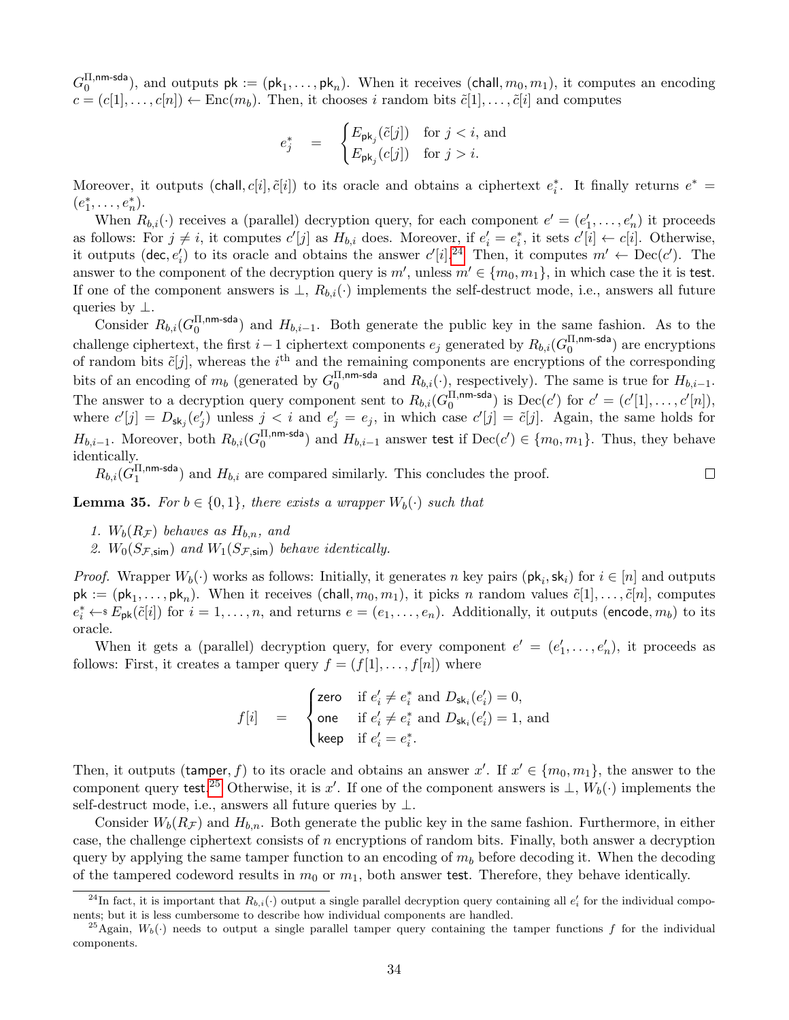$G_0^{\Pi, \text{nm-sda}}$  $\mathbb{R}^{11,\text{nm-sca}}_0$ , and outputs  $pk := (pk_1, \ldots, pk_n)$ . When it receives (chall,  $m_0, m_1$ ), it computes an encoding  $c = (c[1], \ldots, c[n]) \leftarrow \text{Enc}(m_b)$ . Then, it chooses i random bits  $\tilde{c}[1], \ldots, \tilde{c}[i]$  and computes

$$
e_j^* = \begin{cases} E_{\mathsf{pk}_j}(\tilde{c}[j]) & \text{for } j < i, \text{ and} \\ E_{\mathsf{pk}_j}(c[j]) & \text{for } j > i. \end{cases}
$$

Moreover, it outputs (chall,  $c[i], \tilde{c}[i]$ ) to its oracle and obtains a ciphertext  $e_i^*$ . It finally returns  $e^*$  =  $(e_1^*, \ldots, e_n^*)$ .

When  $R_{b,i}(\cdot)$  receives a (parallel) decryption query, for each component  $e' = (e'_1, \ldots, e'_n)$  it proceeds as follows: For  $j \neq i$ , it computes  $c'[j]$  as  $H_{b,i}$  does. Moreover, if  $e'_i = e_i^*$ , it sets  $c'[i] \leftarrow c[i]$ . Otherwise, it outputs (dec,  $e'_i$ ) to its oracle and obtains the answer  $c'[i]$ .<sup>[24](#page-34-0)</sup> Then, it computes  $m' \leftarrow \text{Dec}(c')$ . The answer to the component of the decryption query is  $m'$ , unless  $m' \in \{m_0, m_1\}$ , in which case the it is test. If one of the component answers is  $\perp$ ,  $R_{b,i}(\cdot)$  implements the self-destruct mode, i.e., answers all future queries by  $\perp$ .

Consider  $R_{b,i}$ ( $G_0^{\Pi, \text{nm-sda}}$  $\binom{11,nm-sca}{0}$  and  $H_{b,i-1}$ . Both generate the public key in the same fashion. As to the challenge ciphertext, the first  $i-1$  ciphertext components  $e_j$  generated by  $R_{b,i}(G_0^{\Pi,\text{nm-sda}})$  $\binom{11, nm-saa}{0}$  are encryptions of random bits  $\tilde{c}[j]$ , whereas the i<sup>th</sup> and the remaining components are encryptions of the corresponding bits of an encoding of  $m_b$  (generated by  $G_0^{\Pi,\text{nm-sda}}$  $\frac{11, \text{nm-sas}}{0}$  and  $R_{b,i}(\cdot)$ , respectively). The same is true for  $H_{b,i-1}$ . The answer to a decryption query component sent to  $R_{b,i}(G_0^{\Pi,nm\text{-sda}})$  $\sum_{0}^{\text{II},\text{nm-sda}}$  is  $\text{Dec}(c')$  for  $c' = (c'[1], \ldots, c'[n]),$ where  $c'[j] = D_{\mathsf{sk}_j}(e'_j)$  unless  $j < i$  and  $e'_j = e_j$ , in which case  $c'[j] = \tilde{c}[j]$ . Again, the same holds for  $H_{b,i-1}$ . Moreover, both  $R_{b,i}(G_0^{\Pi, \mathsf{nm}\text{-}\mathsf{sda}})$ II,nm-sda) and  $H_{b,i-1}$  answer test if Dec( $c'$ ) ∈ { $m_0, m_1$ }. Thus, they behave identically.

 $R_{b,i} (\tilde{G}_1^{\Pi, \mathsf{nm}\text{-}\mathsf{sda}})$  $(1, \text{nm-soa})$  and  $H_{b,i}$  are compared similarly. This concludes the proof.

**Lemma 35.** For  $b \in \{0, 1\}$ , there exists a wrapper  $W_b(\cdot)$  such that

- 1.  $W_b(R_{\mathcal{F}})$  behaves as  $H_{b,n}$ , and
- 2.  $W_0(S_{\mathcal{F},\text{sim}})$  and  $W_1(S_{\mathcal{F},\text{sim}})$  behave identically.

*Proof.* Wrapper  $W_b(\cdot)$  works as follows: Initially, it generates n key pairs  $(\mathsf{pk}_i, \mathsf{sk}_i)$  for  $i \in [n]$  and outputs  $pk := (pk_1, \ldots, pk_n)$ . When it receives  $(\text{chall}, m_0, m_1)$ , it picks n random values  $\tilde{c}[1], \ldots, \tilde{c}[n]$ , computes  $e_i^* \leftarrow s E_{\sf pk}(\tilde{c}[i])$  for  $i = 1, \ldots, n$ , and returns  $e = (e_1, \ldots, e_n)$ . Additionally, it outputs (encode,  $m_b$ ) to its oracle.

When it gets a (parallel) decryption query, for every component  $e' = (e'_1, \ldots, e'_n)$ , it proceeds as follows: First, it creates a tamper query  $f = (f[1], \ldots, f[n])$  where

$$
f[i] = \begin{cases} \text{zero} & \text{if } e'_i \neq e_i^* \text{ and } D_{\mathsf{sk}_i}(e'_i) = 0, \\ \text{one} & \text{if } e'_i \neq e_i^* \text{ and } D_{\mathsf{sk}_i}(e'_i) = 1, \text{ and} \\ \text{keep} & \text{if } e'_i = e_i^*. \end{cases}
$$

Then, it outputs (tamper, f) to its oracle and obtains an answer  $x'$ . If  $x' \in \{m_0, m_1\}$ , the answer to the component query test.<sup>[25](#page-34-1)</sup> Otherwise, it is x'. If one of the component answers is  $\perp$ ,  $W_b(\cdot)$  implements the self-destruct mode, i.e., answers all future queries by ⊥.

Consider  $W_b(R_{\mathcal{F}})$  and  $H_{b,n}$ . Both generate the public key in the same fashion. Furthermore, in either case, the challenge ciphertext consists of  $n$  encryptions of random bits. Finally, both answer a decryption query by applying the same tamper function to an encoding of  $m_b$  before decoding it. When the decoding of the tampered codeword results in  $m_0$  or  $m_1$ , both answer test. Therefore, they behave identically.

 $\Box$ 

<span id="page-34-0"></span><sup>&</sup>lt;sup>24</sup>In fact, it is important that  $R_{b,i}(\cdot)$  output a single parallel decryption query containing all  $e'_i$  for the individual components; but it is less cumbersome to describe how individual components are handled.

<span id="page-34-1"></span><sup>&</sup>lt;sup>25</sup>Again,  $W_b(\cdot)$  needs to output a single parallel tamper query containing the tamper functions f for the individual components.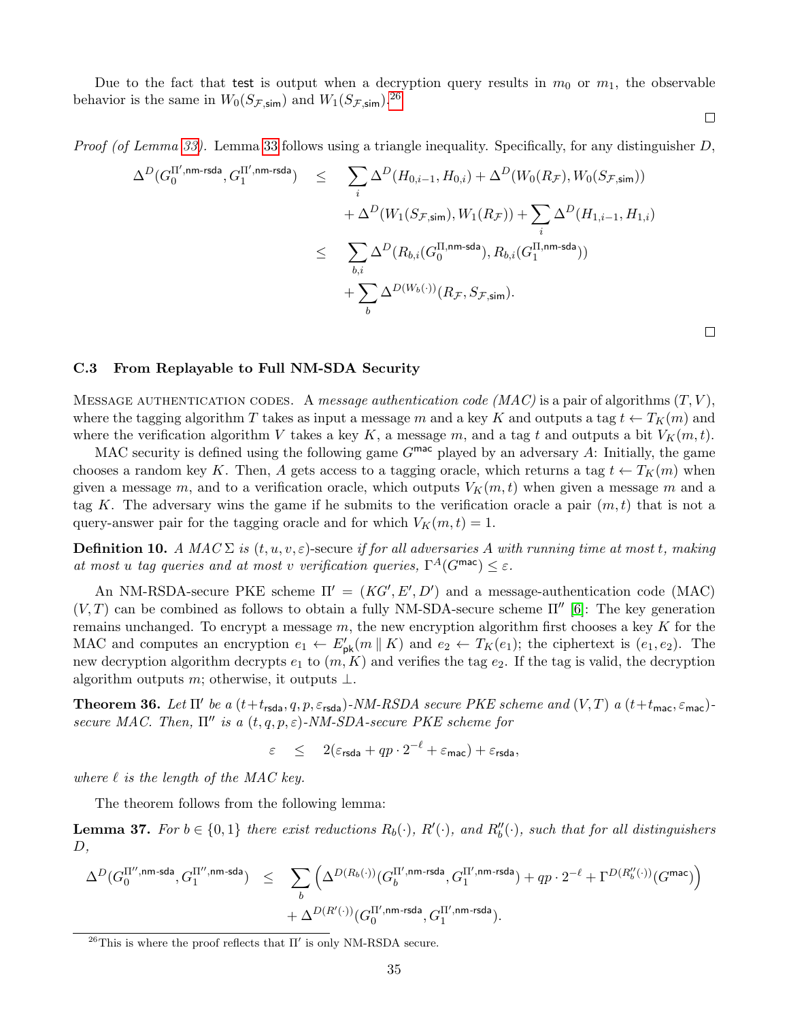Due to the fact that test is output when a decryption query results in  $m_0$  or  $m_1$ , the observable behavior is the same in  $W_0(S_{\mathcal{F},\text{sim}})$  and  $W_1(S_{\mathcal{F},\text{sim}})$ .<sup>[26](#page-35-1)</sup>

*Proof (of Lemma [33\)](#page-33-1).* Lemma [33](#page-33-1) follows using a triangle inequality. Specifically, for any distinguisher  $D$ ,

$$
\begin{array}{lcl} \Delta^D(G_0^{\Pi',\mathsf{nm}\text{-}\mathsf{rsda}},G_1^{\Pi',\mathsf{nm}\text{-}\mathsf{rsda}}) & \leq & \displaystyle \sum_i \Delta^D(H_{0,i-1},H_{0,i}) + \Delta^D(W_0(R_{\mathcal{F}}),W_0(S_{\mathcal{F},\mathsf{sim}})) \\ \\ & & + \Delta^D(W_1(S_{\mathcal{F},\mathsf{sim}}),W_1(R_{\mathcal{F}})) + \displaystyle \sum_i \Delta^D(H_{1,i-1},H_{1,i}) \\ \\ & \leq & \displaystyle \sum_{b,i} \Delta^D(R_{b,i}(G_0^{\Pi,\mathsf{nm}\text{-}\mathsf{sda}}),R_{b,i}(G_1^{\Pi,\mathsf{nm}\text{-}\mathsf{sda}})) \\ & & + \displaystyle \sum_b \Delta^{D(W_b(\cdot))}(R_{\mathcal{F}},S_{\mathcal{F},\mathsf{sim}}). \end{array}
$$

 $\Box$ 

 $\Box$ 

# <span id="page-35-0"></span>C.3 From Replayable to Full NM-SDA Security

MESSAGE AUTHENTICATION CODES. A message authentication code (MAC) is a pair of algorithms  $(T, V)$ , where the tagging algorithm T takes as input a message m and a key K and outputs a tag  $t \leftarrow T_K(m)$  and where the verification algorithm V takes a key K, a message m, and a tag t and outputs a bit  $V_K(m, t)$ .

MAC security is defined using the following game  $G^{\text{mac}}$  played by an adversary A: Initially, the game chooses a random key K. Then, A gets access to a tagging oracle, which returns a tag  $t \leftarrow T_K(m)$  when given a message m, and to a verification oracle, which outputs  $V_K(m, t)$  when given a message m and a tag K. The adversary wins the game if he submits to the verification oracle a pair  $(m, t)$  that is not a query-answer pair for the tagging oracle and for which  $V_K(m, t) = 1$ .

**Definition 10.** A MAC  $\Sigma$  is  $(t, u, v, \varepsilon)$ -secure if for all adversaries A with running time at most t, making at most u tag queries and at most v verification queries,  $\Gamma^A(G^{\text{mac}}) \leq \varepsilon$ .

An NM-RSDA-secure PKE scheme  $\Pi' = (KG', E', D')$  and a message-authentication code (MAC)  $(V, T)$  can be combined as follows to obtain a fully NM-SDA-secure scheme  $\Pi''$  [\[6\]](#page-23-9): The key generation remains unchanged. To encrypt a message  $m$ , the new encryption algorithm first chooses a key  $K$  for the MAC and computes an encryption  $e_1 \leftarrow E'_{\sf pk}(m \mid K)$  and  $e_2 \leftarrow T_K(e_1)$ ; the ciphertext is  $(e_1, e_2)$ . The new decryption algorithm decrypts  $e_1$  to  $(m, K)$  and verifies the tag  $e_2$ . If the tag is valid, the decryption algorithm outputs m; otherwise, it outputs  $\bot$ .

**Theorem 36.** Let  $\Pi'$  be a  $(t+t_{rsda}, q, p, \varepsilon_{rsda})$ -NM-RSDA secure PKE scheme and  $(V, T)$  a  $(t+t_{\text{mac}}, \varepsilon_{\text{mac}})$ secure MAC. Then,  $\Pi''$  is a  $(t, q, p, \varepsilon)$ -NM-SDA-secure PKE scheme for

$$
\varepsilon \quad \leq \quad 2(\varepsilon_{\text{rsda}} + qp \cdot 2^{-\ell} + \varepsilon_{\text{mac}}) + \varepsilon_{\text{rsda}},
$$

where  $\ell$  is the length of the MAC key.

The theorem follows from the following lemma:

**Lemma 37.** For  $b \in \{0,1\}$  there exist reductions  $R_b(\cdot)$ ,  $R'(\cdot)$ , and  $R''_b(\cdot)$ , such that for all distinguishers  $D,$ 

$$
\begin{array}{lcl} \Delta^D(G_0^{\Pi'',\mathsf{nm}\text{-sda}},G_1^{\Pi',\mathsf{nm}\text{-sda}}) & \leq & \displaystyle \sum_b \Big( \Delta^{D(R_b(\cdot))}(G_b^{\Pi',\mathsf{nm}\text{-rsda}},G_1^{\Pi',\mathsf{nm}\text{-rsda}}) + qp \cdot 2^{-\ell} + \Gamma^{D(R_b^{\prime\prime}(\cdot))}(G^{\mathsf{mac}}) \Big) \\ & & + \Delta^{D(R^{\prime}(\cdot))}(G_0^{\Pi',\mathsf{nm}\text{-rsda}},G_1^{\Pi',\mathsf{nm}\text{-rsda}}). \end{array}
$$

<span id="page-35-1"></span><sup>&</sup>lt;sup>26</sup>This is where the proof reflects that  $\Pi'$  is only NM-RSDA secure.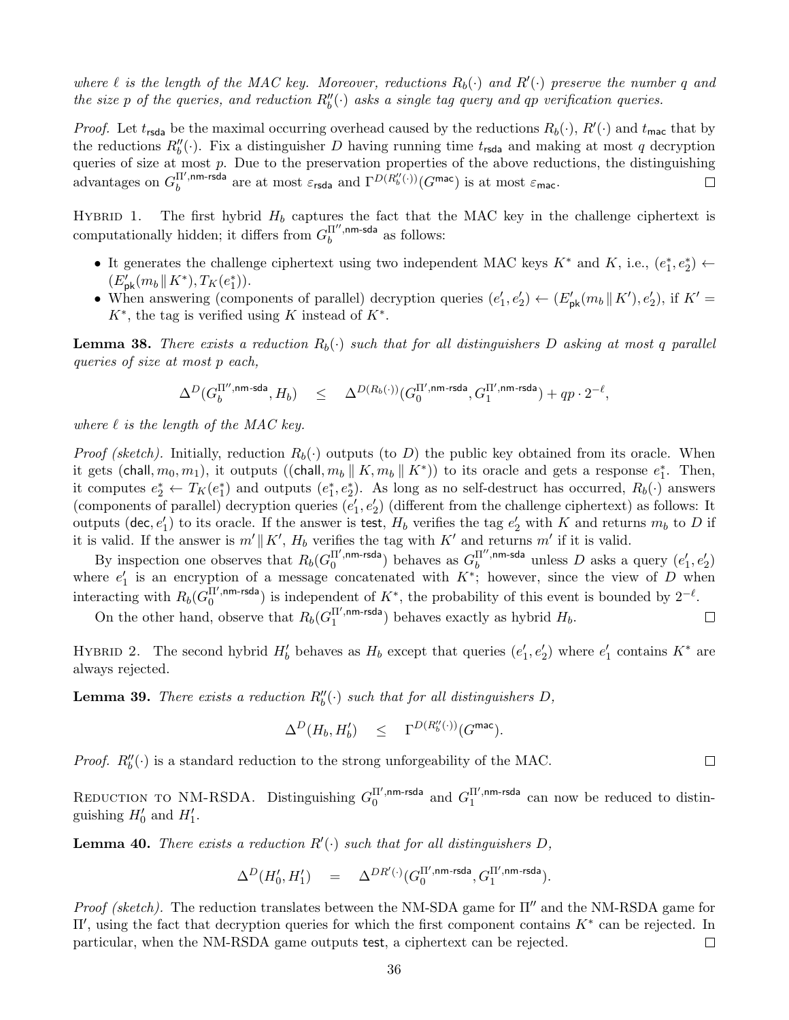where  $\ell$  is the length of the MAC key. Moreover, reductions  $R_b(\cdot)$  and  $R'(\cdot)$  preserve the number q and the size p of the queries, and reduction  $R''_b(\cdot)$  asks a single tag query and qp verification queries.

*Proof.* Let  $t_{\text{rsda}}$  be the maximal occurring overhead caused by the reductions  $R_b(\cdot)$ ,  $R'(\cdot)$  and  $t_{\text{mac}}$  that by the reductions  $R_0''(\cdot)$ . Fix a distinguisher D having running time  $t_{\text{rsda}}$  and making at most q decryption queries of size at most  $p$ . Due to the preservation properties of the above reductions, the distinguishing advantages on  $G_h^{\Pi',\text{nm-rsda}}$  $b_b^{\Pi',\mathsf{nm}\text{-} \mathsf{rsda}}$  are at most  $\varepsilon_{\mathsf{rsda}}$  and  $\Gamma^{D(R''_b(\cdot))}(G^{\mathsf{mac}})$  is at most  $\varepsilon_{\mathsf{mac}}$ .  $\Box$ 

HYBRID 1. The first hybrid  $H_b$  captures the fact that the MAC key in the challenge ciphertext is computationally hidden; it differs from  $G<sub>h</sub>^{\Pi'',nm-sda}$  $b^{11^{\circ},nm\text{-}saa}$  as follows:

- It generates the challenge ciphertext using two independent MAC keys  $K^*$  and  $K$ , i.e.,  $(e_1^*, e_2^*) \leftarrow$  $(E'_{\rm pk}(m_b \| K^*), T_K(e_1^*)$ .
- When answering (components of parallel) decryption queries  $(e'_1, e'_2) \leftarrow (E'_{\sf pk}(m_b \parallel K'), e'_2)$ , if  $K' =$  $K^*$ , the tag is verified using K instead of  $K^*$ .

**Lemma 38.** There exists a reduction  $R_b(\cdot)$  such that for all distinguishers D asking at most q parallel queries of size at most p each,

$$
\Delta^D(G_b^{\Pi'',\mathsf{nm}\text{-}\mathsf{sda}},H_b) \quad \leq \quad \Delta^{D(R_b(\cdot))}(G_0^{\Pi',\mathsf{nm}\text{-}\mathsf{rsda}},G_1^{\Pi',\mathsf{nm}\text{-}\mathsf{rsda}})+qp\cdot 2^{-\ell},
$$

where  $\ell$  is the length of the MAC key.

*Proof (sketch)*. Initially, reduction  $R_b(\cdot)$  outputs (to D) the public key obtained from its oracle. When it gets (chall,  $m_0, m_1$ ), it outputs ((chall,  $m_b \parallel K, m_b \parallel K^*$ )) to its oracle and gets a response  $e_1^*$ . Then, it computes  $e_2^* \leftarrow T_K(e_1^*)$  and outputs  $(e_1^*, e_2^*)$ . As long as no self-destruct has occurred,  $R_b(\cdot)$  answers (components of parallel) decryption queries  $(e'_1, e'_2)$  (different from the challenge ciphertext) as follows: It outputs (dec,  $e'_1$ ) to its oracle. If the answer is test,  $H_b$  verifies the tag  $e'_2$  with K and returns  $m_b$  to D if it is valid. If the answer is  $m' \parallel K'$ ,  $H_b$  verifies the tag with  $K'$  and returns  $m'$  if it is valid.

By inspection one observes that  $R_b(G_0^{\Pi',\text{nm-rsda}})$  $\binom{\Pi',\mathsf{nm}\text{-}\mathsf{rsda}}{0}$  behaves as  $G_b^{\Pi'',\mathsf{nm}\text{-}\mathsf{sda}}$  $b^{II'',\mathsf{nm}\text{-}\mathsf{sda}}$  unless D asks a query  $(e'_1,e'_2)$ where  $e'_1$  is an encryption of a message concatenated with  $K^*$ ; however, since the view of D when interacting with  $R_b(G_0^{\Pi',\mathsf{nm}\text{-} \mathsf{rsda}})$  $\binom{\Pi', \text{nm-rsda}}{0}$  is independent of  $K^*$ , the probability of this event is bounded by  $2^{-\ell}$ .

On the other hand, observe that  $R_b(G_1^{\Pi',\text{nm-rsda}})$  $\binom{11}{1}$ , nm-rsda) behaves exactly as hybrid  $H_b$ .  $\Box$ 

HYBRID 2. The second hybrid  $H'_b$  behaves as  $H_b$  except that queries  $(e'_1, e'_2)$  where  $e'_1$  contains  $K^*$  are always rejected.

**Lemma 39.** There exists a reduction  $R_0''(\cdot)$  such that for all distinguishers D,

$$
\Delta^D(H_b,H_b') \quad \leq \quad \Gamma^{D(R_b''(\cdot))}(G^{\mathrm{mac}}).
$$

 $\Box$ 

*Proof.*  $R''_b(\cdot)$  is a standard reduction to the strong unforgeability of the MAC.

REDUCTION TO NM-RSDA. Distinguishing  $G_0^{\Pi',nm\text{-}rsda}$  $_0^{\text{II}',\text{nm-rsda}}$  and  $G_1^{\text{II}',\text{nm-rsda}}$  $_1^{\text{II}^{\bullet},\text{nm-resa}}$  can now be reduced to distinguishing  $H'_0$  and  $H'_1$ .

**Lemma 40.** There exists a reduction  $R'(\cdot)$  such that for all distinguishers D,

$$
\Delta^D(H_0',H_1')\quad =\quad \Delta^{DR'(\cdot)}(G_0^{\Pi',\text{nm-rsda}},G_1^{\Pi',\text{nm-rsda}}).
$$

*Proof (sketch).* The reduction translates between the NM-SDA game for  $\Pi''$  and the NM-RSDA game for II', using the fact that decryption queries for which the first component contains  $K^*$  can be rejected. In particular, when the NM-RSDA game outputs test, a ciphertext can be rejected.  $\Box$